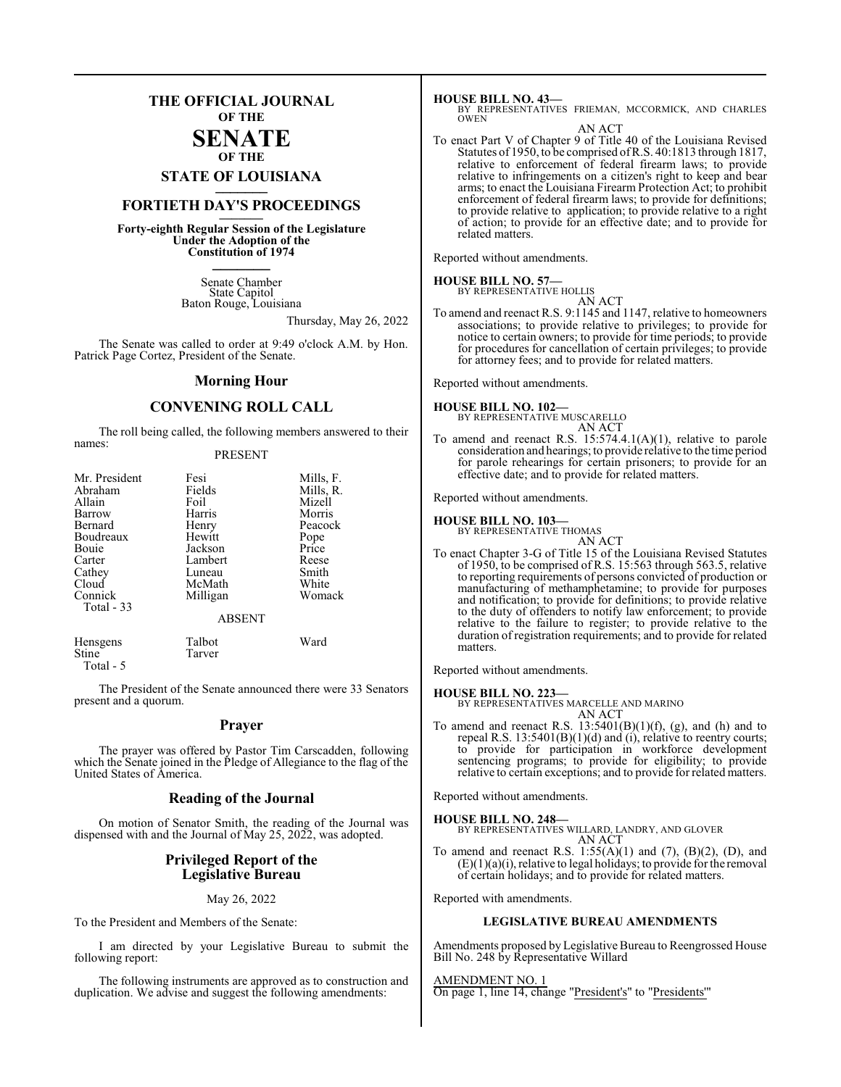## **THE OFFICIAL JOURNAL OF THE**

## **SENATE OF THE**

## **STATE OF LOUISIANA \_\_\_\_\_\_\_**

## **FORTIETH DAY'S PROCEEDINGS \_\_\_\_\_\_\_**

**Forty-eighth Regular Session of the Legislature Under the Adoption of the Constitution of 1974 \_\_\_\_\_\_\_**

> Senate Chamber State Capitol Baton Rouge, Louisiana

> > Thursday, May 26, 2022

The Senate was called to order at 9:49 o'clock A.M. by Hon. Patrick Page Cortez, President of the Senate.

## **Morning Hour**

## **CONVENING ROLL CALL**

The roll being called, the following members answered to their names:

## PRESENT

| Mr. President | Fesi          | Mills, F. |
|---------------|---------------|-----------|
| Abraham       | Fields        | Mills, R. |
| Allain        | Foil          | Mizell    |
| Barrow        | Harris        | Morris    |
| Bernard       | Henry         | Peacock   |
| Boudreaux     | Hewitt        | Pope      |
| Bouie         | Jackson       | Price     |
| Carter        | Lambert       | Reese     |
| Cathey        | Luneau        | Smith     |
| Cloud         | McMath        | White     |
| Connick       | Milligan      | Womack    |
| Total - 33    |               |           |
|               | <b>ABSENT</b> |           |
| Hensgens      | Talbot        | Ward      |

Stine Tarver Total - 5

The President of the Senate announced there were 33 Senators present and a quorum.

## **Prayer**

The prayer was offered by Pastor Tim Carscadden, following which the Senate joined in the Pledge of Allegiance to the flag of the United States of America.

## **Reading of the Journal**

On motion of Senator Smith, the reading of the Journal was dispensed with and the Journal of May 25, 2022, was adopted.

## **Privileged Report of the Legislative Bureau**

## May 26, 2022

To the President and Members of the Senate:

I am directed by your Legislative Bureau to submit the following report:

The following instruments are approved as to construction and duplication. We advise and suggest the following amendments:

## **HOUSE BILL NO. 43—**

BY REPRESENTATIVES FRIEMAN, MCCORMICK, AND CHARLES OWEN

### AN ACT

To enact Part V of Chapter 9 of Title 40 of the Louisiana Revised Statutes of 1950, to be comprised ofR.S. 40:1813 through 1817, relative to enforcement of federal firearm laws; to provide relative to infringements on a citizen's right to keep and bear arms; to enact the Louisiana Firearm Protection Act; to prohibit enforcement of federal firearm laws; to provide for definitions; to provide relative to application; to provide relative to a right of action; to provide for an effective date; and to provide for related matters.

Reported without amendments.

## **HOUSE BILL NO. 57—** BY REPRESENTATIVE HOLLIS

AN ACT To amend and reenact R.S. 9:1145 and 1147, relative to homeowners associations; to provide relative to privileges; to provide for notice to certain owners; to provide for time periods; to provide for procedures for cancellation of certain privileges; to provide for attorney fees; and to provide for related matters.

Reported without amendments.

**HOUSE BILL NO. 102—** BY REPRESENTATIVE MUSCARELLO AN ACT

To amend and reenact R.S. 15:574.4.1(A)(1), relative to parole consideration and hearings; to provide relative to the time period for parole rehearings for certain prisoners; to provide for an

effective date; and to provide for related matters.

Reported without amendments.

## **HOUSE BILL NO. 103—**

BY REPRESENTATIVE THOMAS AN ACT

To enact Chapter 3-G of Title 15 of the Louisiana Revised Statutes of 1950, to be comprised of R.S. 15:563 through 563.5, relative to reporting requirements of persons convicted of production or manufacturing of methamphetamine; to provide for purposes and notification; to provide for definitions; to provide relative to the duty of offenders to notify law enforcement; to provide relative to the failure to register; to provide relative to the duration of registration requirements; and to provide for related matters.

Reported without amendments.

**HOUSE BILL NO. 223—** BY REPRESENTATIVES MARCELLE AND MARINO AN ACT

To amend and reenact R.S.  $13:5401(B)(1)(f)$ , (g), and (h) and to repeal R.S. 13:5401(B)(1)(d) and (i), relative to reentry courts; to provide for participation in workforce development sentencing programs; to provide for eligibility; to provide relative to certain exceptions; and to provide for related matters.

Reported without amendments.

#### **HOUSE BILL NO. 248—**

BY REPRESENTATIVES WILLARD, LANDRY, AND GLOVER AN ACT

To amend and reenact R.S.  $1:55(A)(1)$  and  $(7)$ ,  $(B)(2)$ ,  $(D)$ , and  $(E)(1)(a)(i)$ , relative to legal holidays; to provide for the removal of certain holidays; and to provide for related matters.

Reported with amendments.

## **LEGISLATIVE BUREAU AMENDMENTS**

Amendments proposed by Legislative Bureau to Reengrossed House Bill No. 248 by Representative Willard

AMENDMENT NO. 1 On page 1, line 14, change "President's" to "Presidents'"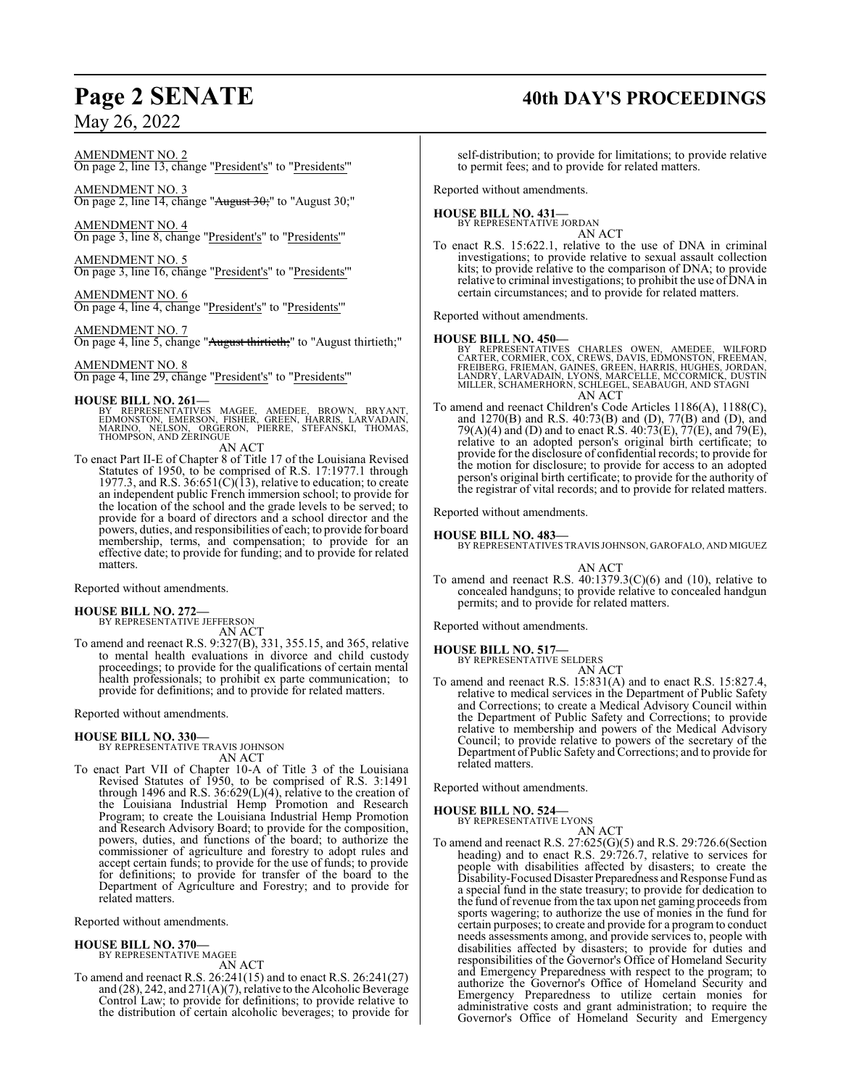## **Page 2 SENATE 40th DAY'S PROCEEDINGS**

AMENDMENT NO. 2

On page 2, line 13, change "President's" to "Presidents'"

AMENDMENT NO. 3 On page 2, line 14, change "August 30;" to "August 30;"

AMENDMENT NO. 4 On page 3, line 8, change "President's" to "Presidents'"

AMENDMENT NO. 5 On page 3, line 16, change "President's" to "Presidents'"

AMENDMENT NO. 6 On page 4, line 4, change "President's" to "Presidents'"

AMENDMENT NO. 7 On page 4, line 5, change "August thirtieth;" to "August thirtieth;"

## AMENDMENT NO. 8

On page 4, line 29, change "President's" to "Presidents'"

## **HOUSE BILL NO. 261—**

- BY REPRESENTATIVES MAGEE, AMEDEE, BROWN, BRYANT,<br>EDMONSTON, EMERSON, FISHER, GREEN, HARRIS, LARVADAIN,<br>MARINO, NELSON, ORGERON, PIERRE, STEFANSKI, THOMAS,<br>THOMPSON,AND ZERINGUE
	- AN ACT
- To enact Part II-E of Chapter 8 of Title 17 of the Louisiana Revised Statutes of 1950, to be comprised of R.S. 17:1977.1 through 1977.3, and R.S.  $36:651(C)(13)$ , relative to education; to create an independent public French immersion school; to provide for the location of the school and the grade levels to be served; to provide for a board of directors and a school director and the powers, duties, and responsibilities of each; to provide for board membership, terms, and compensation; to provide for an effective date; to provide for funding; and to provide for related matters.

Reported without amendments.

## **HOUSE BILL NO. 272—**

BY REPRESENTATIVE JEFFERSON AN ACT

To amend and reenact R.S. 9:327(B), 331, 355.15, and 365, relative to mental health evaluations in divorce and child custody proceedings; to provide for the qualifications of certain mental health professionals; to prohibit ex parte communication; to provide for definitions; and to provide for related matters.

Reported without amendments.

**HOUSE BILL NO. 330—** BY REPRESENTATIVE TRAVIS JOHNSON AN ACT

To enact Part VII of Chapter 10-A of Title 3 of the Louisiana Revised Statutes of 1950, to be comprised of R.S. 3:1491 through 1496 and R.S. 36:629(L)(4), relative to the creation of the Louisiana Industrial Hemp Promotion and Research Program; to create the Louisiana Industrial Hemp Promotion and Research Advisory Board; to provide for the composition, powers, duties, and functions of the board; to authorize the commissioner of agriculture and forestry to adopt rules and accept certain funds; to provide for the use of funds; to provide for definitions; to provide for transfer of the board to the Department of Agriculture and Forestry; and to provide for related matters.

Reported without amendments.

## **HOUSE BILL NO. 370—**

BY REPRESENTATIVE MAGEE AN ACT

To amend and reenact R.S. 26:241(15) and to enact R.S. 26:241(27) and (28), 242, and 271(A)(7), relative to the Alcoholic Beverage Control Law; to provide for definitions; to provide relative to the distribution of certain alcoholic beverages; to provide for

self-distribution; to provide for limitations; to provide relative to permit fees; and to provide for related matters.

Reported without amendments.

## **HOUSE BILL NO. 431—** BY REPRESENTATIVE JORDAN

AN ACT

To enact R.S. 15:622.1, relative to the use of DNA in criminal investigations; to provide relative to sexual assault collection kits; to provide relative to the comparison of DNA; to provide relative to criminal investigations; to prohibit the use of DNA in certain circumstances; and to provide for related matters.

Reported without amendments.

## **HOUSE BILL NO. 450—**

- BY REPRESENTATIVES CHARLES OWEN, AMEDEE, WILFORD<br>CARTER,CORMIER,COX,CREWS,DAVIS,EDMONSTON,FREEMAN,<br>FREIBERG,FRIEMAN,GAINES,GREEN,HARRIS,HUGHES,JORDAN,<br>LANDRY,LARVADAIN,LYONS,MARCELLE,MCCORMICK,DUSTIN<br>MILLER,SCHAMERHORN,SCH AN ACT
- To amend and reenact Children's Code Articles 1186(A), 1188(C), and 1270(B) and R.S. 40:73(B) and (D), 77(B) and (D), and 79(A)(4) and (D) and to enact R.S. 40:73(E), 77(E), and 79(E), relative to an adopted person's original birth certificate; to provide for the disclosure of confidential records; to provide for the motion for disclosure; to provide for access to an adopted person's original birth certificate; to provide for the authority of the registrar of vital records; and to provide for related matters.

Reported without amendments.

## **HOUSE BILL NO. 483—**

BY REPRESENTATIVES TRAVIS JOHNSON, GAROFALO, AND MIGUEZ

AN ACT

To amend and reenact R.S.  $40:1379.3(C)(6)$  and  $(10)$ , relative to concealed handguns; to provide relative to concealed handgun permits; and to provide for related matters.

Reported without amendments.

## **HOUSE BILL NO. 517—**

BY REPRESENTATIVE SELDERS AN ACT

To amend and reenact R.S. 15:831(A) and to enact R.S. 15:827.4, relative to medical services in the Department of Public Safety and Corrections; to create a Medical Advisory Council within the Department of Public Safety and Corrections; to provide relative to membership and powers of the Medical Advisory Council; to provide relative to powers of the secretary of the Department of Public Safety and Corrections; and to provide for related matters.

Reported without amendments.

## **HOUSE BILL NO. 524—**

BY REPRESENTATIVE LYONS AN ACT

To amend and reenact R.S. 27:625(G)(5) and R.S. 29:726.6(Section heading) and to enact R.S. 29:726.7, relative to services for people with disabilities affected by disasters; to create the Disability-Focused DisasterPreparedness and Response Fund as a special fund in the state treasury; to provide for dedication to the fund ofrevenue fromthe tax upon net gaming proceeds from sports wagering; to authorize the use of monies in the fund for certain purposes; to create and provide for a programto conduct needs assessments among, and provide services to, people with disabilities affected by disasters; to provide for duties and responsibilities of the Governor's Office of Homeland Security and Emergency Preparedness with respect to the program; to authorize the Governor's Office of Homeland Security and Emergency Preparedness to utilize certain monies for administrative costs and grant administration; to require the Governor's Office of Homeland Security and Emergency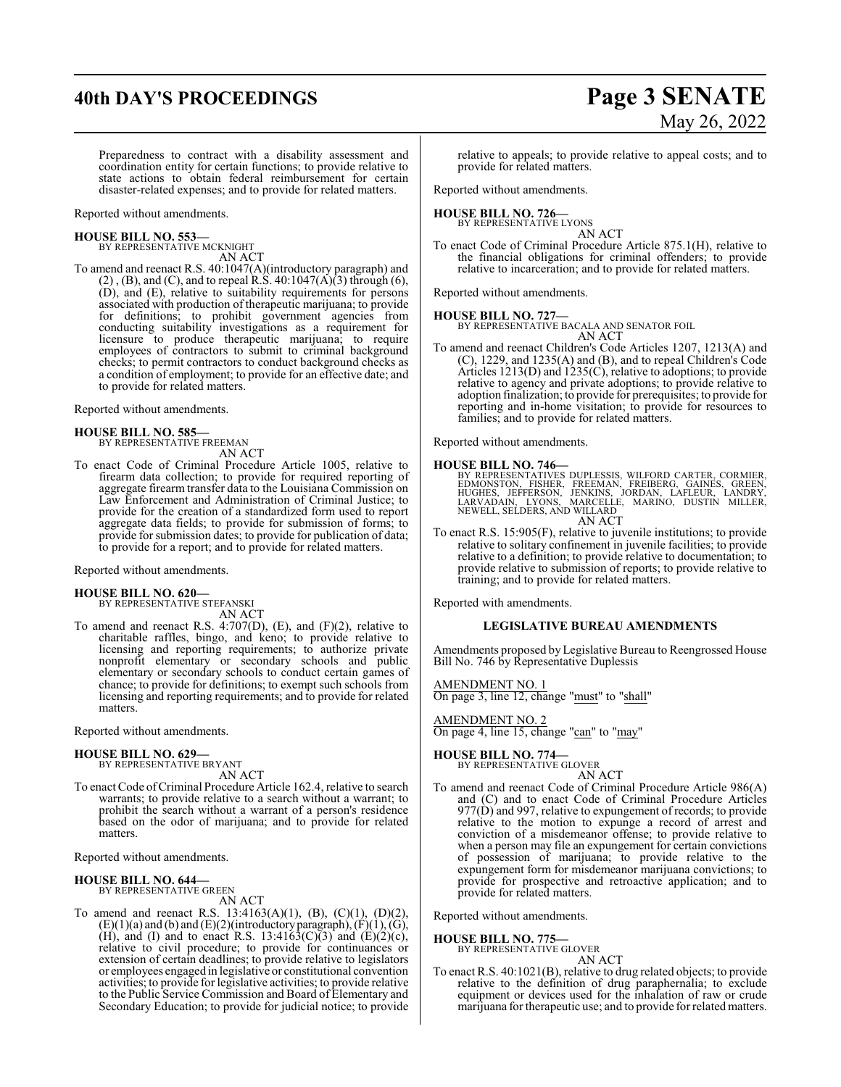## **40th DAY'S PROCEEDINGS Page 3 SENATE**

# May 26, 2022

Preparedness to contract with a disability assessment and coordination entity for certain functions; to provide relative to state actions to obtain federal reimbursement for certain disaster-related expenses; and to provide for related matters.

Reported without amendments.

## **HOUSE BILL NO. 553—** BY REPRESENTATIVE MCKNIGHT

AN ACT

To amend and reenact R.S. 40:1047(A)(introductory paragraph) and  $(2)$ ,  $(B)$ , and  $(C)$ , and to repeal R.S. 40:1047 $(A)(3)$  through  $(6)$ , (D), and (E), relative to suitability requirements for persons associated with production of therapeutic marijuana; to provide for definitions; to prohibit government agencies from conducting suitability investigations as a requirement for licensure to produce therapeutic marijuana; to require employees of contractors to submit to criminal background checks; to permit contractors to conduct background checks as a condition of employment; to provide for an effective date; and to provide for related matters.

Reported without amendments.

## **HOUSE BILL NO. 585—**

BY REPRESENTATIVE FREEMAN AN ACT

- To enact Code of Criminal Procedure Article 1005, relative to
- firearm data collection; to provide for required reporting of aggregate firearm transfer data to the Louisiana Commission on Law Enforcement and Administration of Criminal Justice; to provide for the creation of a standardized form used to report aggregate data fields; to provide for submission of forms; to provide for submission dates; to provide for publication of data; to provide for a report; and to provide for related matters.

Reported without amendments.

## **HOUSE BILL NO. 620—**

BY REPRESENTATIVE STEFANSKI AN ACT

To amend and reenact R.S. 4:707(D), (E), and (F)(2), relative to charitable raffles, bingo, and keno; to provide relative to licensing and reporting requirements; to authorize private nonprofit elementary or secondary schools and public elementary or secondary schools to conduct certain games of chance; to provide for definitions; to exempt such schools from licensing and reporting requirements; and to provide for related matters.

Reported without amendments.

## **HOUSE BILL NO. 629—**

BY REPRESENTATIVE BRYANT AN ACT

To enact Code of Criminal Procedure Article 162.4, relative to search warrants; to provide relative to a search without a warrant; to prohibit the search without a warrant of a person's residence based on the odor of marijuana; and to provide for related matters.

Reported without amendments.

## **HOUSE BILL NO. 644—**

BY REPRESENTATIVE GREEN

AN ACT

To amend and reenact R.S. 13:4163(A)(1), (B), (C)(1), (D)(2),  $(E)(1)(a)$  and  $(b)$  and  $(E)(2)($  introductory paragraph),  $(F)(1)$ ,  $(G)$ , (H), and (I) and to enact R.S. 13:4163(C)(3) and (E)(2)(c), relative to civil procedure; to provide for continuances or extension of certain deadlines; to provide relative to legislators or employees engaged in legislative or constitutional convention activities; to provide for legislative activities; to provide relative to the Public Service Commission and Board of Elementary and Secondary Education; to provide for judicial notice; to provide

relative to appeals; to provide relative to appeal costs; and to provide for related matters.

Reported without amendments.

## **HOUSE BILL NO. 726—** BY REPRESENTATIVE LYONS

AN ACT

To enact Code of Criminal Procedure Article 875.1(H), relative to the financial obligations for criminal offenders; to provide relative to incarceration; and to provide for related matters.

Reported without amendments.

**HOUSE BILL NO. 727—**

BY REPRESENTATIVE BACALA AND SENATOR FOIL AN ACT

To amend and reenact Children's Code Articles 1207, 1213(A) and (C), 1229, and 1235(A) and (B), and to repeal Children's Code Articles 1213(D) and 1235(C), relative to adoptions; to provide relative to agency and private adoptions; to provide relative to adoption finalization; to provide for prerequisites; to provide for reporting and in-home visitation; to provide for resources to families; and to provide for related matters.

Reported without amendments.

**HOUSE BILL NO. 746**<br>BY REPRESENTATIVES DUPLESSIS, WILFORD CARTER, CORMIER,<br>EDMONSTON, FISHER, FREEMAN, FREIBERG, GAINES, GREEN,<br>HUGHES, JEFFERSON, JARCELLE, MARINO, DUSTIN MILLER,<br>LARVADAIN, LYONS, MARCELLE, MARINO, DUSTI AN ACT

To enact R.S. 15:905(F), relative to juvenile institutions; to provide relative to solitary confinement in juvenile facilities; to provide relative to a definition; to provide relative to documentation; to provide relative to submission of reports; to provide relative to training; and to provide for related matters.

Reported with amendments.

## **LEGISLATIVE BUREAU AMENDMENTS**

Amendments proposed byLegislative Bureau to Reengrossed House Bill No. 746 by Representative Duplessis

AMENDMENT NO. 1 On page 3, line 12, change "must" to "shall"

AMENDMENT NO. 2 On page 4, line 15, change "can" to "may"

**HOUSE BILL NO. 774—**

BY REPRESENTATIVE GLOVER AN ACT

To amend and reenact Code of Criminal Procedure Article 986(A) and (C) and to enact Code of Criminal Procedure Articles 977(D) and 997, relative to expungement of records; to provide relative to the motion to expunge a record of arrest and conviction of a misdemeanor offense; to provide relative to when a person may file an expungement for certain convictions of possession of marijuana; to provide relative to the expungement form for misdemeanor marijuana convictions; to provide for prospective and retroactive application; and to provide for related matters.

Reported without amendments.

## **HOUSE BILL NO. 775—**

BY REPRESENTATIVE GLOVER AN ACT

To enact R.S. 40:1021(B), relative to drug related objects; to provide relative to the definition of drug paraphernalia; to exclude equipment or devices used for the inhalation of raw or crude marijuana for therapeutic use; and to provide for related matters.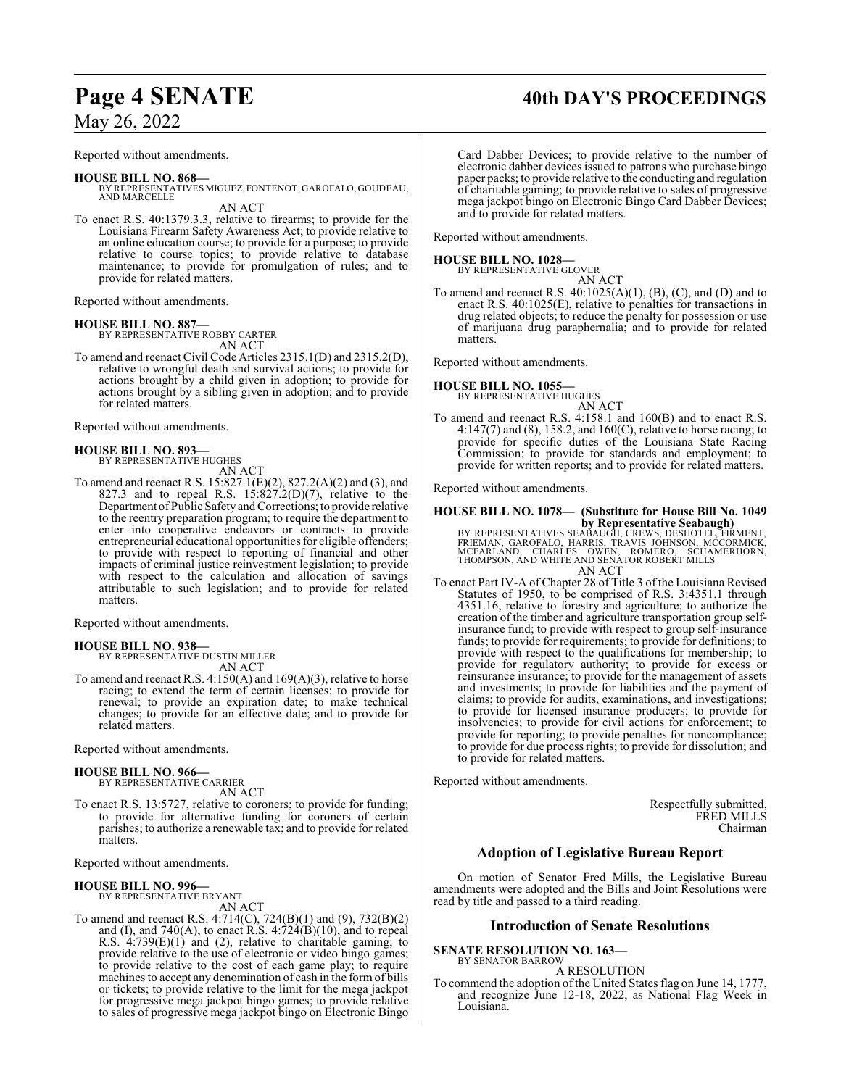Reported without amendments.

### **HOUSE BILL NO. 868—**

- BY REPRESENTATIVES MIGUEZ, FONTENOT, GAROFALO, GOUDEAU, AND MARCELLE AN ACT
- To enact R.S. 40:1379.3.3, relative to firearms; to provide for the Louisiana Firearm Safety Awareness Act; to provide relative to an online education course; to provide for a purpose; to provide relative to course topics; to provide relative to database maintenance; to provide for promulgation of rules; and to provide for related matters.

Reported without amendments.

**HOUSE BILL NO. 887—** BY REPRESENTATIVE ROBBY CARTER AN ACT

To amend and reenact Civil Code Articles 2315.1(D) and 2315.2(D), relative to wrongful death and survival actions; to provide for actions brought by a child given in adoption; to provide for actions brought by a sibling given in adoption; and to provide for related matters.

Reported without amendments.

## **HOUSE BILL NO. 893—** BY REPRESENTATIVE HUGHES

AN ACT

To amend and reenact R.S. 15:827.1(E)(2), 827.2(A)(2) and (3), and 827.3 and to repeal R.S.  $15:827.2(D)(7)$ , relative to the Department of Public SafetyandCorrections; to provide relative to the reentry preparation program; to require the department to enter into cooperative endeavors or contracts to provide entrepreneurial educational opportunities for eligible offenders; to provide with respect to reporting of financial and other impacts of criminal justice reinvestment legislation; to provide with respect to the calculation and allocation of savings attributable to such legislation; and to provide for related matters.

Reported without amendments.

## **HOUSE BILL NO. 938—** BY REPRESENTATIVE DUSTIN MILLER

AN ACT

To amend and reenact R.S. 4:150(A) and 169(A)(3), relative to horse racing; to extend the term of certain licenses; to provide for renewal; to provide an expiration date; to make technical changes; to provide for an effective date; and to provide for related matters.

Reported without amendments.

## **HOUSE BILL NO. 966—**

BY REPRESENTATIVE CARRIER AN ACT

To enact R.S. 13:5727, relative to coroners; to provide for funding; to provide for alternative funding for coroners of certain parishes; to authorize a renewable tax; and to provide for related matters.

Reported without amendments.

## **HOUSE BILL NO. 996—** BY REPRESENTATIVE BRYANT

AN ACT

To amend and reenact R.S. 4:714(C), 724(B)(1) and (9), 732(B)(2) and (I), and  $740(A)$ , to enact R.S.  $4:724(B)(10)$ , and to repeal R.S. 4:739(E)(1) and (2), relative to charitable gaming; to provide relative to the use of electronic or video bingo games; to provide relative to the cost of each game play; to require machines to accept any denomination of cash in the formof bills or tickets; to provide relative to the limit for the mega jackpot for progressive mega jackpot bingo games; to provide relative to sales of progressive mega jackpot bingo on Electronic Bingo

Card Dabber Devices; to provide relative to the number of electronic dabber devices issued to patrons who purchase bingo paper packs; to provide relative to the conducting and regulation of charitable gaming; to provide relative to sales of progressive mega jackpot bingo on Electronic Bingo Card Dabber Devices; and to provide for related matters.

Reported without amendments.

### **HOUSE BILL NO. 1028—**

BY REPRESENTATIVE GLOVER AN ACT

To amend and reenact R.S. 40:1025(A)(1), (B), (C), and (D) and to enact R.S. 40:1025(E), relative to penalties for transactions in drug related objects; to reduce the penalty for possession or use of marijuana drug paraphernalia; and to provide for related matters.

Reported without amendments.

## **HOUSE BILL NO. 1055—**

BY REPRESENTATIVE HUGHES

AN ACT To amend and reenact R.S. 4:158.1 and 160(B) and to enact R.S. 4:147(7) and (8), 158.2, and 160(C), relative to horse racing; to provide for specific duties of the Louisiana State Racing Commission; to provide for standards and employment; to provide for written reports; and to provide for related matters.

Reported without amendments.

## **HOUSE BILL NO. 1078— (Substitute for House Bill No. 1049 by Representative Seabaugh)**

BY REPRESENTATIVES SEABAUGH, CREWS, DESHOTEL, FIRMENT,<br>FRIEMAN, GAROFALO, HARRIS, TRAVIS JOHNSON, MCCORMICK,<br>MCFARLAND, CHARLES OWEN, ROMERO, SCHAMERHORN,<br>THOMPSON, AND WHITE AND SENATOR ROBERT MILLS AN ACT

To enact Part IV-A of Chapter 28 of Title 3 of the Louisiana Revised Statutes of 1950, to be comprised of R.S. 3:4351.1 through 4351.16, relative to forestry and agriculture; to authorize the creation of the timber and agriculture transportation group selfinsurance fund; to provide with respect to group self-insurance funds; to provide for requirements; to provide for definitions; to provide with respect to the qualifications for membership; to provide for regulatory authority; to provide for excess or reinsurance insurance; to provide for the management of assets and investments; to provide for liabilities and the payment of claims; to provide for audits, examinations, and investigations; to provide for licensed insurance producers; to provide for insolvencies; to provide for civil actions for enforcement; to provide for reporting; to provide penalties for noncompliance; to provide for due process rights; to provide for dissolution; and to provide for related matters.

Reported without amendments.

Respectfully submitted, FRED MILLS Chairman

## **Adoption of Legislative Bureau Report**

On motion of Senator Fred Mills, the Legislative Bureau amendments were adopted and the Bills and Joint Resolutions were read by title and passed to a third reading.

## **Introduction of Senate Resolutions**

**SENATE RESOLUTION NO. 163—**

BY SENATOR BARROW A RESOLUTION

To commend the adoption of the United States flag on June 14, 1777, and recognize June 12-18, 2022, as National Flag Week in Louisiana.

Page 4 **SENATE** 40th DAY'S PROCEEDINGS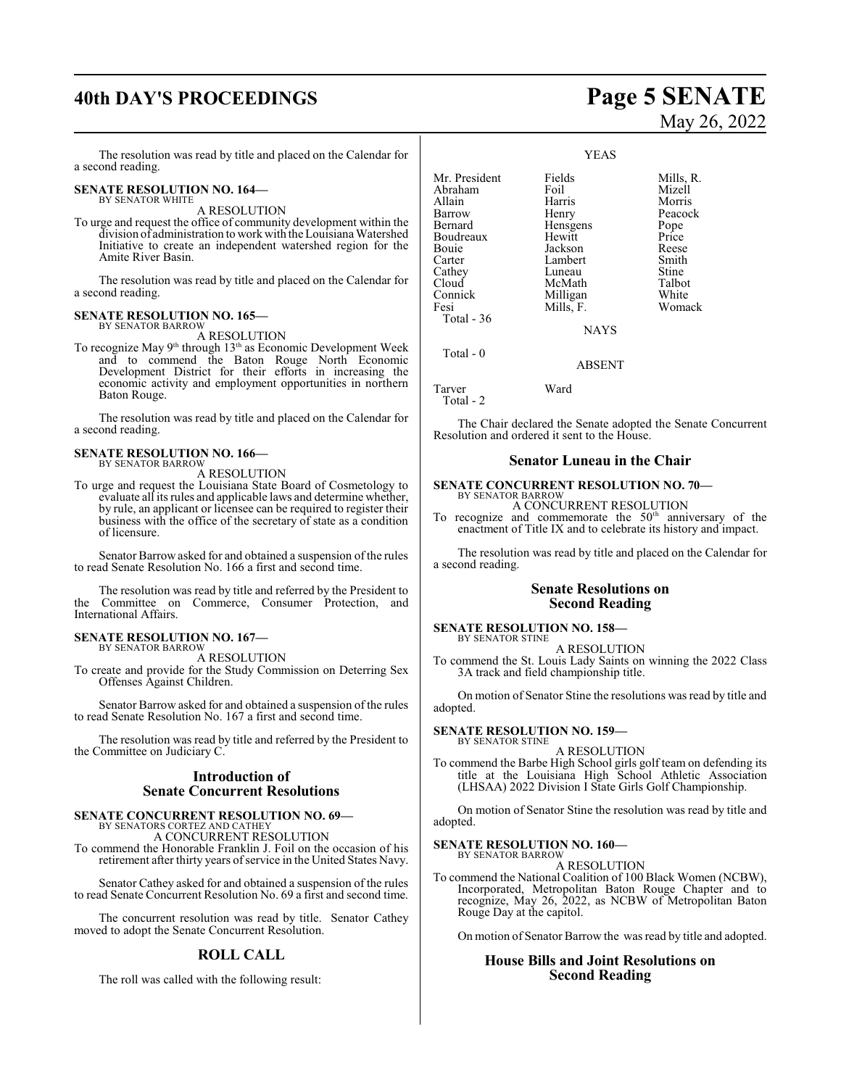## **40th DAY'S PROCEEDINGS Page 5 SENATE**

The resolution was read by title and placed on the Calendar for a second reading.

### **SENATE RESOLUTION NO. 164—** BY SENATOR WHITE

A RESOLUTION

To urge and request the office of community development within the division of administration to work with the Louisiana Watershed Initiative to create an independent watershed region for the Amite River Basin.

The resolution was read by title and placed on the Calendar for a second reading.

#### **SENATE RESOLUTION NO. 165—** BY SENATOR BARROW

A RESOLUTION

To recognize May 9<sup>th</sup> through 13<sup>th</sup> as Economic Development Week and to commend the Baton Rouge North Economic Development District for their efforts in increasing the economic activity and employment opportunities in northern Baton Rouge.

The resolution was read by title and placed on the Calendar for a second reading.

#### **SENATE RESOLUTION NO. 166—** BY SENATOR BARROW

A RESOLUTION

To urge and request the Louisiana State Board of Cosmetology to evaluate all its rules and applicable laws and determine whether, by rule, an applicant or licensee can be required to register their business with the office of the secretary of state as a condition of licensure.

Senator Barrow asked for and obtained a suspension of the rules to read Senate Resolution No. 166 a first and second time.

The resolution was read by title and referred by the President to the Committee on Commerce, Consumer Protection, and International Affairs.

#### **SENATE RESOLUTION NO. 167—** BY SENATOR BARROW

A RESOLUTION

To create and provide for the Study Commission on Deterring Sex Offenses Against Children.

Senator Barrow asked for and obtained a suspension of the rules to read Senate Resolution No. 167 a first and second time.

The resolution was read by title and referred by the President to the Committee on Judiciary C.

## **Introduction of Senate Concurrent Resolutions**

## **SENATE CONCURRENT RESOLUTION NO. 69—** BY SENATORS CORTEZ AND CATHEY

A CONCURRENT RESOLUTION To commend the Honorable Franklin J. Foil on the occasion of his

retirement after thirty years of service in the United States Navy.

Senator Cathey asked for and obtained a suspension of the rules to read Senate Concurrent Resolution No. 69 a first and second time.

The concurrent resolution was read by title. Senator Cathey moved to adopt the Senate Concurrent Resolution.

## **ROLL CALL**

The roll was called with the following result:

# May 26, 2022

YEAS Mr. President Fields Mills, R.<br>Abraham Foil Mizell Abraham Foil<br>Allain Harris Allain Harris Morris Barrow Henry Peacock<br>Bernard Hensgens Pope Hensgens Boudreaux Hewitt Price<br>
Bouie Jackson Reese Bouie Jackson Reese<br>Carter Lambert Smith Carter Lambert Smith<br>Cathey Luneau Stine Cathey Luneau Stine<br>Cloud McMath Talbot Cloud McMath Talbot<br>Connick Milligan White Connick Milligan<br>Fesi Mills, F. Womack Total - 36 **NAYS**  Total - 0 ABSENT Tarver Ward Total - 2

The Chair declared the Senate adopted the Senate Concurrent Resolution and ordered it sent to the House.

## **Senator Luneau in the Chair**

### **SENATE CONCURRENT RESOLUTION NO. 70—** BY SENATOR BARROW

A CONCURRENT RESOLUTION

To recognize and commemorate the  $50<sup>th</sup>$  anniversary of the enactment of Title IX and to celebrate its history and impact.

The resolution was read by title and placed on the Calendar for a second reading.

## **Senate Resolutions on Second Reading**

**SENATE RESOLUTION NO. 158—** BY SENATOR STINE

A RESOLUTION

To commend the St. Louis Lady Saints on winning the 2022 Class 3A track and field championship title.

On motion of Senator Stine the resolutions was read by title and adopted.

#### **SENATE RESOLUTION NO. 159—** BY SENATOR STINE

### A RESOLUTION

To commend the Barbe High School girls golf team on defending its title at the Louisiana High School Athletic Association (LHSAA) 2022 Division I State Girls Golf Championship.

On motion of Senator Stine the resolution was read by title and adopted.

### **SENATE RESOLUTION NO. 160—** BY SENATOR BARROW

A RESOLUTION

To commend the National Coalition of 100 Black Women (NCBW), Incorporated, Metropolitan Baton Rouge Chapter and to recognize, May 26, 2022, as NCBW of Metropolitan Baton Rouge Day at the capitol.

On motion of Senator Barrow the was read by title and adopted.

## **House Bills and Joint Resolutions on Second Reading**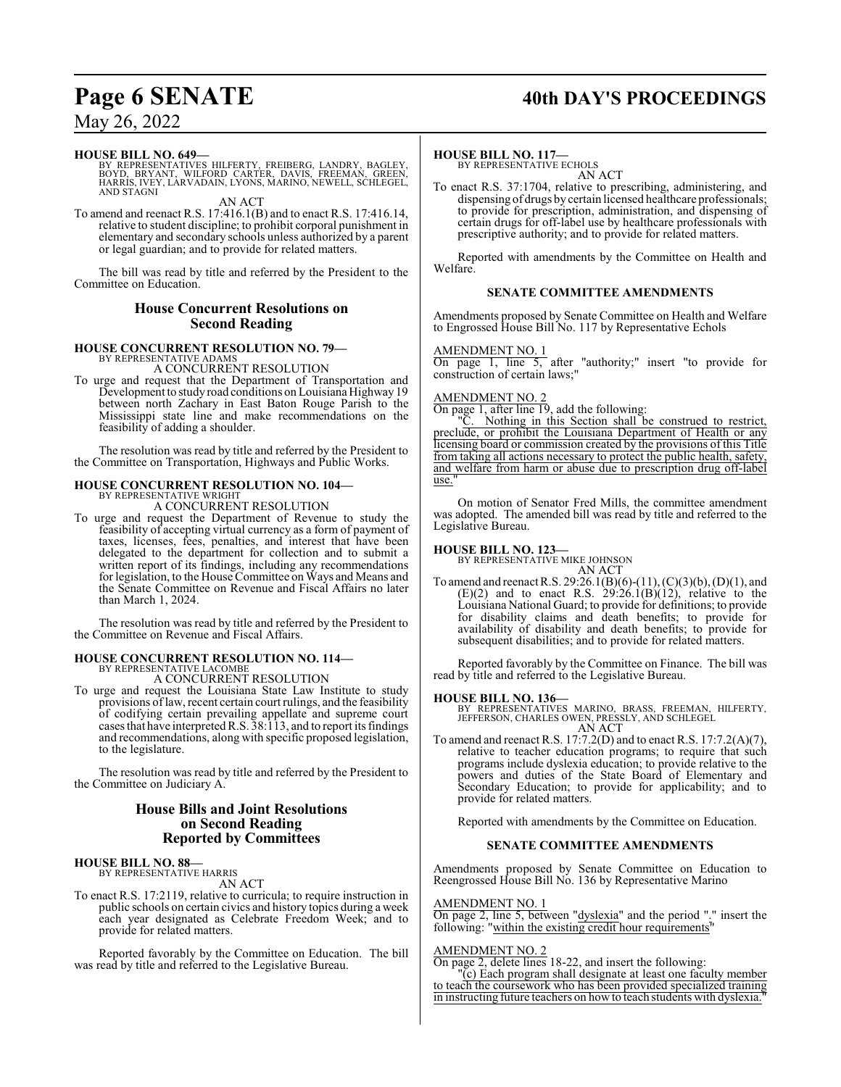## **Page 6 SENATE 40th DAY'S PROCEEDINGS**

## May 26, 2022

## **HOUSE BILL NO. 649—**

BY REPRESENTATIVES HILFERTY, FREIBERG, LANDRY, BAGLEY,<br>BOYD, BRYANT, WILFORD CARTER, DAVIS, FREEMAN, GREER,<br>HARRIS,IVEY, LARVADAIN, LYONS, MARINO, NEWELL, SCHLEGEL, AND STAGNI

AN ACT

To amend and reenact R.S. 17:416.1(B) and to enact R.S. 17:416.14, relative to student discipline; to prohibit corporal punishment in elementary and secondary schools unless authorized by a parent or legal guardian; and to provide for related matters.

The bill was read by title and referred by the President to the Committee on Education.

## **House Concurrent Resolutions on Second Reading**

#### **HOUSE CONCURRENT RESOLUTION NO. 79—** BY REPRESENTATIVE ADAMS

A CONCURRENT RESOLUTION

To urge and request that the Department of Transportation and Development to study road conditions on Louisiana Highway19 between north Zachary in East Baton Rouge Parish to the Mississippi state line and make recommendations on the feasibility of adding a shoulder.

The resolution was read by title and referred by the President to the Committee on Transportation, Highways and Public Works.

#### **HOUSE CONCURRENT RESOLUTION NO. 104—** BY REPRESENTATIVE WRIGHT

A CONCURRENT RESOLUTION

To urge and request the Department of Revenue to study the feasibility of accepting virtual currency as a form of payment of taxes, licenses, fees, penalties, and interest that have been delegated to the department for collection and to submit a written report of its findings, including any recommendations for legislation, to the House Committee on Ways and Means and the Senate Committee on Revenue and Fiscal Affairs no later than March 1, 2024.

The resolution was read by title and referred by the President to the Committee on Revenue and Fiscal Affairs.

## **HOUSE CONCURRENT RESOLUTION NO. 114—**

BY REPRESENTATIVE LACOMBE A CONCURRENT RESOLUTION

To urge and request the Louisiana State Law Institute to study provisions of law, recent certain court rulings, and the feasibility of codifying certain prevailing appellate and supreme court cases that have interpretedR.S. 38:113, and to report its findings and recommendations, along with specific proposed legislation, to the legislature.

The resolution was read by title and referred by the President to the Committee on Judiciary A.

## **House Bills and Joint Resolutions on Second Reading Reported by Committees**

## **HOUSE BILL NO. 88—**

BY REPRESENTATIVE HARRIS AN ACT

To enact R.S. 17:2119, relative to curricula; to require instruction in public schools on certain civics and history topics during a week each year designated as Celebrate Freedom Week; and to provide for related matters.

Reported favorably by the Committee on Education. The bill was read by title and referred to the Legislative Bureau.

## **HOUSE BILL NO. 117—**

BY REPRESENTATIVE ECHOLS AN ACT

To enact R.S. 37:1704, relative to prescribing, administering, and dispensing of drugs by certain licensed healthcare professionals; to provide for prescription, administration, and dispensing of certain drugs for off-label use by healthcare professionals with prescriptive authority; and to provide for related matters.

Reported with amendments by the Committee on Health and Welfare.

## **SENATE COMMITTEE AMENDMENTS**

Amendments proposed by Senate Committee on Health and Welfare to Engrossed House Bill No. 117 by Representative Echols

## AMENDMENT NO. 1

On page 1, line 5, after "authority;" insert "to provide for construction of certain laws;"

## AMENDMENT NO. 2

On page 1, after line 19, add the following:

"C. Nothing in this Section shall be construed to restrict, preclude, or prohibit the Louisiana Department of Health or any licensing board or commission created by the provisions of this Title from taking all actions necessary to protect the public health, safety, and welfare from harm or abuse due to prescription drug off-label use.

On motion of Senator Fred Mills, the committee amendment was adopted. The amended bill was read by title and referred to the Legislative Bureau.

## **HOUSE BILL NO. 123—**

BY REPRESENTATIVE MIKE JOHNSON

AN ACT To amend and reenact R.S. 29:26.1(B)(6)-(11), (C)(3)(b), (D)(1), and  $(E)(2)$  and to enact R.S.  $29:26.1(B)(12)$ , relative to the Louisiana National Guard; to provide for definitions; to provide for disability claims and death benefits; to provide for availability of disability and death benefits; to provide for subsequent disabilities; and to provide for related matters.

Reported favorably by the Committee on Finance. The bill was read by title and referred to the Legislative Bureau.

## **HOUSE BILL NO. 136—**

BY REPRESENTATIVES MARINO, BRASS, FREEMAN, HILFERTY, JEFFERSON, CHARLES OWEN, PRESSLY, AND SCHLEGEL AN ACT

To amend and reenact R.S. 17:7.2(D) and to enact R.S. 17:7.2(A)(7), relative to teacher education programs; to require that such programs include dyslexia education; to provide relative to the powers and duties of the State Board of Elementary and Secondary Education; to provide for applicability; and to provide for related matters.

Reported with amendments by the Committee on Education.

## **SENATE COMMITTEE AMENDMENTS**

Amendments proposed by Senate Committee on Education to Reengrossed House Bill No. 136 by Representative Marino

## AMENDMENT NO. 1

On page 2, line 5, between "dyslexia" and the period "." insert the following: "within the existing credit hour requirements"

## AMENDMENT NO. 2

On page 2, delete lines 18-22, and insert the following:

"(c) Each program shall designate at least one faculty member to teach the coursework who has been provided specialized training in instructing future teachers on how to teach students with dyslexia.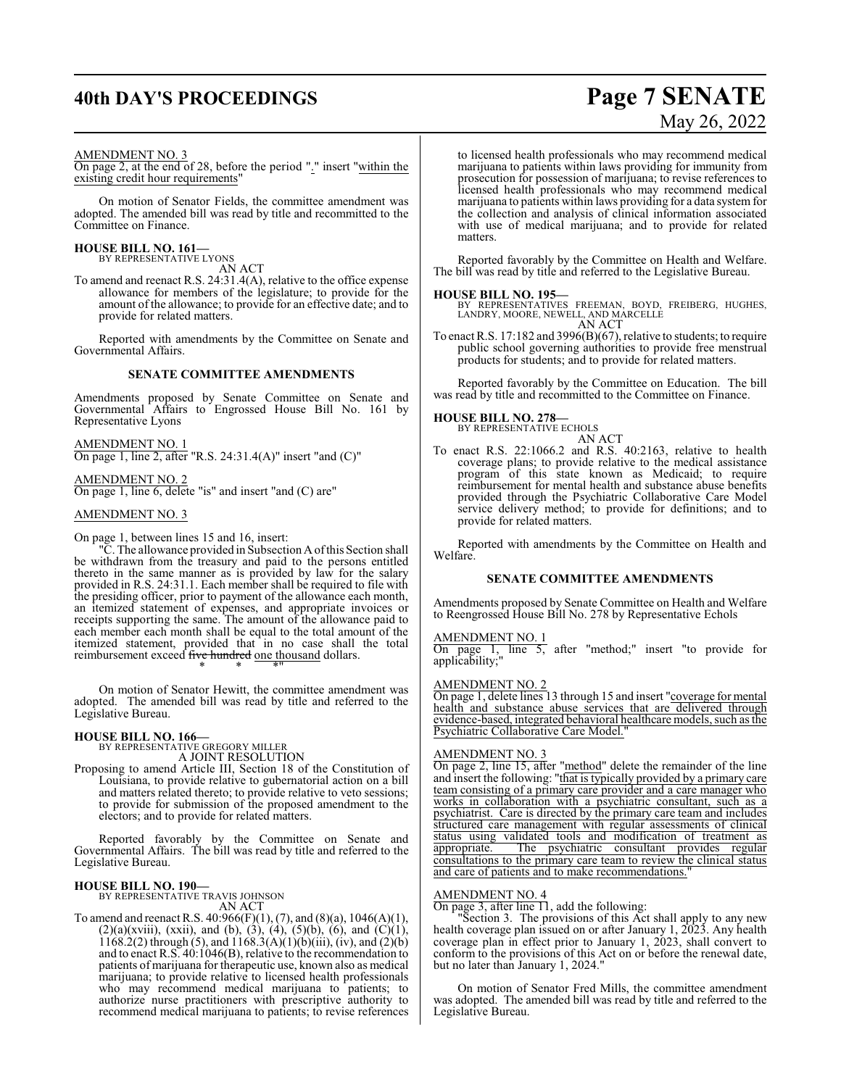## **40th DAY'S PROCEEDINGS Page 7 SENATE**

# May 26, 2022

### AMENDMENT NO. 3

On page 2, at the end of 28, before the period "." insert "within the existing credit hour requirements"

On motion of Senator Fields, the committee amendment was adopted. The amended bill was read by title and recommitted to the Committee on Finance.

## **HOUSE BILL NO. 161—** BY REPRESENTATIVE LYONS

AN ACT

To amend and reenact R.S. 24:31.4(A), relative to the office expense allowance for members of the legislature; to provide for the amount of the allowance; to provide for an effective date; and to provide for related matters.

Reported with amendments by the Committee on Senate and Governmental Affairs.

## **SENATE COMMITTEE AMENDMENTS**

Amendments proposed by Senate Committee on Senate and Governmental Affairs to Engrossed House Bill No. 161 by Representative Lyons

AMENDMENT NO. 1 On page 1, line 2, after "R.S. 24:31.4(A)" insert "and (C)"

AMENDMENT NO. 2 On page 1, line 6, delete "is" and insert "and (C) are"

## AMENDMENT NO. 3

On page 1, between lines 15 and 16, insert:

"C. The allowance provided in Subsection Aofthis Section shall be withdrawn from the treasury and paid to the persons entitled thereto in the same manner as is provided by law for the salary provided in R.S. 24:31.1. Each member shall be required to file with the presiding officer, prior to payment of the allowance each month, an itemized statement of expenses, and appropriate invoices or receipts supporting the same. The amount of the allowance paid to each member each month shall be equal to the total amount of the itemized statement, provided that in no case shall the total reimbursement exceed <del>five hundred</del> one thousand dollars. \* \* \*"

On motion of Senator Hewitt, the committee amendment was adopted. The amended bill was read by title and referred to the Legislative Bureau.

## **HOUSE BILL NO. 166—** BY REPRESENTATIVE GREGORY MILLER

A JOINT RESOLUTION

Proposing to amend Article III, Section 18 of the Constitution of Louisiana, to provide relative to gubernatorial action on a bill and matters related thereto; to provide relative to veto sessions; to provide for submission of the proposed amendment to the electors; and to provide for related matters.

Reported favorably by the Committee on Senate and Governmental Affairs. The bill was read by title and referred to the Legislative Bureau.

**HOUSE BILL NO. 190—** BY REPRESENTATIVE TRAVIS JOHNSON

AN ACT

To amend and reenact R.S.  $40:966(F)(1)$ ,  $(7)$ , and  $(8)(a)$ ,  $1046(A)(1)$ ,  $(2)(a)(xviii)$ , (xxii), and (b), (3), (4), (5)(b), (6), and (C)(1), 1168.2(2) through (5), and  $1168.3(A)(1)(b)(iii)$ , (iv), and (2)(b) and to enact R.S. 40:1046(B), relative to the recommendation to patients of marijuana for therapeutic use, known also as medical marijuana; to provide relative to licensed health professionals who may recommend medical marijuana to patients; to authorize nurse practitioners with prescriptive authority to recommend medical marijuana to patients; to revise references

to licensed health professionals who may recommend medical marijuana to patients within laws providing for immunity from prosecution for possession of marijuana; to revise references to licensed health professionals who may recommend medical marijuana to patients within laws providing for a data systemfor the collection and analysis of clinical information associated with use of medical marijuana; and to provide for related matters.

Reported favorably by the Committee on Health and Welfare. The bill was read by title and referred to the Legislative Bureau.

**HOUSE BILL NO. 195—** BY REPRESENTATIVES FREEMAN, BOYD, FREIBERG, HUGHES, LANDRY, MOORE, NEWELL, AND MARCELLE AN ACT

To enact R.S. 17:182 and 3996(B)(67), relative to students; to require public school governing authorities to provide free menstrual products for students; and to provide for related matters.

Reported favorably by the Committee on Education. The bill was read by title and recommitted to the Committee on Finance.

## **HOUSE BILL NO. 278—** BY REPRESENTATIVE ECHOLS

AN ACT

To enact R.S. 22:1066.2 and R.S. 40:2163, relative to health coverage plans; to provide relative to the medical assistance program of this state known as Medicaid; to require reimbursement for mental health and substance abuse benefits provided through the Psychiatric Collaborative Care Model service delivery method; to provide for definitions; and to provide for related matters.

Reported with amendments by the Committee on Health and Welfare.

## **SENATE COMMITTEE AMENDMENTS**

Amendments proposed by Senate Committee on Health and Welfare to Reengrossed House Bill No. 278 by Representative Echols

### AMENDMENT NO. 1

On page 1, line 5, after "method;" insert "to provide for applicability;"

## AMENDMENT NO. 2

On page 1, delete lines 13 through 15 and insert "coverage for mental health and substance abuse services that are delivered through evidence-based, integrated behavioral healthcare models, such as the Psychiatric Collaborative Care Model."

## AMENDMENT NO. 3

On page 2, line 15, after "method" delete the remainder of the line and insert the following: "that is typically provided by a primary care team consisting of a primary care provider and a care manager who works in collaboration with a psychiatric consultant, such as a psychiatrist. Care is directed by the primary care team and includes structured care management with regular assessments of clinical status using validated tools and modification of treatment as appropriate. The psychiatric consultant provides regular consultations to the primary care team to review the clinical status and care of patients and to make recommendations."

## AMENDMENT NO. 4

On page 3, after line  $\Pi$ , add the following:

"Section 3. The provisions of this Act shall apply to any new health coverage plan issued on or after January 1, 2023. Any health coverage plan in effect prior to January 1, 2023, shall convert to conform to the provisions of this Act on or before the renewal date, but no later than January 1, 2024."

On motion of Senator Fred Mills, the committee amendment was adopted. The amended bill was read by title and referred to the Legislative Bureau.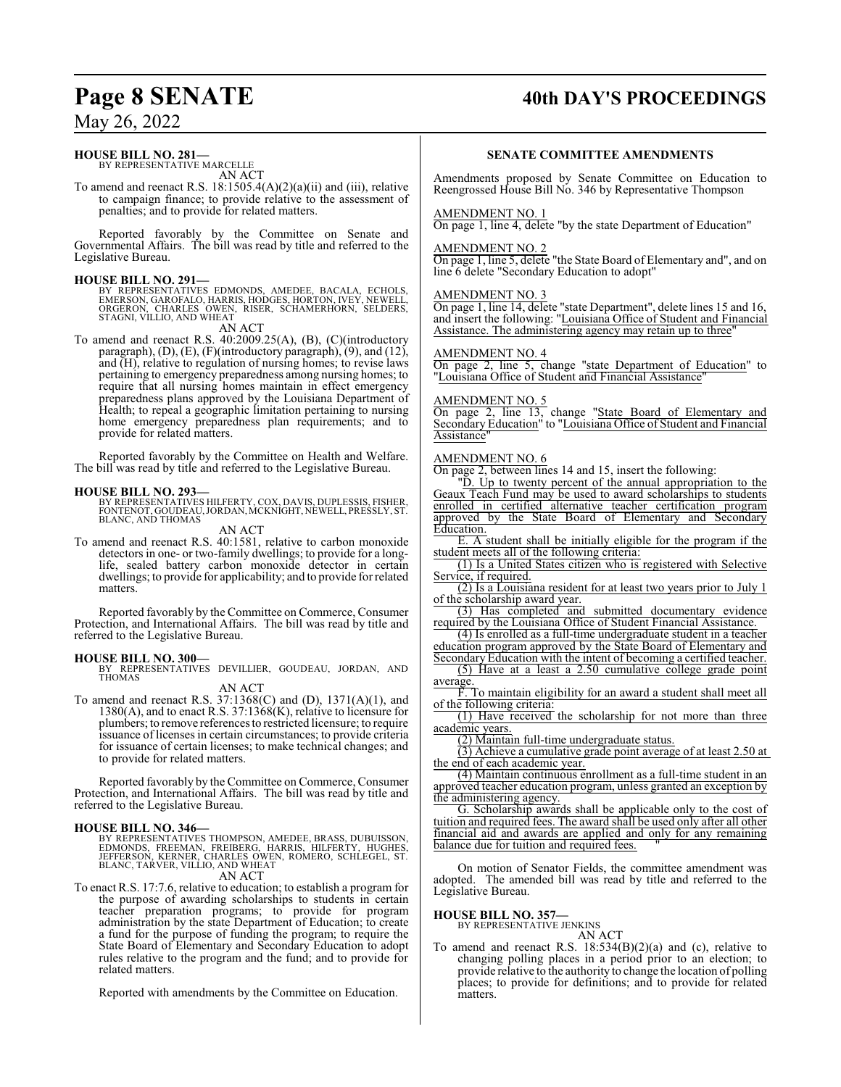## **HOUSE BILL NO. 281—**

BY REPRESENTATIVE MARCELLE AN ACT

To amend and reenact R.S.  $18:1505.4(A)(2)(a)(ii)$  and (iii), relative to campaign finance; to provide relative to the assessment of penalties; and to provide for related matters.

Reported favorably by the Committee on Senate and Governmental Affairs. The bill was read by title and referred to the Legislative Bureau.

**HOUSE BILL NO. 291—**<br>BY REPRESENTATIVES EDMONDS, AMEDEE, BACALA, ECHOLS,<br>EMERSON, GAROFALO, HARRIS, HODGES, HORTON, IVEY, NEWELL,<br>ORGERON, CHARLES OWEN, RISER, SCHAMERHORN, SELDERS, STAGNI, VILLIO, AND WHEAT

AN ACT

To amend and reenact R.S. 40:2009.25(A), (B), (C)(introductory paragraph),  $(D)$ ,  $(E)$ ,  $(F)$ (introductory paragraph),  $(9)$ , and  $(12)$ , and (H), relative to regulation of nursing homes; to revise laws pertaining to emergency preparedness among nursing homes; to require that all nursing homes maintain in effect emergency preparedness plans approved by the Louisiana Department of Health; to repeal a geographic limitation pertaining to nursing home emergency preparedness plan requirements; and to provide for related matters.

Reported favorably by the Committee on Health and Welfare. The bill was read by title and referred to the Legislative Bureau.

## **HOUSE BILL NO. 293—**

BY REPRESENTATIVES HILFERTY, COX, DAVIS, DUPLESSIS, FISHER, FONTENOT, GOUDEAU,JORDAN, MCKNIGHT, NEWELL, PRESSLY, ST. BLANC, AND THOMAS

AN ACT

To amend and reenact R.S. 40:1581, relative to carbon monoxide detectors in one- or two-family dwellings; to provide for a longlife, sealed battery carbon monoxide detector in certain dwellings; to provide for applicability; and to provide for related matters.

Reported favorably by the Committee on Commerce, Consumer Protection, and International Affairs. The bill was read by title and referred to the Legislative Bureau.

**HOUSE BILL NO. 300—** BY REPRESENTATIVES DEVILLIER, GOUDEAU, JORDAN, AND THOMAS AN ACT

To amend and reenact R.S. 37:1368(C) and (D), 1371(A)(1), and 1380(A), and to enact R.S. 37:1368(K), relative to licensure for plumbers; to remove references to restricted licensure; to require issuance of licenses in certain circumstances; to provide criteria for issuance of certain licenses; to make technical changes; and to provide for related matters.

Reported favorably by the Committee on Commerce, Consumer Protection, and International Affairs. The bill was read by title and referred to the Legislative Bureau.

**HOUSE BILL NO. 346—**<br>BY REPRESENTATIVES THOMPSON, AMEDEE, BRASS, DUBUISSON,<br>EDMONDS, FREEMAN, FREIBERG, HARRIS, HILFERTY, HUGHES,<br>JEFFERSON, KERNER, CHARLES OWEN, ROMERO, SCHLEGEL, ST.<br>BLANC, TARVER, VILLIO, AND WHEAT

AN ACT

To enact R.S. 17:7.6, relative to education; to establish a program for the purpose of awarding scholarships to students in certain teacher preparation programs; to provide for program administration by the state Department of Education; to create a fund for the purpose of funding the program; to require the State Board of Elementary and Secondary Education to adopt rules relative to the program and the fund; and to provide for related matters.

Reported with amendments by the Committee on Education.

## **Page 8 SENATE 40th DAY'S PROCEEDINGS**

## **SENATE COMMITTEE AMENDMENTS**

Amendments proposed by Senate Committee on Education to Reengrossed House Bill No. 346 by Representative Thompson

## AMENDMENT NO. 1

On page 1, line 4, delete "by the state Department of Education"

#### AMENDMENT NO. 2

On page 1, line 5, delete "the State Board of Elementary and", and on line 6 delete "Secondary Education to adopt"

## AMENDMENT NO. 3

On page 1, line 14, delete "state Department", delete lines 15 and 16, and insert the following: "Louisiana Office of Student and Financial Assistance. The administering agency may retain up to three"

## AMENDMENT NO. 4

On page 2, line 5, change "state Department of Education" to "Louisiana Office of Student and Financial Assistance"

## AMENDMENT NO. 5

On page 2, line 13, change "State Board of Elementary and Secondary Education" to "Louisiana Office of Student and Financial **Assistance** 

## AMENDMENT NO. 6

On page 2, between lines 14 and 15, insert the following:

"D. Up to twenty percent of the annual appropriation to the Geaux Teach Fund may be used to award scholarships to students enrolled in certified alternative teacher certification program approved by the State Board of Elementary and Secondary Education.

E. A student shall be initially eligible for the program if the student meets all of the following criteria:

(1) Is a United States citizen who is registered with Selective Service, if required.

(2) Is a Louisiana resident for at least two years prior to July 1 of the scholarship award year.

(3) Has completed and submitted documentary evidence required by the Louisiana Office of Student Financial Assistance.

(4) Is enrolled as a full-time undergraduate student in a teacher education program approved by the State Board of Elementary and

Secondary Education with the intent of becoming a certified teacher. (5) Have at a least a 2.50 cumulative college grade point average.

F. To maintain eligibility for an award a student shall meet all of the following criteria:

(1) Have received the scholarship for not more than three academic years.

(2) Maintain full-time undergraduate status.

(3) Achieve a cumulative grade point average of at least 2.50 at the end of each academic year.

(4) Maintain continuous enrollment as a full-time student in an approved teacher education program, unless granted an exception by the administering agency.

G. Scholarship awards shall be applicable only to the cost of tuition and required fees. The award shall be used only after all other financial aid and awards are applied and only for any remaining balance due for tuition and required fees.

On motion of Senator Fields, the committee amendment was adopted. The amended bill was read by title and referred to the Legislative Bureau.

**HOUSE BILL NO. 357—**

BY REPRESENTATIVE JENKINS AN ACT

To amend and reenact R.S. 18:534(B)(2)(a) and (c), relative to changing polling places in a period prior to an election; to provide relative to the authority to change the location of polling places; to provide for definitions; and to provide for related matters.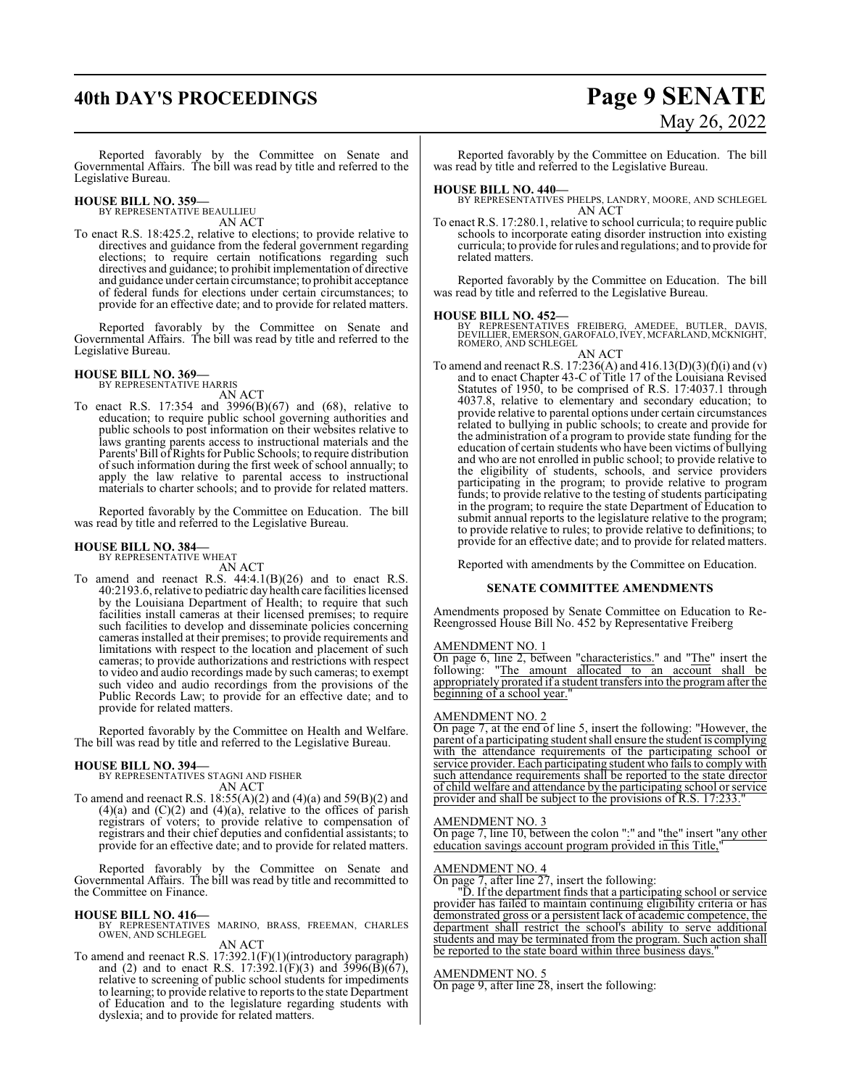## **40th DAY'S PROCEEDINGS Page 9 SENATE**

# May 26, 2022

Reported favorably by the Committee on Senate and Governmental Affairs. The bill was read by title and referred to the Legislative Bureau.

### **HOUSE BILL NO. 359—** BY REPRESENTATIVE BEAULLIEU

AN ACT

To enact R.S. 18:425.2, relative to elections; to provide relative to directives and guidance from the federal government regarding elections; to require certain notifications regarding such directives and guidance; to prohibit implementation of directive and guidance under certain circumstance; to prohibit acceptance of federal funds for elections under certain circumstances; to provide for an effective date; and to provide for related matters.

Reported favorably by the Committee on Senate and Governmental Affairs. The bill was read by title and referred to the Legislative Bureau.

## **HOUSE BILL NO. 369—** BY REPRESENTATIVE HARRIS

AN ACT

To enact R.S. 17:354 and 3996(B)(67) and (68), relative to education; to require public school governing authorities and public schools to post information on their websites relative to laws granting parents access to instructional materials and the Parents'Bill ofRights for Public Schools; to require distribution ofsuch information during the first week of school annually; to apply the law relative to parental access to instructional materials to charter schools; and to provide for related matters.

Reported favorably by the Committee on Education. The bill was read by title and referred to the Legislative Bureau.

### **HOUSE BILL NO. 384—** BY REPRESENTATIVE WHEAT

AN ACT

To amend and reenact R.S. 44:4.1(B)(26) and to enact R.S. 40:2193.6, relative to pediatric dayhealth care facilities licensed by the Louisiana Department of Health; to require that such facilities install cameras at their licensed premises; to require such facilities to develop and disseminate policies concerning cameras installed at their premises; to provide requirements and limitations with respect to the location and placement of such cameras; to provide authorizations and restrictions with respect to video and audio recordings made by such cameras; to exempt such video and audio recordings from the provisions of the Public Records Law; to provide for an effective date; and to provide for related matters.

Reported favorably by the Committee on Health and Welfare. The bill was read by title and referred to the Legislative Bureau.

**HOUSE BILL NO. 394—** BY REPRESENTATIVES STAGNI AND FISHER AN ACT

To amend and reenact R.S.  $18:55(A)(2)$  and  $(4)(a)$  and  $59(B)(2)$  and  $(4)(a)$  and  $(C)(2)$  and  $(4)(a)$ , relative to the offices of parish registrars of voters; to provide relative to compensation of registrars and their chief deputies and confidential assistants; to provide for an effective date; and to provide for related matters.

Reported favorably by the Committee on Senate and Governmental Affairs. The bill was read by title and recommitted to the Committee on Finance.

**HOUSE BILL NO. 416—** BY REPRESENTATIVES MARINO, BRASS, FREEMAN, CHARLES OWEN, AND SCHLEGEL AN ACT

To amend and reenact R.S. 17:392.1(F)(1)(introductory paragraph) and (2) and to enact R.S. 17:392.1(F)(3) and 3996(B)(67), relative to screening of public school students for impediments to learning; to provide relative to reports to the state Department of Education and to the legislature regarding students with dyslexia; and to provide for related matters.

Reported favorably by the Committee on Education. The bill was read by title and referred to the Legislative Bureau.

## **HOUSE BILL NO. 440—**

BY REPRESENTATIVES PHELPS, LANDRY, MOORE, AND SCHLEGEL AN ACT

To enact R.S. 17:280.1, relative to school curricula; to require public schools to incorporate eating disorder instruction into existing curricula; to provide for rules and regulations; and to provide for related matters.

Reported favorably by the Committee on Education. The bill was read by title and referred to the Legislative Bureau.

## **HOUSE BILL NO. 452—**

BY REPRESENTATIVES FREIBERG, AMEDEE, BUTLER, DAVIS, DEVILLIER, EMERSON, GAROFALO, IVEY, MCFARLAND, MCKNIGHT, ROMERO, AND SCHLEGEL

AN ACT To amend and reenact R.S. 17:236(A) and 416.13(D)(3)(f)(i) and (v) and to enact Chapter 43-C of Title 17 of the Louisiana Revised Statutes of 1950, to be comprised of R.S. 17:4037.1 through 4037.8, relative to elementary and secondary education; to provide relative to parental options under certain circumstances related to bullying in public schools; to create and provide for the administration of a program to provide state funding for the education of certain students who have been victims of bullying and who are not enrolled in public school; to provide relative to the eligibility of students, schools, and service providers participating in the program; to provide relative to program funds; to provide relative to the testing of students participating in the program; to require the state Department of Education to submit annual reports to the legislature relative to the program; to provide relative to rules; to provide relative to definitions; to provide for an effective date; and to provide for related matters.

Reported with amendments by the Committee on Education.

## **SENATE COMMITTEE AMENDMENTS**

Amendments proposed by Senate Committee on Education to Re-Reengrossed House Bill No. 452 by Representative Freiberg

## AMENDMENT NO. 1

On page 6, line 2, between "characteristics." and "The" insert the following: "The amount allocated to an account shall be appropriately prorated if a student transfers into the programafter the beginning of a school year.

## AMENDMENT NO. 2

On page 7, at the end of line 5, insert the following: "However, the parent of a participating student shall ensure the student is complying with the attendance requirements of the participating school or service provider. Each participating student who fails to comply with such attendance requirements shall be reported to the state director of child welfare and attendance by the participating school or service provider and shall be subject to the provisions of R.S. 17:233.

## AMENDMENT NO. 3

On page 7, line 10, between the colon ":" and "the" insert "any other education savings account program provided in this Title,"

## AMENDMENT NO. 4

On page 7, after line 27, insert the following:

"D. If the department finds that a participating school or service provider has failed to maintain continuing eligibility criteria or has demonstrated gross or a persistent lack of academic competence, the department shall restrict the school's ability to serve additional students and may be terminated from the program. Such action shall be reported to the state board within three business days."

## AMENDMENT NO. 5

On page 9, after line 28, insert the following: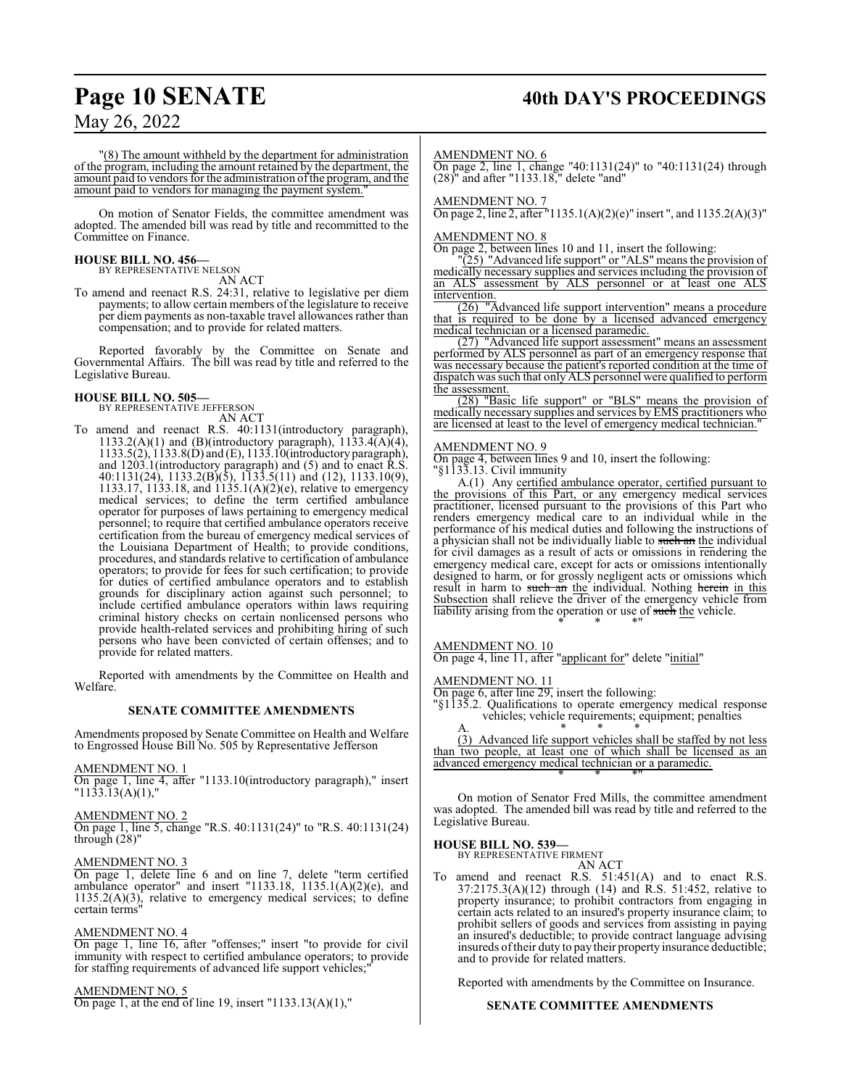## **Page 10 SENATE 40th DAY'S PROCEEDINGS**

May 26, 2022

"(8) The amount withheld by the department for administration of the program, including the amount retained by the department, the amount paid to vendors for the administration of the program, and the amount paid to vendors for managing the payment system.

On motion of Senator Fields, the committee amendment was adopted. The amended bill was read by title and recommitted to the Committee on Finance.

## **HOUSE BILL NO. 456—** BY REPRESENTATIVE NELSON

AN ACT

To amend and reenact R.S. 24:31, relative to legislative per diem payments; to allow certain members of the legislature to receive per diem payments as non-taxable travel allowances rather than compensation; and to provide for related matters.

Reported favorably by the Committee on Senate and Governmental Affairs. The bill was read by title and referred to the Legislative Bureau.

## **HOUSE BILL NO. 505—** BY REPRESENTATIVE JEFFERSON

AN ACT

To amend and reenact R.S. 40:1131(introductory paragraph), 1133.2(A)(1) and (B)(introductory paragraph),  $1133.4(A)(4)$ , 1133.5(2), 1133.8(D) and (E), 1133.10(introductory paragraph), and 1203.1(introductory paragraph) and (5) and to enact R.S. 40:1131(24), 1133.2(B)(5), 1133.5(11) and (12), 1133.10(9), 1133.17, 1133.18, and 1135.1(A)(2)(e), relative to emergency medical services; to define the term certified ambulance operator for purposes of laws pertaining to emergency medical personnel; to require that certified ambulance operators receive certification from the bureau of emergency medical services of the Louisiana Department of Health; to provide conditions, procedures, and standards relative to certification of ambulance operators; to provide for fees for such certification; to provide for duties of certified ambulance operators and to establish grounds for disciplinary action against such personnel; to include certified ambulance operators within laws requiring criminal history checks on certain nonlicensed persons who provide health-related services and prohibiting hiring of such persons who have been convicted of certain offenses; and to provide for related matters.

Reported with amendments by the Committee on Health and Welfare.

## **SENATE COMMITTEE AMENDMENTS**

Amendments proposed by Senate Committee on Health and Welfare to Engrossed House Bill No. 505 by Representative Jefferson

## AMENDMENT NO. 1

On page 1, line 4, after "1133.10(introductory paragraph)," insert  $"11\overline{3}3.\overline{1}3(A)(1),"$ 

## AMENDMENT NO. 2

On page 1, line 5, change "R.S. 40:1131(24)" to "R.S. 40:1131(24) through (28)"

## AMENDMENT NO. 3

On page 1, delete line 6 and on line 7, delete "term certified ambulance operator" and insert "1133.18, 1135.1(A)(2)(e), and  $1135.2(A)(3)$ , relative to emergency medical services; to define certain terms"

## AMENDMENT NO. 4

On page 1, line 16, after "offenses;" insert "to provide for civil immunity with respect to certified ambulance operators; to provide for staffing requirements of advanced life support vehicles;

## AMENDMENT NO. 5

On page 1, at the end of line 19, insert " $1133.13(A)(1)$ ,"

AMENDMENT NO. 6

On page 2, line 1, change "40:1131(24)" to "40:1131(24) through (28)" and after "1133.18," delete "and"

AMENDMENT NO. 7

On page 2, line 2, after "1135.1(A)(2)(e)" insert ", and 1135.2(A)(3)"

## AMENDMENT NO. 8

On page 2, between lines 10 and 11, insert the following:

"(25) "Advanced life support" or "ALS" means the provision of medically necessary supplies and services including the provision of an ALS assessment by ALS personnel or at least one ALS intervention.

(26) "Advanced life support intervention" means a procedure that is required to be done by a licensed advanced emergency medical technician or a licensed paramedic.

(27) "Advanced life support assessment" means an assessment performed by ALS personnel as part of an emergency response that was necessary because the patient's reported condition at the time of dispatch was such that only ALS personnel were qualified to perform the assessment.

(28) "Basic life support" or "BLS" means the provision of medically necessary supplies and services by EMS practitioners who are licensed at least to the level of emergency medical technician."

## AMENDMENT NO. 9

On page 4, between lines 9 and 10, insert the following: "§1133.13. Civil immunity

A.(1) Any certified ambulance operator, certified pursuant to the provisions of this Part, or any emergency medical services practitioner, licensed pursuant to the provisions of this Part who renders emergency medical care to an individual while in the performance of his medical duties and following the instructions of a physician shall not be individually liable to such an the individual for civil damages as a result of acts or omissions in rendering the emergency medical care, except for acts or omissions intentionally designed to harm, or for grossly negligent acts or omissions which result in harm to such an the individual. Nothing herein in this Subsection shall relieve the driver of the emergency vehicle from liability arising from the operation or use of such the vehicle. \* \* \*"

## AMENDMENT NO. 10

On page 4, line 11, after "applicant for" delete "initial"

AMENDMENT NO. 11

On page 6, after line 29, insert the following:

"§1135.2. Qualifications to operate emergency medical response vehicles; vehicle requirements; equipment; penalties A. \* \* \*

(3) Advanced life support vehicles shall be staffed by not less than two people, at least one of which shall be licensed as an advanced emergency medical technician or a paramedic. \* \* \*"

On motion of Senator Fred Mills, the committee amendment was adopted. The amended bill was read by title and referred to the Legislative Bureau.

## **HOUSE BILL NO. 539—**

BY REPRESENTATIVE FIRMENT

AN ACT To amend and reenact R.S. 51:451(A) and to enact R.S. 37:2175.3(A)(12) through (14) and R.S. 51:452, relative to property insurance; to prohibit contractors from engaging in certain acts related to an insured's property insurance claim; to prohibit sellers of goods and services from assisting in paying an insured's deductible; to provide contract language advising insureds oftheir duty to pay their property insurance deductible; and to provide for related matters.

Reported with amendments by the Committee on Insurance.

## **SENATE COMMITTEE AMENDMENTS**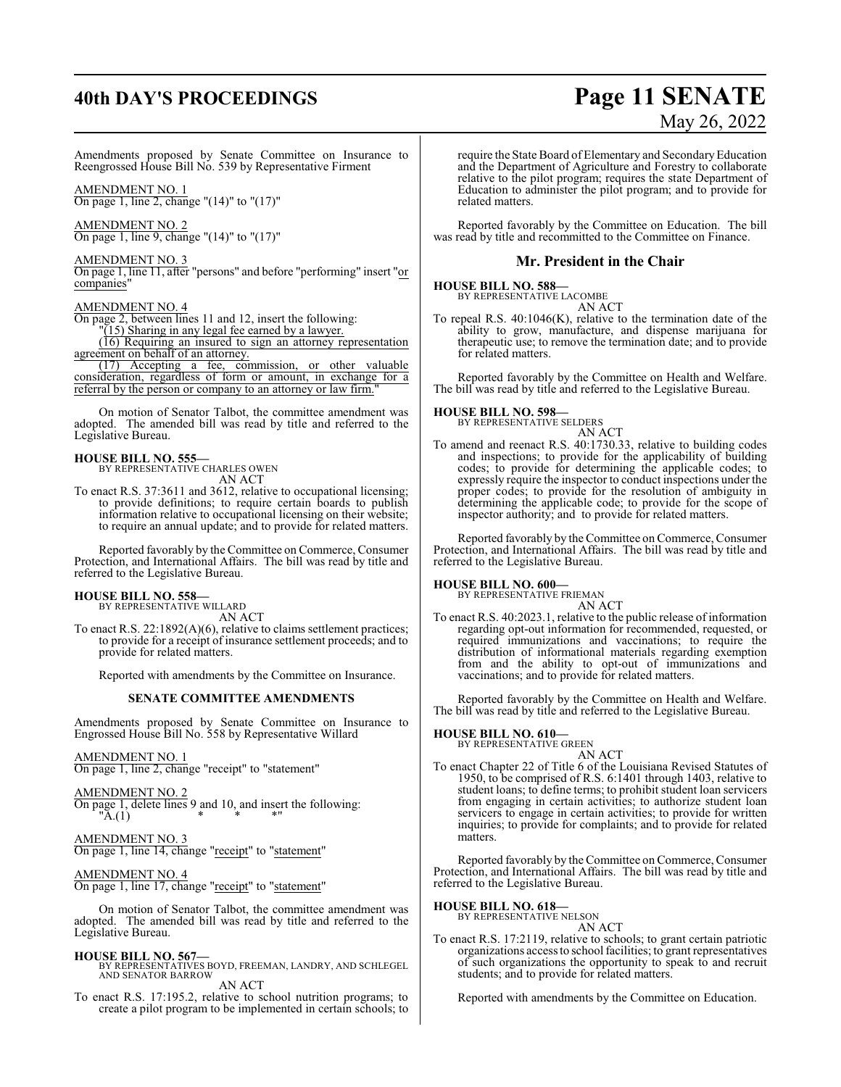## **40th DAY'S PROCEEDINGS Page 11 SENATE**

# May 26, 2022

Amendments proposed by Senate Committee on Insurance to Reengrossed House Bill No. 539 by Representative Firment

AMENDMENT NO. 1 On page 1, line 2, change "(14)" to "(17)"

AMENDMENT NO. 2 On page 1, line 9, change "(14)" to "(17)"

## AMENDMENT NO. 3

On page 1, line 11, after "persons" and before "performing" insert "or companies"

## AMENDMENT NO. 4

On page 2, between lines 11 and 12, insert the following:

"(15) Sharing in any legal fee earned by a lawyer.

(16) Requiring an insured to sign an attorney representation agreement on behalf of an attorney.

(17) Accepting a fee, commission, or other valuable consideration, regardless of form or amount, in exchange for a referral by the person or company to an attorney or law firm.

On motion of Senator Talbot, the committee amendment was adopted. The amended bill was read by title and referred to the Legislative Bureau.

## **HOUSE BILL NO. 555—**

BY REPRESENTATIVE CHARLES OWEN AN ACT

To enact R.S. 37:3611 and 3612, relative to occupational licensing; to provide definitions; to require certain boards to publish information relative to occupational licensing on their website; to require an annual update; and to provide for related matters.

Reported favorably by the Committee on Commerce, Consumer Protection, and International Affairs. The bill was read by title and referred to the Legislative Bureau.

## **HOUSE BILL NO. 558—** BY REPRESENTATIVE WILLARD

AN ACT

To enact R.S. 22:1892(A)(6), relative to claims settlement practices; to provide for a receipt of insurance settlement proceeds; and to provide for related matters.

Reported with amendments by the Committee on Insurance.

## **SENATE COMMITTEE AMENDMENTS**

Amendments proposed by Senate Committee on Insurance to Engrossed House Bill No. 558 by Representative Willard

## AMENDMENT NO. 1

On page 1, line 2, change "receipt" to "statement"

AMENDMENT NO. 2

On page 1, delete lines 9 and 10, and insert the following:  ${}^{\shortparallel} \mathbf{\tilde{A}}.(\mathbf{1}) \qquad \qquad * \qquad * \qquad * \mathbf{...}$ 

## AMENDMENT NO. 3

On page 1, line 14, change "receipt" to "statement"

## AMENDMENT NO. 4

On page 1, line 17, change "receipt" to "statement"

On motion of Senator Talbot, the committee amendment was adopted. The amended bill was read by title and referred to the Legislative Bureau.

## **HOUSE BILL NO. 567—**

BY REPRESENTATIVES BOYD, FREEMAN, LANDRY, AND SCHLEGEL AND SENATOR BARROW AN ACT

To enact R.S. 17:195.2, relative to school nutrition programs; to create a pilot program to be implemented in certain schools; to require the State Board of Elementary and Secondary Education and the Department of Agriculture and Forestry to collaborate relative to the pilot program; requires the state Department of Education to administer the pilot program; and to provide for related matters.

Reported favorably by the Committee on Education. The bill was read by title and recommitted to the Committee on Finance.

## **Mr. President in the Chair**

## **HOUSE BILL NO. 588—**

BY REPRESENTATIVE LACOMBE AN ACT

To repeal R.S. 40:1046(K), relative to the termination date of the ability to grow, manufacture, and dispense marijuana for therapeutic use; to remove the termination date; and to provide for related matters.

Reported favorably by the Committee on Health and Welfare. The bill was read by title and referred to the Legislative Bureau.

## **HOUSE BILL NO. 598—**

BY REPRESENTATIVE SELDERS AN ACT

To amend and reenact R.S. 40:1730.33, relative to building codes and inspections; to provide for the applicability of building codes; to provide for determining the applicable codes; to expressly require the inspector to conduct inspections under the proper codes; to provide for the resolution of ambiguity in determining the applicable code; to provide for the scope of inspector authority; and to provide for related matters.

Reported favorably by the Committee on Commerce, Consumer Protection, and International Affairs. The bill was read by title and referred to the Legislative Bureau.

## **HOUSE BILL NO. 600—** BY REPRESENTATIVE FRIEMAN

AN ACT

To enact R.S. 40:2023.1, relative to the public release of information regarding opt-out information for recommended, requested, or required immunizations and vaccinations; to require the distribution of informational materials regarding exemption from and the ability to opt-out of immunizations and vaccinations; and to provide for related matters.

Reported favorably by the Committee on Health and Welfare. The bill was read by title and referred to the Legislative Bureau.

## **HOUSE BILL NO. 610—** BY REPRESENTATIVE GREEN

AN ACT To enact Chapter 22 of Title 6 of the Louisiana Revised Statutes of 1950, to be comprised of R.S. 6:1401 through 1403, relative to student loans; to define terms; to prohibit student loan servicers from engaging in certain activities; to authorize student loan servicers to engage in certain activities; to provide for written inquiries; to provide for complaints; and to provide for related matters.

Reported favorably by the Committee on Commerce, Consumer Protection, and International Affairs. The bill was read by title and referred to the Legislative Bureau.

## **HOUSE BILL NO. 618—** BY REPRESENTATIVE NELSON

AN ACT

To enact R.S. 17:2119, relative to schools; to grant certain patriotic organizations access to school facilities; to grant representatives of such organizations the opportunity to speak to and recruit students; and to provide for related matters.

Reported with amendments by the Committee on Education.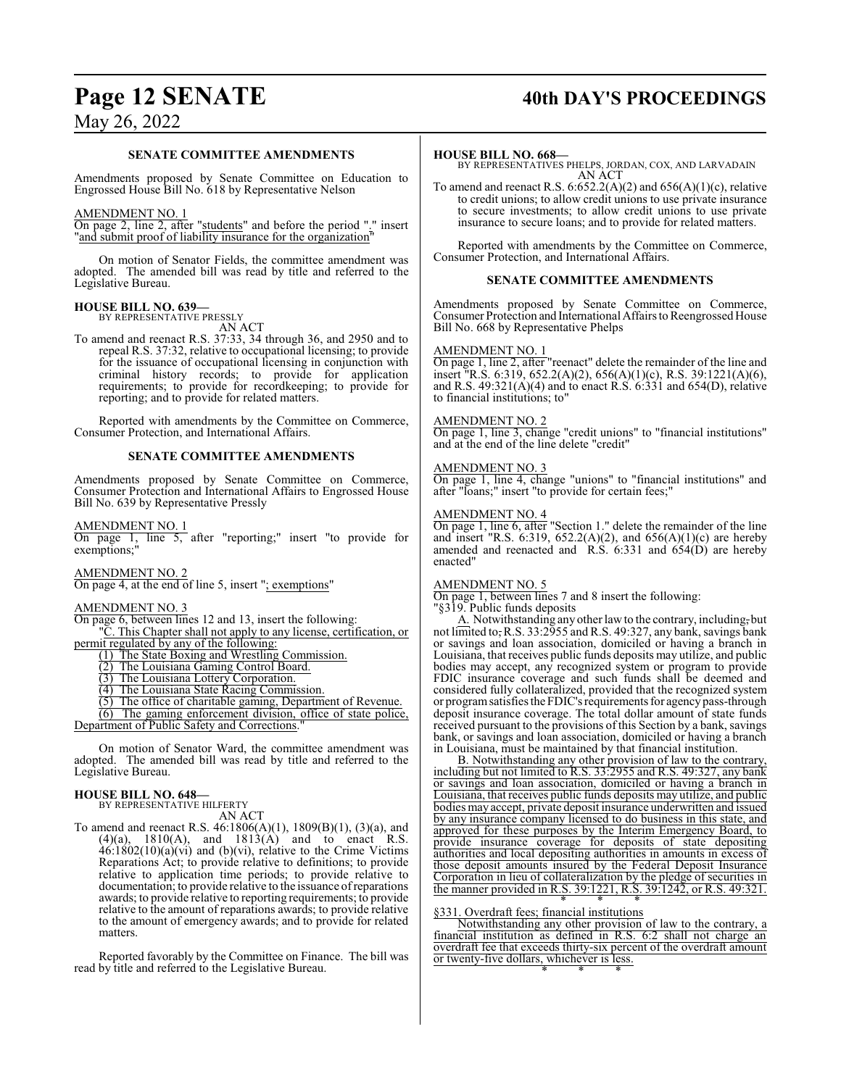## **Page 12 SENATE 40th DAY'S PROCEEDINGS**

## May 26, 2022

## **SENATE COMMITTEE AMENDMENTS**

Amendments proposed by Senate Committee on Education to Engrossed House Bill No. 618 by Representative Nelson

## AMENDMENT NO. 1

On page 2, line 2, after "students" and before the period "." insert "and submit proof of liability insurance for the organization"

On motion of Senator Fields, the committee amendment was adopted. The amended bill was read by title and referred to the Legislative Bureau.

## **HOUSE BILL NO. 639—**

BY REPRESENTATIVE PRESSLY AN ACT

To amend and reenact R.S. 37:33, 34 through 36, and 2950 and to repeal R.S. 37:32, relative to occupational licensing; to provide for the issuance of occupational licensing in conjunction with criminal history records; to provide for application requirements; to provide for recordkeeping; to provide for reporting; and to provide for related matters.

Reported with amendments by the Committee on Commerce, Consumer Protection, and International Affairs.

## **SENATE COMMITTEE AMENDMENTS**

Amendments proposed by Senate Committee on Commerce, Consumer Protection and International Affairs to Engrossed House Bill No. 639 by Representative Pressly

AMENDMENT NO. 1

On page 1, line 5, after "reporting;" insert "to provide for exemptions;"

AMENDMENT NO. 2 On page 4, at the end of line 5, insert "; exemptions"

### AMENDMENT NO. 3

On page 6, between lines 12 and 13, insert the following: "C. This Chapter shall not apply to any license, certification, or permit regulated by any of the following:

- (1) The State Boxing and Wrestling Commission.
- (2) The Louisiana Gaming Control Board.
- (3) The Louisiana Lottery Corporation.

(4) The Louisiana State Racing Commission.

(5) The office of charitable gaming, Department of Revenue. (6) The gaming enforcement division, office of state police, Department of Public Safety and Corrections."

On motion of Senator Ward, the committee amendment was adopted. The amended bill was read by title and referred to the Legislative Bureau.

## **HOUSE BILL NO. 648—**

BY REPRESENTATIVE HILFERTY AN ACT

To amend and reenact R.S. 46:1806(A)(1), 1809(B)(1), (3)(a), and  $(4)(a)$ ,  $1810(A)$ , and  $1813(A)$  and to enact R.S.  $46:1802(10)(a)(vi)$  and (b)(vi), relative to the Crime Victims Reparations Act; to provide relative to definitions; to provide relative to application time periods; to provide relative to documentation; to provide relative to the issuance ofreparations awards; to provide relative to reporting requirements; to provide relative to the amount of reparations awards; to provide relative to the amount of emergency awards; and to provide for related matters.

Reported favorably by the Committee on Finance. The bill was read by title and referred to the Legislative Bureau.

### **HOUSE BILL NO. 668—**

BY REPRESENTATIVES PHELPS, JORDAN, COX, AND LARVADAIN AN ACT

To amend and reenact R.S.  $6:652.2(A)(2)$  and  $656(A)(1)(c)$ , relative to credit unions; to allow credit unions to use private insurance to secure investments; to allow credit unions to use private insurance to secure loans; and to provide for related matters.

Reported with amendments by the Committee on Commerce, Consumer Protection, and International Affairs.

## **SENATE COMMITTEE AMENDMENTS**

Amendments proposed by Senate Committee on Commerce, Consumer Protection and International Affairs to Reengrossed House Bill No. 668 by Representative Phelps

## AMENDMENT NO. 1

On page 1, line 2, after "reenact" delete the remainder of the line and insert "R.S. 6:319, 652.2(A)(2), 656(A)(1)(c), R.S. 39:1221(A)(6), and R.S. 49:321(A)(4) and to enact R.S. 6:331 and 654(D), relative to financial institutions; to"

### AMENDMENT NO. 2

On page 1, line 3, change "credit unions" to "financial institutions" and at the end of the line delete "credit"

## AMENDMENT NO. 3

On page 1, line 4, change "unions" to "financial institutions" and after "loans;" insert "to provide for certain fees;"

## AMENDMENT NO. 4

On page 1, line 6, after "Section 1." delete the remainder of the line and insert "R.S. 6:319, 652.2(A)(2), and 656(A)(1)(c) are hereby amended and reenacted and  $R.S. 6:331$  and  $654(D)$  are hereby enacted"

### AMENDMENT NO. 5

On page 1, between lines 7 and 8 insert the following:

"§319. Public funds deposits

A. Notwithstanding any other law to the contrary, including, but not limited to, R.S. 33:2955 and R.S. 49:327, any bank, savings bank or savings and loan association, domiciled or having a branch in Louisiana, that receives public funds deposits may utilize, and public bodies may accept, any recognized system or program to provide FDIC insurance coverage and such funds shall be deemed and considered fully collateralized, provided that the recognized system or programsatisfies the FDIC's requirements for agencypass-through deposit insurance coverage. The total dollar amount of state funds received pursuant to the provisions of this Section by a bank, savings bank, or savings and loan association, domiciled or having a branch in Louisiana, must be maintained by that financial institution.

B. Notwithstanding any other provision of law to the contrary, including but not limited to R.S. 33:2955 and R.S. 49:327, any bank or savings and loan association, domiciled or having a branch in Louisiana, that receives public funds deposits may utilize, and public bodies may accept, private deposit insurance underwritten and issued by any insurance company licensed to do business in this state, and approved for these purposes by the Interim Emergency Board, to provide insurance coverage for deposits of state depositing authorities and local depositing authorities in amounts in excess of those deposit amounts insured by the Federal Deposit Insurance Corporation in lieu of collateralization by the pledge of securities in the manner provided in R.S. 39:1221, R.S. 39:1242, or R.S. 49:321. \* \* \*

## §331. Overdraft fees; financial institutions

Notwithstanding any other provision of law to the contrary, a financial institution as defined in R.S. 6:2 shall not charge an overdraft fee that exceeds thirty-six percent of the overdraft amount or twenty-five dollars, whichever is less. \* \* \*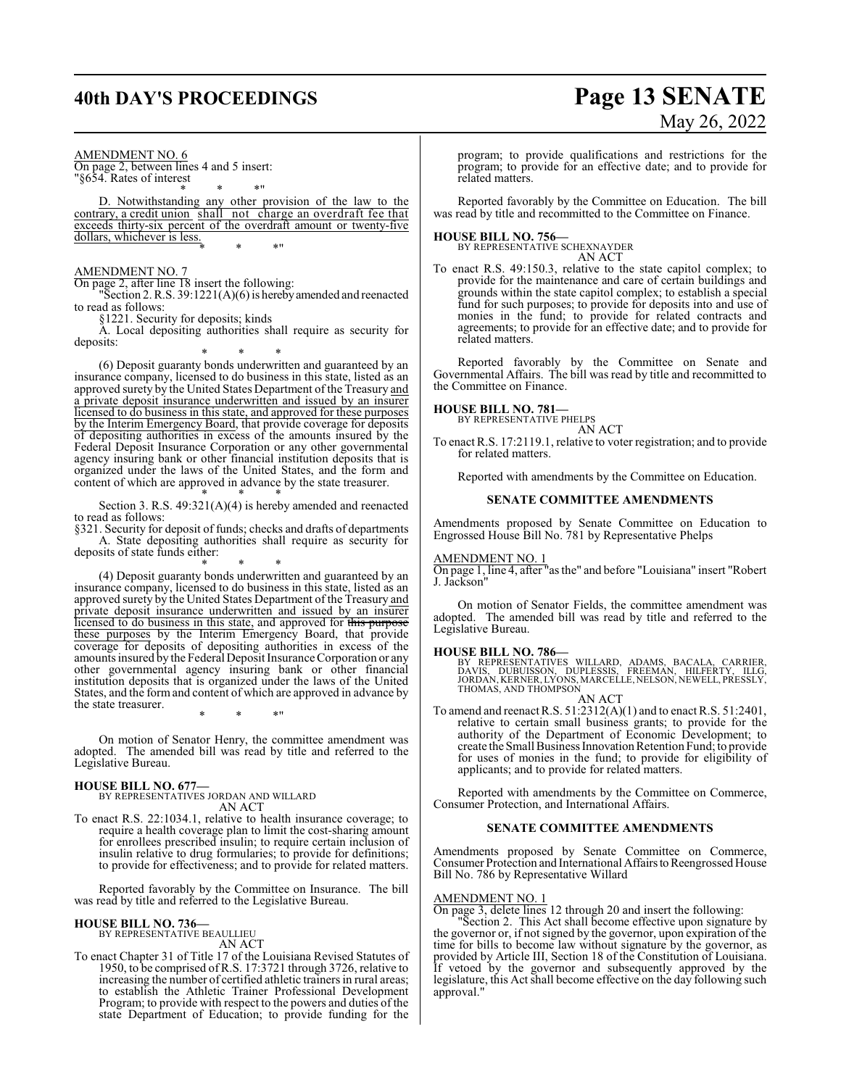#### AMENDMENT NO. 6

On page 2, between lines 4 and 5 insert: "§654. Rates of interest

\* \* \*" D. Notwithstanding any other provision of the law to the contrary, a credit union shall not charge an overdraft fee that exceeds thirty-six percent of the overdraft amount or twenty-five dollars, whichever is less. \* \* \*"

## AMENDMENT NO. 7

On page 2, after line 18 insert the following:

"Section 2. R.S. 39:1221(A)(6) is herebyamended and reenacted to read as follows:

§1221. Security for deposits; kinds

A. Local depositing authorities shall require as security for deposits:

\* \* \* (6) Deposit guaranty bonds underwritten and guaranteed by an insurance company, licensed to do business in this state, listed as an approved surety by the United States Department of the Treasury and a private deposit insurance underwritten and issued by an insurer licensed to do business in this state, and approved for these purposes by the Interim Emergency Board, that provide coverage for deposits of depositing authorities in excess of the amounts insured by the Federal Deposit Insurance Corporation or any other governmental agency insuring bank or other financial institution deposits that is organized under the laws of the United States, and the form and content of which are approved in advance by the state treasurer.

\* \* \* Section 3. R.S. 49:321(A)(4) is hereby amended and reenacted to read as follows:

§321. Security for deposit of funds; checks and drafts of departments A. State depositing authorities shall require as security for deposits of state funds either:

\* \* \* (4) Deposit guaranty bonds underwritten and guaranteed by an insurance company, licensed to do business in this state, listed as an approved surety by the United States Department of the Treasury and private deposit insurance underwritten and issued by an insurer licensed to do business in this state, and approved for this purpose these purposes by the Interim Emergency Board, that provide coverage for deposits of depositing authorities in excess of the amounts insured by the Federal Deposit Insurance Corporation or any other governmental agency insuring bank or other financial institution deposits that is organized under the laws of the United States, and the form and content of which are approved in advance by the state treasurer.

On motion of Senator Henry, the committee amendment was adopted. The amended bill was read by title and referred to the Legislative Bureau.

\* \* \*"

## **HOUSE BILL NO. 677—**

BY REPRESENTATIVES JORDAN AND WILLARD AN ACT

To enact R.S. 22:1034.1, relative to health insurance coverage; to require a health coverage plan to limit the cost-sharing amount for enrollees prescribed insulin; to require certain inclusion of insulin relative to drug formularies; to provide for definitions; to provide for effectiveness; and to provide for related matters.

Reported favorably by the Committee on Insurance. The bill was read by title and referred to the Legislative Bureau.

## **HOUSE BILL NO. 736—**

BY REPRESENTATIVE BEAULLIEU AN ACT

To enact Chapter 31 of Title 17 of the Louisiana Revised Statutes of 1950, to be comprised of R.S. 17:3721 through 3726, relative to increasing the number of certified athletic trainers in rural areas; to establish the Athletic Trainer Professional Development Program; to provide with respect to the powers and duties of the state Department of Education; to provide funding for the

## **40th DAY'S PROCEEDINGS Page 13 SENATE** May 26, 2022

program; to provide qualifications and restrictions for the program; to provide for an effective date; and to provide for related matters.

Reported favorably by the Committee on Education. The bill was read by title and recommitted to the Committee on Finance.

## **HOUSE BILL NO. 756—** BY REPRESENTATIVE SCHEXNAYDER

AN ACT

To enact R.S. 49:150.3, relative to the state capitol complex; to provide for the maintenance and care of certain buildings and grounds within the state capitol complex; to establish a special fund for such purposes; to provide for deposits into and use of monies in the fund; to provide for related contracts and agreements; to provide for an effective date; and to provide for related matters.

Reported favorably by the Committee on Senate and Governmental Affairs. The bill was read by title and recommitted to the Committee on Finance.

## **HOUSE BILL NO. 781—**

BY REPRESENTATIVE PHELPS AN ACT

To enact R.S. 17:2119.1, relative to voter registration; and to provide for related matters.

Reported with amendments by the Committee on Education.

## **SENATE COMMITTEE AMENDMENTS**

Amendments proposed by Senate Committee on Education to Engrossed House Bill No. 781 by Representative Phelps

## AMENDMENT NO. 1

On page 1, line 4, after "as the" and before "Louisiana" insert "Robert J. Jackson"

On motion of Senator Fields, the committee amendment was adopted. The amended bill was read by title and referred to the Legislative Bureau.

## **HOUSE BILL NO. 786—**

BY REPRESENTATIVES WILLARD, ADAMS, BACALA, CARRIER,<br>DAVIS, DUBUISSON, DUPLESSIS, FREEMAN, HILFERTY, ILLG,<br>JORDAN,KERNER,LYONS,MARCELLE,NELSON,NEWELL,PRESSLY,<br>THOMAS,AND THOMPSON

AN ACT

To amend and reenact R.S. 51:2312(A)(1) and to enact R.S. 51:2401, relative to certain small business grants; to provide for the authority of the Department of Economic Development; to create the Small Business Innovation Retention Fund; to provide for uses of monies in the fund; to provide for eligibility of applicants; and to provide for related matters.

Reported with amendments by the Committee on Commerce, Consumer Protection, and International Affairs.

## **SENATE COMMITTEE AMENDMENTS**

Amendments proposed by Senate Committee on Commerce, Consumer Protection and International Affairs to Reengrossed House Bill No. 786 by Representative Willard

## AMENDMENT NO. 1

On page 3, delete lines 12 through 20 and insert the following:

"Section 2. This Act shall become effective upon signature by the governor or, if not signed by the governor, upon expiration of the time for bills to become law without signature by the governor, as provided by Article III, Section 18 of the Constitution of Louisiana. If vetoed by the governor and subsequently approved by the legislature, this Act shall become effective on the day following such approval."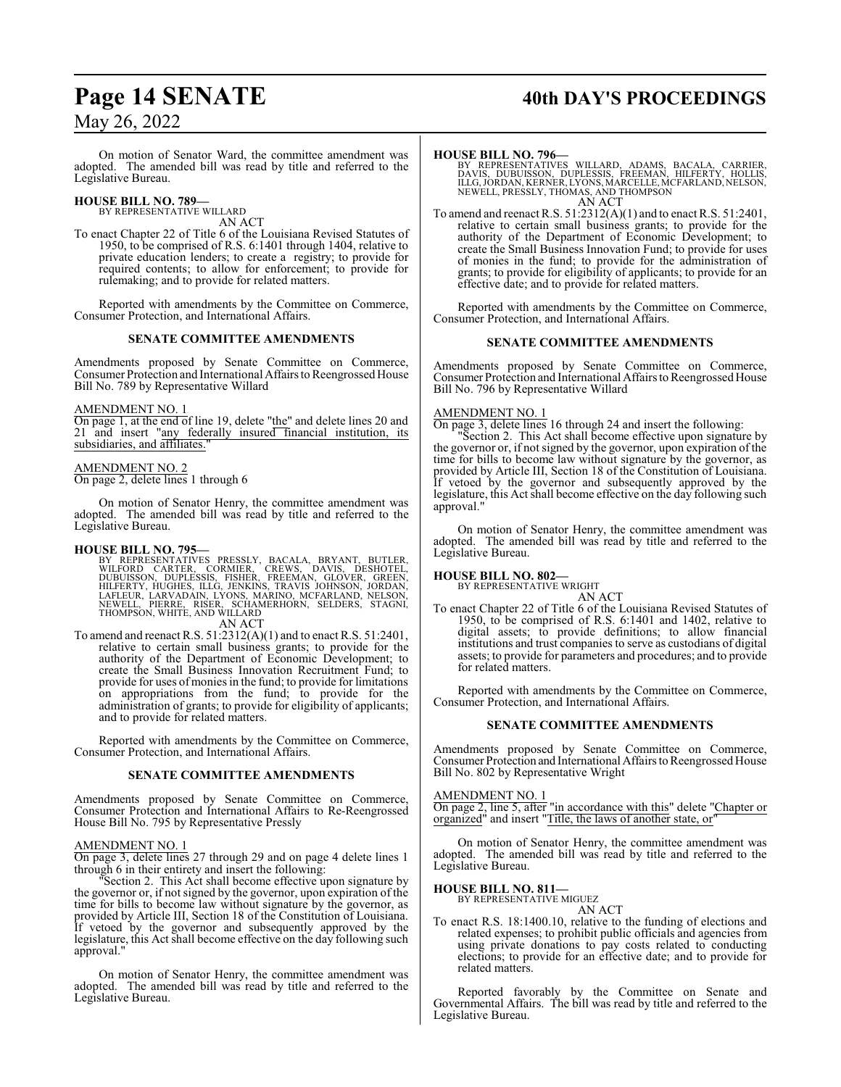## **Page 14 SENATE** 40th DAY'S PROCEEDINGS

## May 26, 2022

On motion of Senator Ward, the committee amendment was adopted. The amended bill was read by title and referred to the Legislative Bureau.

### **HOUSE BILL NO. 789—** BY REPRESENTATIVE WILLARD

AN ACT

To enact Chapter 22 of Title 6 of the Louisiana Revised Statutes of 1950, to be comprised of R.S. 6:1401 through 1404, relative to private education lenders; to create a registry; to provide for required contents; to allow for enforcement; to provide for rulemaking; and to provide for related matters.

Reported with amendments by the Committee on Commerce, Consumer Protection, and International Affairs.

## **SENATE COMMITTEE AMENDMENTS**

Amendments proposed by Senate Committee on Commerce, Consumer Protection and International Affairs to Reengrossed House Bill No. 789 by Representative Willard

## AMENDMENT NO. 1

On page 1, at the end of line 19, delete "the" and delete lines 20 and 21 and insert "any federally insured financial institution, its subsidiaries, and affiliates.

## AMENDMENT NO. 2

On page 2, delete lines 1 through 6

On motion of Senator Henry, the committee amendment was adopted. The amended bill was read by title and referred to the Legislative Bureau.

## **HOUSE BILL NO. 795—**

BY REPRESENTATIVES PRESSLY, BACALA, BRYANT, BUTLER,<br>WILFORD CARTER, CORMIER, CREWS, DAVIS, DESHOTEL,<br>DUBUISSON, DUPLESSIS, FISHER, FREEMAN, GLOVER, GREEN,<br>HILFERTY, HUGHES, ILLG, JENKINS, TRAVIS JOHNSON, JORDAN,<br>LAFLEUR, L AN ACT

To amend and reenact R.S. 51:2312(A)(1) and to enact R.S. 51:2401, relative to certain small business grants; to provide for the authority of the Department of Economic Development; to create the Small Business Innovation Recruitment Fund; to provide for uses of monies in the fund; to provide for limitations on appropriations from the fund; to provide for the administration of grants; to provide for eligibility of applicants; and to provide for related matters.

Reported with amendments by the Committee on Commerce, Consumer Protection, and International Affairs.

## **SENATE COMMITTEE AMENDMENTS**

Amendments proposed by Senate Committee on Commerce, Consumer Protection and International Affairs to Re-Reengrossed House Bill No. 795 by Representative Pressly

## AMENDMENT NO. 1

On page 3, delete lines 27 through 29 and on page 4 delete lines 1 through 6 in their entirety and insert the following:

"Section 2. This Act shall become effective upon signature by the governor or, if not signed by the governor, upon expiration of the time for bills to become law without signature by the governor, as provided by Article III, Section 18 of the Constitution of Louisiana. If vetoed by the governor and subsequently approved by the legislature, this Act shall become effective on the day following such approval."

On motion of Senator Henry, the committee amendment was adopted. The amended bill was read by title and referred to the Legislative Bureau.

## **HOUSE BILL NO. 796—**

BY REPRESENTATIVES WILLARD, ADAMS, BACALA, CARRIER,<br>DAVIS, DUBUISSON, DUPLESSIS, FREEMAN, HILFERTY, HOLLIS,<br>ILLG,JORDAN,KERNER,LYONS,MARCELLE,MCFARLAND,NELSON,<br>NEWELL,PRESSLY,THOMAS,ANDTHOMPSON AN ACT

To amend and reenact R.S. 51:2312(A)(1) and to enact R.S. 51:2401, relative to certain small business grants; to provide for the authority of the Department of Economic Development; to create the Small Business Innovation Fund; to provide for uses of monies in the fund; to provide for the administration of grants; to provide for eligibility of applicants; to provide for an effective date; and to provide for related matters.

Reported with amendments by the Committee on Commerce, Consumer Protection, and International Affairs.

## **SENATE COMMITTEE AMENDMENTS**

Amendments proposed by Senate Committee on Commerce, Consumer Protection and International Affairs to Reengrossed House Bill No. 796 by Representative Willard

## AMENDMENT NO. 1

On page 3, delete lines 16 through 24 and insert the following:

"Section 2. This Act shall become effective upon signature by the governor or, if not signed by the governor, upon expiration of the time for bills to become law without signature by the governor, as provided by Article III, Section 18 of the Constitution of Louisiana. If vetoed by the governor and subsequently approved by the legislature, this Act shall become effective on the day following such approval."

On motion of Senator Henry, the committee amendment was adopted. The amended bill was read by title and referred to the Legislative Bureau.

## **HOUSE BILL NO. 802—**

BY REPRESENTATIVE WRIGHT

AN ACT To enact Chapter 22 of Title 6 of the Louisiana Revised Statutes of 1950, to be comprised of R.S. 6:1401 and 1402, relative to digital assets; to provide definitions; to allow financial institutions and trust companies to serve as custodians of digital assets; to provide for parameters and procedures; and to provide for related matters.

Reported with amendments by the Committee on Commerce, Consumer Protection, and International Affairs.

## **SENATE COMMITTEE AMENDMENTS**

Amendments proposed by Senate Committee on Commerce, Consumer Protection and International Affairs to Reengrossed House Bill No. 802 by Representative Wright

## AMENDMENT NO. 1

On page 2, line 5, after "in accordance with this" delete "Chapter or organized" and insert "Title, the laws of another state, or"

On motion of Senator Henry, the committee amendment was adopted. The amended bill was read by title and referred to the Legislative Bureau.

## **HOUSE BILL NO. 811—** BY REPRESENTATIVE MIGUEZ

AN ACT

To enact R.S. 18:1400.10, relative to the funding of elections and related expenses; to prohibit public officials and agencies from using private donations to pay costs related to conducting elections; to provide for an effective date; and to provide for related matters.

Reported favorably by the Committee on Senate and Governmental Affairs. The bill was read by title and referred to the Legislative Bureau.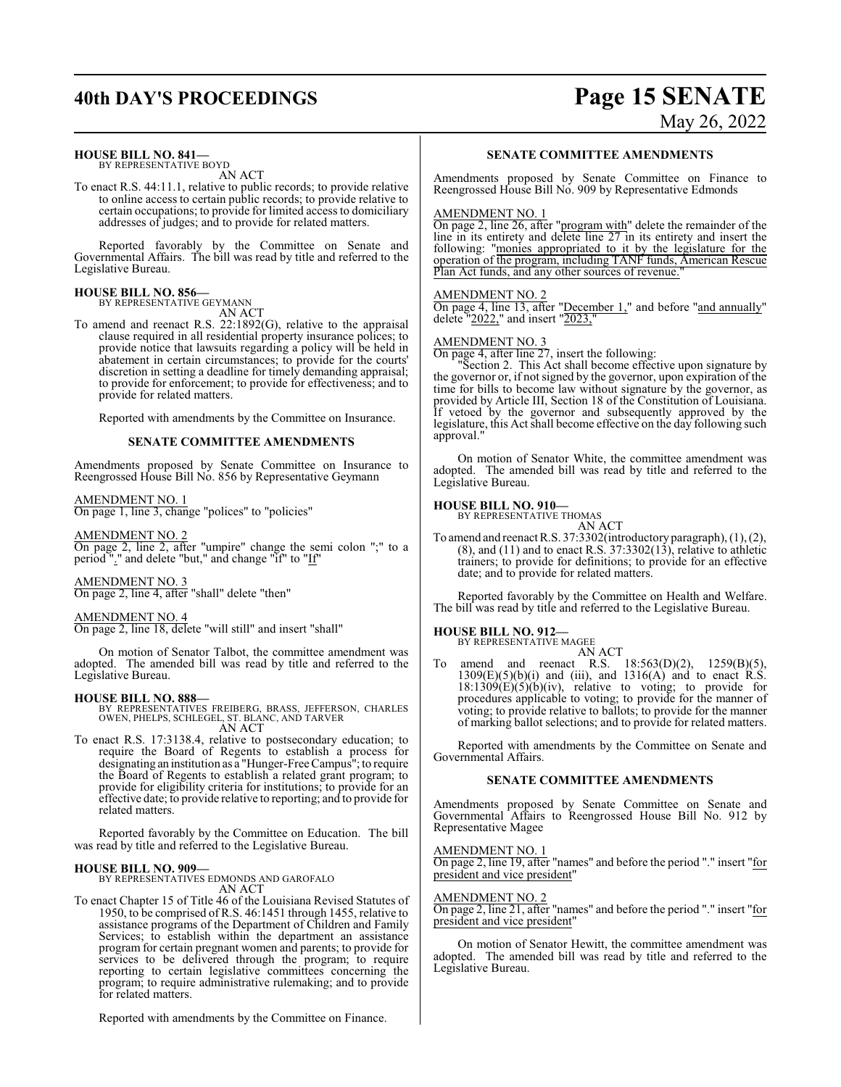## **40th DAY'S PROCEEDINGS Page 15 SENATE**

## **HOUSE BILL NO. 841—**

BY REPRESENTATIVE BOYD AN ACT

To enact R.S. 44:11.1, relative to public records; to provide relative to online access to certain public records; to provide relative to certain occupations; to provide for limited access to domiciliary addresses of judges; and to provide for related matters.

Reported favorably by the Committee on Senate and Governmental Affairs. The bill was read by title and referred to the Legislative Bureau.

#### **HOUSE BILL NO. 856—** BY REPRESENTATIVE GEYMANN

AN ACT

To amend and reenact R.S. 22:1892(G), relative to the appraisal clause required in all residential property insurance polices; to provide notice that lawsuits regarding a policy will be held in abatement in certain circumstances; to provide for the courts' discretion in setting a deadline for timely demanding appraisal; to provide for enforcement; to provide for effectiveness; and to provide for related matters.

Reported with amendments by the Committee on Insurance.

## **SENATE COMMITTEE AMENDMENTS**

Amendments proposed by Senate Committee on Insurance to Reengrossed House Bill No. 856 by Representative Geymann

## AMENDMENT NO. 1

On page 1, line 3, change "polices" to "policies"

## AMENDMENT NO. 2

On page 2, line 2, after "umpire" change the semi colon ";" to a period "." and delete "but," and change "if" to "If"

## AMENDMENT NO. 3

On page 2, line 4, after "shall" delete "then"

## AMENDMENT NO. 4

On page 2, line 18, delete "will still" and insert "shall"

On motion of Senator Talbot, the committee amendment was adopted. The amended bill was read by title and referred to the Legislative Bureau.

**HOUSE BILL NO. 888—** BY REPRESENTATIVES FREIBERG, BRASS, JEFFERSON, CHARLES OWEN, PHELPS, SCHLEGEL, ST. BLANC, AND TARVER AN ACT

- 
- To enact R.S. 17:3138.4, relative to postsecondary education; to require the Board of Regents to establish a process for designating an institution as a "Hunger-Free Campus"; to require the Board of Regents to establish a related grant program; to provide for eligibility criteria for institutions; to provide for an effective date; to provide relative to reporting; and to provide for related matters.

Reported favorably by the Committee on Education. The bill was read by title and referred to the Legislative Bureau.

## **HOUSE BILL NO. 909—**

BY REPRESENTATIVES EDMONDS AND GAROFALO AN ACT

To enact Chapter 15 of Title 46 of the Louisiana Revised Statutes of 1950, to be comprised of R.S. 46:1451 through 1455, relative to assistance programs of the Department of Children and Family Services; to establish within the department an assistance program for certain pregnant women and parents; to provide for services to be delivered through the program; to require reporting to certain legislative committees concerning the program; to require administrative rulemaking; and to provide for related matters.

Reported with amendments by the Committee on Finance.

# May 26, 2022

## **SENATE COMMITTEE AMENDMENTS**

Amendments proposed by Senate Committee on Finance to Reengrossed House Bill No. 909 by Representative Edmonds

## AMENDMENT NO. 1

On page 2, line 26, after "program with" delete the remainder of the line in its entirety and delete line 27 in its entirety and insert the following: "monies appropriated to it by the legislature for the operation of the program, including TANF funds, American Rescue Plan Act funds, and any other sources of revenue."

## AMENDMENT NO. 2

On page 4, line 13, after "December 1," and before "and annually" delete  $"2022,"$  and insert  $"2023,"$ 

## AMENDMENT NO. 3

 $\overline{\text{On page 4, after line 27}}$ , insert the following:

"Section 2. This Act shall become effective upon signature by the governor or, if not signed by the governor, upon expiration of the time for bills to become law without signature by the governor, as provided by Article III, Section 18 of the Constitution of Louisiana. If vetoed by the governor and subsequently approved by the legislature, this Act shall become effective on the day following such approval."

On motion of Senator White, the committee amendment was adopted. The amended bill was read by title and referred to the Legislative Bureau.

## **HOUSE BILL NO. 910—** BY REPRESENTATIVE THOMAS

AN ACT

To amend and reenact R.S. 37:3302(introductory paragraph), (1), (2),  $(8)$ , and  $(11)$  and to enact R.S. 37:3302 $(13)$ , relative to athletic trainers; to provide for definitions; to provide for an effective date; and to provide for related matters.

Reported favorably by the Committee on Health and Welfare. The bill was read by title and referred to the Legislative Bureau.

## **HOUSE BILL NO. 912—**

BY REPRESENTATIVE MAGEE AN ACT

To amend and reenact R.S. 18:563(D)(2), 1259(B)(5),  $1309(E)(5)(b)(i)$  and (iii), and  $1316(A)$  and to enact R.S.  $18:1309(E)(5)(b)(iv)$ , relative to voting; to provide for procedures applicable to voting; to provide for the manner of voting; to provide relative to ballots; to provide for the manner of marking ballot selections; and to provide for related matters.

Reported with amendments by the Committee on Senate and Governmental Affairs.

### **SENATE COMMITTEE AMENDMENTS**

Amendments proposed by Senate Committee on Senate and Governmental Affairs to Reengrossed House Bill No. 912 by Representative Magee

#### AMENDMENT NO. 1

On page 2, line 19, after "names" and before the period "." insert "for president and vice president"

## AMENDMENT NO. 2

On page 2, line 21, after "names" and before the period "." insert "for president and vice president"

On motion of Senator Hewitt, the committee amendment was adopted. The amended bill was read by title and referred to the Legislative Bureau.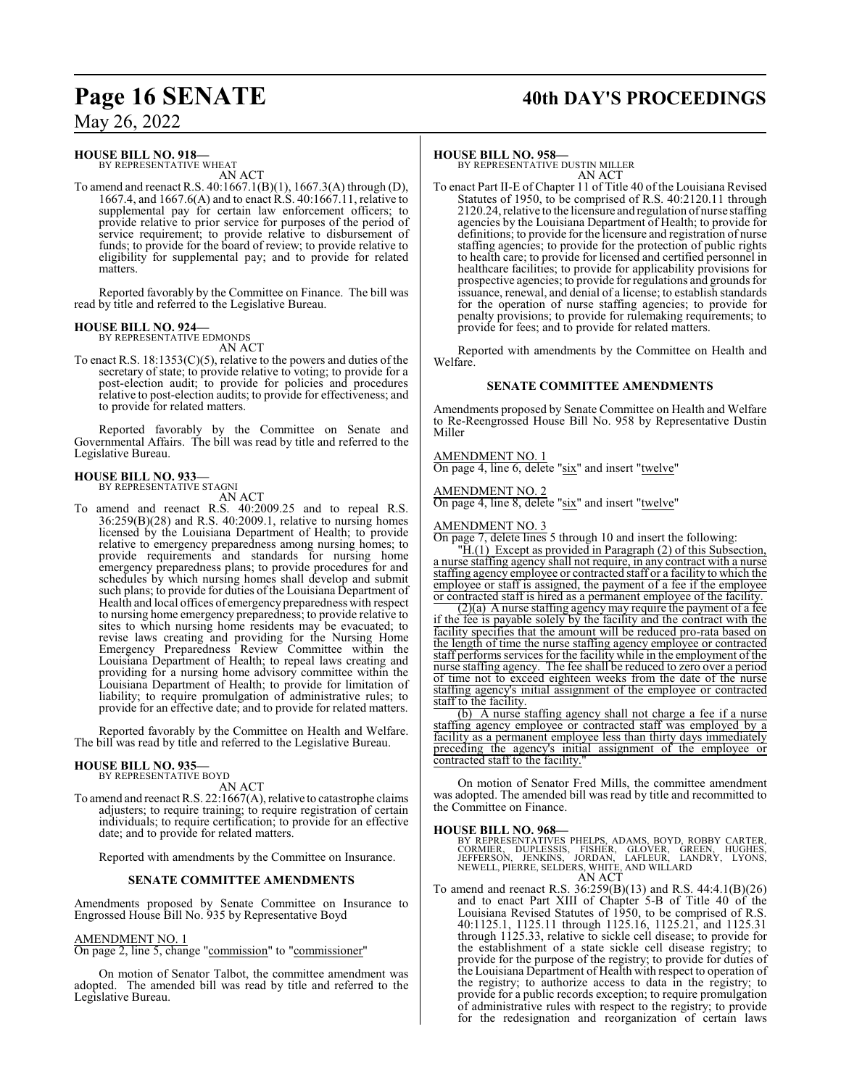## **HOUSE BILL NO. 918—**

BY REPRESENTATIVE WHEAT AN ACT

To amend and reenact R.S. 40:1667.1(B)(1), 1667.3(A) through (D), 1667.4, and 1667.6(A) and to enact R.S. 40:1667.11, relative to supplemental pay for certain law enforcement officers; to provide relative to prior service for purposes of the period of service requirement; to provide relative to disbursement of funds; to provide for the board of review; to provide relative to eligibility for supplemental pay; and to provide for related matters.

Reported favorably by the Committee on Finance. The bill was read by title and referred to the Legislative Bureau.

## **HOUSE BILL NO. 924—** BY REPRESENTATIVE EDMONDS

AN ACT

To enact R.S. 18:1353(C)(5), relative to the powers and duties of the secretary of state; to provide relative to voting; to provide for a post-election audit; to provide for policies and procedures relative to post-election audits; to provide for effectiveness; and to provide for related matters.

Reported favorably by the Committee on Senate and Governmental Affairs. The bill was read by title and referred to the Legislative Bureau.

## **HOUSE BILL NO. 933—** BY REPRESENTATIVE STAGNI

AN ACT

To amend and reenact R.S. 40:2009.25 and to repeal R.S. 36:259(B)(28) and R.S. 40:2009.1, relative to nursing homes licensed by the Louisiana Department of Health; to provide relative to emergency preparedness among nursing homes; to provide requirements and standards for nursing home emergency preparedness plans; to provide procedures for and schedules by which nursing homes shall develop and submit such plans; to provide for duties of the Louisiana Department of Health and local offices of emergency preparedness with respect to nursing home emergency preparedness; to provide relative to sites to which nursing home residents may be evacuated; to revise laws creating and providing for the Nursing Home Emergency Preparedness Review Committee within the Louisiana Department of Health; to repeal laws creating and providing for a nursing home advisory committee within the Louisiana Department of Health; to provide for limitation of liability; to require promulgation of administrative rules; to provide for an effective date; and to provide for related matters.

Reported favorably by the Committee on Health and Welfare. The bill was read by title and referred to the Legislative Bureau.

## **HOUSE BILL NO. 935—** BY REPRESENTATIVE BOYD

AN ACT

To amend and reenact R.S. 22:1667(A), relative to catastrophe claims adjusters; to require training; to require registration of certain individuals; to require certification; to provide for an effective date; and to provide for related matters.

Reported with amendments by the Committee on Insurance.

## **SENATE COMMITTEE AMENDMENTS**

Amendments proposed by Senate Committee on Insurance to Engrossed House Bill No. 935 by Representative Boyd

## AMENDMENT NO. 1

On page 2, line 5, change "commission" to "commissioner"

On motion of Senator Talbot, the committee amendment was adopted. The amended bill was read by title and referred to the Legislative Bureau.

## **Page 16 SENATE 40th DAY'S PROCEEDINGS**

## **HOUSE BILL NO. 958—**

BY REPRESENTATIVE DUSTIN MILLER AN ACT

To enact Part II-E of Chapter 11 of Title 40 of the Louisiana Revised Statutes of 1950, to be comprised of R.S. 40:2120.11 through 2120.24, relative to the licensure and regulation of nurse staffing agencies by the Louisiana Department of Health; to provide for definitions; to provide for the licensure and registration of nurse staffing agencies; to provide for the protection of public rights to health care; to provide for licensed and certified personnel in healthcare facilities; to provide for applicability provisions for prospective agencies; to provide for regulations and grounds for issuance, renewal, and denial of a license; to establish standards for the operation of nurse staffing agencies; to provide for penalty provisions; to provide for rulemaking requirements; to provide for fees; and to provide for related matters.

Reported with amendments by the Committee on Health and Welfare.

## **SENATE COMMITTEE AMENDMENTS**

Amendments proposed by Senate Committee on Health and Welfare to Re-Reengrossed House Bill No. 958 by Representative Dustin Miller

## AMENDMENT NO. 1

On page 4, line 6, delete "six" and insert "twelve"

## AMENDMENT NO. 2

On page 4, line 8, delete "six" and insert "twelve"

## AMENDMENT NO. 3

On page 7, delete lines 5 through 10 and insert the following: "H.(1) Except as provided in Paragraph (2) of this Subsection, a nurse staffing agency shall not require, in any contract with a nurse staffing agency employee or contracted staff or a facility to which the employee or staff is assigned, the payment of a fee if the employee

or contracted staff is hired as a permanent employee of the facility. (2)(a) A nurse staffing agency may require the payment of a fee if the fee is payable solely by the facility and the contract with the facility specifies that the amount will be reduced pro-rata based on the length of time the nurse staffing agency employee or contracted staff performs services for the facility while in the employment of the nurse staffing agency. The fee shall be reduced to zero over a period of time not to exceed eighteen weeks from the date of the nurse staffing agency's initial assignment of the employee or contracted staff to the facility.

(b) A nurse staffing agency shall not charge a fee if a nurse staffing agency employee or contracted staff was employed by a facility as a permanent employee less than thirty days immediately preceding the agency's initial assignment of the employee or contracted staff to the facility.

On motion of Senator Fred Mills, the committee amendment was adopted. The amended bill was read by title and recommitted to the Committee on Finance.

**HOUSE BILL NO. 968—**<br>BY REPRESENTATIVES PHELPS, ADAMS, BOYD, ROBBY CARTER,<br>CORMIER, DUPLESSIS, FISHER, GLOVER, GREEN, HUGHES,<br>JEFFERSON, JENKINS, JORDAN, LAFLEUR, LANDRY, LYONS,<br>NEWELL, PIERRE, SELDERS, WHITE, AND WILLARD

To amend and reenact R.S. 36:259(B)(13) and R.S. 44:4.1(B)(26) and to enact Part XIII of Chapter 5-B of Title 40 of the Louisiana Revised Statutes of 1950, to be comprised of R.S. 40:1125.1, 1125.11 through 1125.16, 1125.21, and 1125.31 through 1125.33, relative to sickle cell disease; to provide for the establishment of a state sickle cell disease registry; to provide for the purpose of the registry; to provide for duties of the Louisiana Department of Health with respect to operation of the registry; to authorize access to data in the registry; to provide for a public records exception; to require promulgation of administrative rules with respect to the registry; to provide for the redesignation and reorganization of certain laws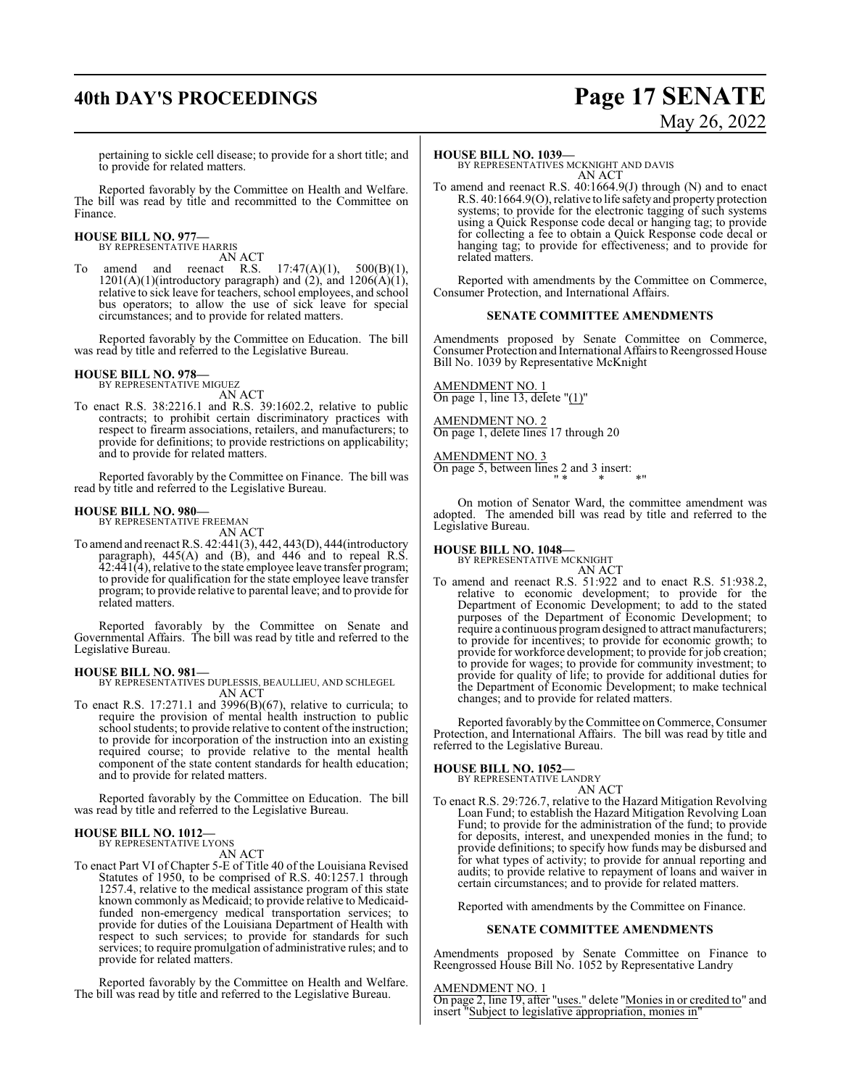## **40th DAY'S PROCEEDINGS Page 17 SENATE**

# May 26, 2022

pertaining to sickle cell disease; to provide for a short title; and to provide for related matters.

Reported favorably by the Committee on Health and Welfare. The bill was read by title and recommitted to the Committee on Finance.

## **HOUSE BILL NO. 977—** BY REPRESENTATIVE HARRIS

AN ACT

To amend and reenact R.S.  $17:47(A)(1)$ ,  $500(B)(1)$ , amend and reenact R.S.  $17:47(A)(1)$ ,  $500(B)(1)$ ,  $1201(A)(1)$ (introductory paragraph) and (2), and  $1206(A)(1)$ , relative to sick leave for teachers, school employees, and school bus operators; to allow the use of sick leave for special circumstances; and to provide for related matters.

Reported favorably by the Committee on Education. The bill was read by title and referred to the Legislative Bureau.

#### **HOUSE BILL NO. 978—** BY REPRESENTATIVE MIGUEZ

AN ACT

To enact R.S. 38:2216.1 and R.S. 39:1602.2, relative to public contracts; to prohibit certain discriminatory practices with respect to firearm associations, retailers, and manufacturers; to provide for definitions; to provide restrictions on applicability; and to provide for related matters.

Reported favorably by the Committee on Finance. The bill was read by title and referred to the Legislative Bureau.

#### **HOUSE BILL NO. 980—** BY REPRESENTATIVE FREEMAN

AN ACT

To amend and reenact R.S. 42:441(3), 442, 443(D), 444(introductory paragraph), 445(A) and (B), and 446 and to repeal R.S. 42:441(4), relative to the state employee leave transfer program; to provide for qualification for the state employee leave transfer program; to provide relative to parental leave; and to provide for related matters.

Reported favorably by the Committee on Senate and Governmental Affairs. The bill was read by title and referred to the Legislative Bureau.

## **HOUSE BILL NO. 981—**

BY REPRESENTATIVES DUPLESSIS, BEAULLIEU, AND SCHLEGEL AN ACT

To enact R.S. 17:271.1 and 3996(B)(67), relative to curricula; to require the provision of mental health instruction to public school students; to provide relative to content of the instruction; to provide for incorporation of the instruction into an existing required course; to provide relative to the mental health component of the state content standards for health education; and to provide for related matters.

Reported favorably by the Committee on Education. The bill was read by title and referred to the Legislative Bureau.

### **HOUSE BILL NO. 1012—** BY REPRESENTATIVE LYONS

AN ACT

To enact Part VI of Chapter 5-E of Title 40 of the Louisiana Revised Statutes of 1950, to be comprised of R.S. 40:1257.1 through 1257.4, relative to the medical assistance program of this state known commonly as Medicaid; to provide relative to Medicaidfunded non-emergency medical transportation services; to provide for duties of the Louisiana Department of Health with respect to such services; to provide for standards for such services; to require promulgation of administrative rules; and to provide for related matters.

Reported favorably by the Committee on Health and Welfare. The bill was read by title and referred to the Legislative Bureau.

### **HOUSE BILL NO. 1039—**

BY REPRESENTATIVES MCKNIGHT AND DAVIS AN ACT

To amend and reenact R.S. 40:1664.9(J) through (N) and to enact R.S. 40:1664.9(O), relative to life safetyand property protection systems; to provide for the electronic tagging of such systems using a Quick Response code decal or hanging tag; to provide for collecting a fee to obtain a Quick Response code decal or hanging tag; to provide for effectiveness; and to provide for related matters.

Reported with amendments by the Committee on Commerce, Consumer Protection, and International Affairs.

## **SENATE COMMITTEE AMENDMENTS**

Amendments proposed by Senate Committee on Commerce, Consumer Protection and International Affairs to Reengrossed House Bill No. 1039 by Representative McKnight

AMENDMENT NO. 1 On page 1, line 13, delete "(1)"

AMENDMENT NO. 2 On page 1, delete lines 17 through 20

AMENDMENT NO. 3 On page 5, between lines 2 and 3 insert: " \* \* \*"

On motion of Senator Ward, the committee amendment was adopted. The amended bill was read by title and referred to the Legislative Bureau.

**HOUSE BILL NO. 1048—** BY REPRESENTATIVE MCKNIGHT

AN ACT

To amend and reenact R.S. 51:922 and to enact R.S. 51:938.2, relative to economic development; to provide for the Department of Economic Development; to add to the stated purposes of the Department of Economic Development; to require a continuous programdesigned to attract manufacturers; to provide for incentives; to provide for economic growth; to provide for workforce development; to provide for job creation; to provide for wages; to provide for community investment; to provide for quality of life; to provide for additional duties for the Department of Economic Development; to make technical changes; and to provide for related matters.

Reported favorably by the Committee on Commerce, Consumer Protection, and International Affairs. The bill was read by title and referred to the Legislative Bureau.

## **HOUSE BILL NO. 1052—** BY REPRESENTATIVE LANDRY

- AN ACT
- To enact R.S. 29:726.7, relative to the Hazard Mitigation Revolving Loan Fund; to establish the Hazard Mitigation Revolving Loan Fund; to provide for the administration of the fund; to provide for deposits, interest, and unexpended monies in the fund; to provide definitions; to specify how funds may be disbursed and for what types of activity; to provide for annual reporting and audits; to provide relative to repayment of loans and waiver in certain circumstances; and to provide for related matters.

Reported with amendments by the Committee on Finance.

## **SENATE COMMITTEE AMENDMENTS**

Amendments proposed by Senate Committee on Finance to Reengrossed House Bill No. 1052 by Representative Landry

## AMENDMENT NO. 1

On page 2, line 19, after "uses." delete "Monies in or credited to" and insert "Subject to legislative appropriation, monies in"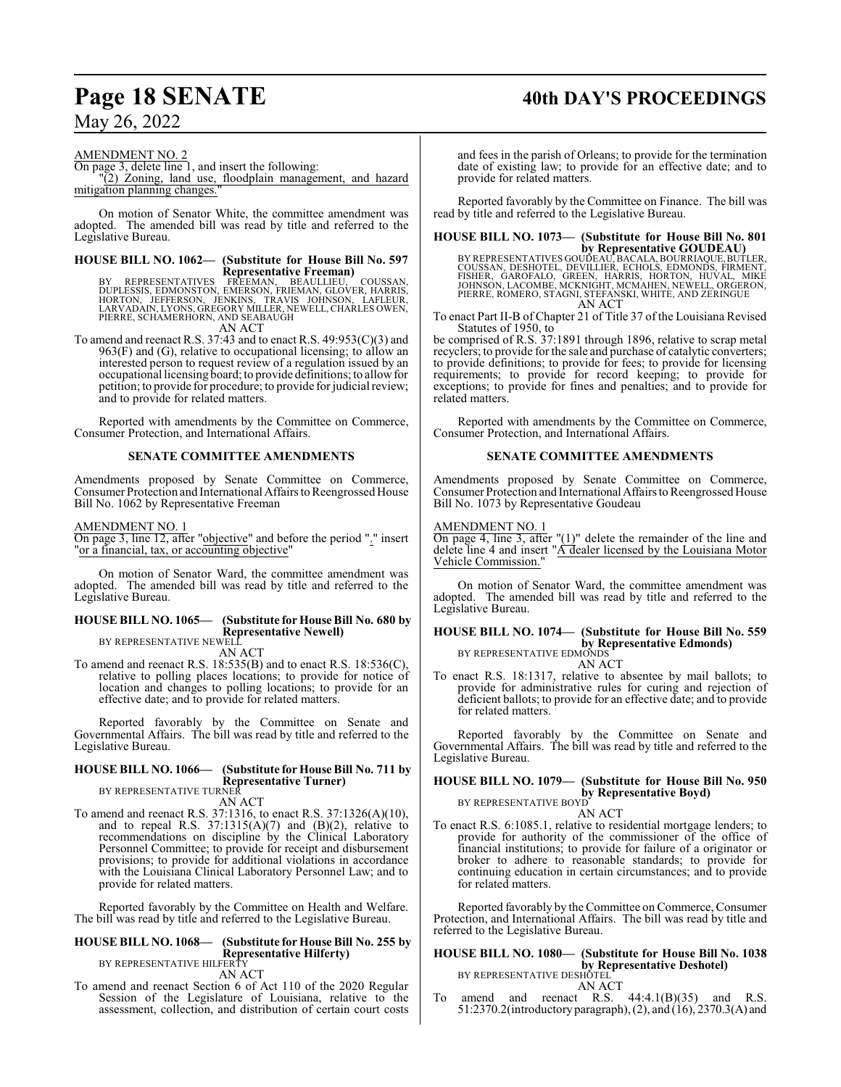## **Page 18 SENATE 40th DAY'S PROCEEDINGS**

May 26, 2022

## AMENDMENT NO. 2

On page 3, delete line 1, and insert the following: "(2) Zoning, land use, floodplain management, and hazard mitigation planning changes.

On motion of Senator White, the committee amendment was adopted. The amended bill was read by title and referred to the Legislative Bureau.

## **HOUSE BILL NO. 1062— (Substitute for House Bill No. 597**

**Representative Freeman)**<br>BY REPRESENTATIVES FREEMAN, BEAULLIEU, COUSSAN,<br>DUPLESSIS, EDMONSTON, EMERSON, FRIEMAN, GLOVER, HARRIS,<br>HORTON, JEFFERSON, JENKINS, TRAVIS JOHNSON, LAFLEUR,<br>LARVADAIN, LYONS, GREGORY MILLER, NEWEL PIERRE, SCHAMERHORN, AND SEABAUGH

AN ACT

To amend and reenact R.S. 37:43 and to enact R.S. 49:953(C)(3) and  $963(F)$  and (G), relative to occupational licensing; to allow an interested person to request review of a regulation issued by an occupational licensing board; to provide definitions; to allowfor petition; to provide for procedure; to provide for judicial review; and to provide for related matters.

Reported with amendments by the Committee on Commerce, Consumer Protection, and International Affairs.

## **SENATE COMMITTEE AMENDMENTS**

Amendments proposed by Senate Committee on Commerce, Consumer Protection and International Affairs to Reengrossed House Bill No. 1062 by Representative Freeman

AMENDMENT NO. 1

On page 3, line 12, after "objective" and before the period "." insert "or a financial, tax, or accounting objective"

On motion of Senator Ward, the committee amendment was adopted. The amended bill was read by title and referred to the Legislative Bureau.

## **HOUSE BILL NO. 1065— (Substitute for House Bill No. 680 by Representative Newell)** BY REPRESENTATIVE NEWELL

AN ACT

To amend and reenact R.S. 18:535(B) and to enact R.S. 18:536(C), relative to polling places locations; to provide for notice of location and changes to polling locations; to provide for an effective date; and to provide for related matters.

Reported favorably by the Committee on Senate and Governmental Affairs. The bill was read by title and referred to the Legislative Bureau.

#### **HOUSE BILL NO. 1066— (Substitute for House Bill No. 711 by Representative Turner)** BY REPRESENTATIVE TURNER

AN ACT

To amend and reenact R.S. 37:1316, to enact R.S. 37:1326(A)(10), and to repeal R.S.  $37:1315(A)(7)$  and  $(B)(2)$ , relative to recommendations on discipline by the Clinical Laboratory Personnel Committee; to provide for receipt and disbursement provisions; to provide for additional violations in accordance with the Louisiana Clinical Laboratory Personnel Law; and to provide for related matters.

Reported favorably by the Committee on Health and Welfare. The bill was read by title and referred to the Legislative Bureau.

## **HOUSE BILL NO. 1068— (Substitute for House Bill No. 255 by Representative Hilferty)**

BY REPRESENTATIVE HILFERTY AN ACT

To amend and reenact Section 6 of Act 110 of the 2020 Regular Session of the Legislature of Louisiana, relative to the assessment, collection, and distribution of certain court costs

and fees in the parish of Orleans; to provide for the termination date of existing law; to provide for an effective date; and to provide for related matters.

Reported favorably by the Committee on Finance. The bill was read by title and referred to the Legislative Bureau.

## **HOUSE BILL NO. 1073— (Substitute for House Bill No. 801**

**by Representative GOUDEAU)**<br>COUSSAN, DESHOTEL, DEVILLIER, ECALA, BOURRIAQUE, BUTLER,<br>FISHER, GAROFALO, GREEN, HARRIS, HORTON, HUVAL, MIKE<br>JOHNSON, LACOMBE, MCKNIGHT, MCMAHEN, NEWELL, ORGERON,<br>PIERRE, ROMERO, STAGNI, STEFA AN ACT

To enact Part II-B of Chapter 21 of Title 37 of the Louisiana Revised Statutes of 1950, to

be comprised of R.S. 37:1891 through 1896, relative to scrap metal recyclers; to provide for the sale and purchase of catalytic converters; to provide definitions; to provide for fees; to provide for licensing requirements; to provide for record keeping; to provide for exceptions; to provide for fines and penalties; and to provide for related matters.

Reported with amendments by the Committee on Commerce, Consumer Protection, and International Affairs.

## **SENATE COMMITTEE AMENDMENTS**

Amendments proposed by Senate Committee on Commerce, Consumer Protection and International Affairs to Reengrossed House Bill No. 1073 by Representative Goudeau

## AMENDMENT NO. 1

On page 4, line 3, after " $(1)$ " delete the remainder of the line and delete line 4 and insert "A dealer licensed by the Louisiana Motor Vehicle Commission."

On motion of Senator Ward, the committee amendment was adopted. The amended bill was read by title and referred to the Legislative Bureau.

## **HOUSE BILL NO. 1074— (Substitute for House Bill No. 559 by Representative Edmonds)**<br>BY REPRESENTATIVE EDMONDS

AN ACT

To enact R.S. 18:1317, relative to absentee by mail ballots; to provide for administrative rules for curing and rejection of deficient ballots; to provide for an effective date; and to provide for related matters.

Reported favorably by the Committee on Senate and Governmental Affairs. The bill was read by title and referred to the Legislative Bureau.

## **HOUSE BILL NO. 1079— (Substitute for House Bill No. 950 by Representative Boyd)**<br>BY REPRESENTATIVE BOYD

AN ACT

To enact R.S. 6:1085.1, relative to residential mortgage lenders; to provide for authority of the commissioner of the office of financial institutions; to provide for failure of a originator or broker to adhere to reasonable standards; to provide for continuing education in certain circumstances; and to provide for related matters.

Reported favorably by the Committee on Commerce, Consumer Protection, and International Affairs. The bill was read by title and referred to the Legislative Bureau.

## **HOUSE BILL NO. 1080— (Substitute for House Bill No. 1038 by Representative Deshotel)**<br>BY REPRESENTATIVE DESHOTEL



To amend and reenact R.S.  $44:4.1(B)(35)$  and R.S. 51:2370.2(introductory paragraph), (2), and (16), 2370.3(A) and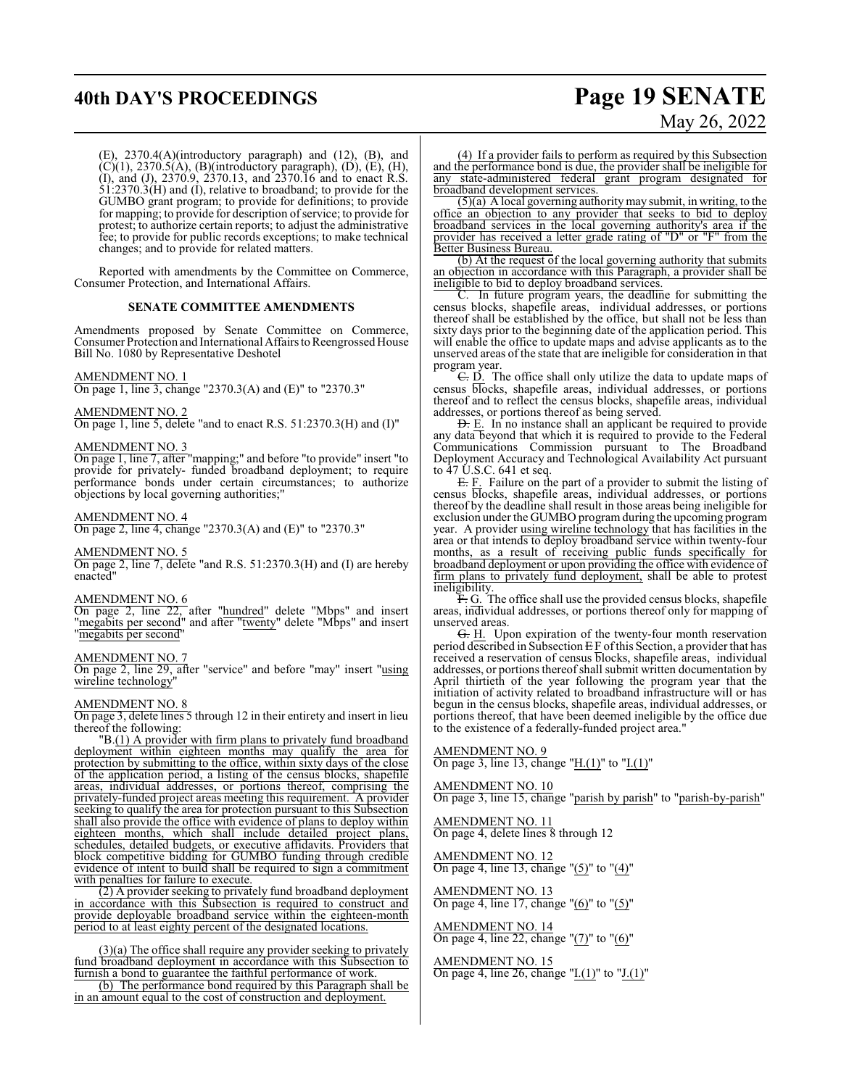## **40th DAY'S PROCEEDINGS Page 19 SENATE**

# May 26, 2022

(E), 2370.4(A)(introductory paragraph) and (12), (B), and  $(C)(1)$ , 2370.5(A), (B)(introductory paragraph), (D), (E), (H), (I), and (J), 2370.9, 2370.13, and 2370.16 and to enact R.S.  $\overline{51:}2370.\overline{3(H)}$  and (I), relative to broadband; to provide for the GUMBO grant program; to provide for definitions; to provide for mapping; to provide for description of service; to provide for protest; to authorize certain reports; to adjust the administrative fee; to provide for public records exceptions; to make technical changes; and to provide for related matters.

Reported with amendments by the Committee on Commerce, Consumer Protection, and International Affairs.

## **SENATE COMMITTEE AMENDMENTS**

Amendments proposed by Senate Committee on Commerce, Consumer Protection and International Affairs to Reengrossed House Bill No. 1080 by Representative Deshotel

## AMENDMENT NO. 1

On page 1, line 3, change "2370.3(A) and (E)" to "2370.3"

## AMENDMENT NO. 2

On page 1, line 5, delete "and to enact R.S. 51:2370.3(H) and (I)"

## AMENDMENT NO. 3

On page 1, line 7, after "mapping;" and before "to provide" insert "to provide for privately- funded broadband deployment; to require performance bonds under certain circumstances; to authorize objections by local governing authorities;"

#### AMENDMENT NO. 4

On page 2, line 4, change "2370.3(A) and (E)" to "2370.3"

#### AMENDMENT NO. 5

On page 2, line 7, delete "and R.S. 51:2370.3(H) and (I) are hereby enacted"

## AMENDMENT NO. 6

On page 2, line 22, after "hundred" delete "Mbps" and insert "megabits per second" and after "twenty" delete "Mbps" and insert "megabits per second"

## AMENDMENT NO. 7

On page 2, line 29, after "service" and before "may" insert "using wireline technology"

## AMENDMENT NO. 8

On page 3, delete lines 5 through 12 in their entirety and insert in lieu thereof the following:

"B.(1) A provider with firm plans to privately fund broadband deployment within eighteen months may qualify the area for protection by submitting to the office, within sixty days of the close of the application period, a listing of the census blocks, shapefile areas, individual addresses, or portions thereof, comprising the privately-funded project areas meeting this requirement. A provider seeking to qualify the area for protection pursuant to this Subsection shall also provide the office with evidence of plans to deploy within eighteen months, which shall include detailed project plans, which shall include detailed project plans, schedules, detailed budgets, or executive affidavits. Providers that block competitive bidding for GUMBO funding through credible evidence of intent to build shall be required to sign a commitment with penalties for failure to execute.

(2) A provider seeking to privately fund broadband deployment in accordance with this Subsection is required to construct and provide deployable broadband service within the eighteen-month period to at least eighty percent of the designated locations.

(3)(a) The office shall require any provider seeking to privately fund broadband deployment in accordance with this Subsection to furnish a bond to guarantee the faithful performance of work.

(b) The performance bond required by this Paragraph shall be in an amount equal to the cost of construction and deployment.

(4) If a provider fails to perform as required by this Subsection and the performance bond is due, the provider shall be ineligible for any state-administered federal grant program designated for broadband development services.

 $(5)(a)$  A local governing authority may submit, in writing, to the office an objection to any provider that seeks to bid to deploy broadband services in the local governing authority's area if the provider has received a letter grade rating of "D" or "F" from the Better Business Bureau.

(b) At the request of the local governing authority that submits an objection in accordance with this Paragraph, a provider shall be ineligible to bid to deploy broadband services.

In future program years, the deadline for submitting the census blocks, shapefile areas, individual addresses, or portions thereof shall be established by the office, but shall not be less than sixty days prior to the beginning date of the application period. This will enable the office to update maps and advise applicants as to the unserved areas of the state that are ineligible for consideration in that program year.

C. D. The office shall only utilize the data to update maps of census blocks, shapefile areas, individual addresses, or portions thereof and to reflect the census blocks, shapefile areas, individual addresses, or portions thereof as being served.

D. E. In no instance shall an applicant be required to provide any data beyond that which it is required to provide to the Federal Communications Commission pursuant to The Broadband Deployment Accuracy and Technological Availability Act pursuant to 47 U.S.C. 641 et seq.

E. F. Failure on the part of a provider to submit the listing of census blocks, shapefile areas, individual addresses, or portions thereof by the deadline shall result in those areas being ineligible for exclusion under the GUMBO programduring the upcoming program year. A provider using wireline technology that has facilities in the area or that intends to deploy broadband service within twenty-four months, as a result of receiving public funds specifically for broadband deployment or upon providing the office with evidence of firm plans to privately fund deployment, shall be able to protest ineligibility.

F. G. The office shall use the provided census blocks, shapefile areas, individual addresses, or portions thereof only for mapping of unserved areas.

G. H. Upon expiration of the twenty-four month reservation period described in Subsection  $E F$  of this Section, a provider that has received a reservation of census blocks, shapefile areas, individual addresses, or portions thereof shall submit written documentation by April thirtieth of the year following the program year that the initiation of activity related to broadband infrastructure will or has begun in the census blocks, shapefile areas, individual addresses, or portions thereof, that have been deemed ineligible by the office due to the existence of a federally-funded project area."

## AMENDMENT NO. 9

On page 3, line 13, change "H.(1)" to "I.(1)"

AMENDMENT NO. 10 On page 3, line 15, change "parish by parish" to "parish-by-parish"

AMENDMENT NO. 11 On page 4, delete lines 8 through 12

AMENDMENT NO. 12 On page 4, line 13, change "(5)" to "(4)"

AMENDMENT NO. 13 On page 4, line 17, change " $(6)$ " to " $(5)$ "

## AMENDMENT NO. 14

On page 4, line 22, change "(7)" to "(6)"

## AMENDMENT NO. 15

On page 4, line 26, change " $I(1)$ " to " $J(1)$ "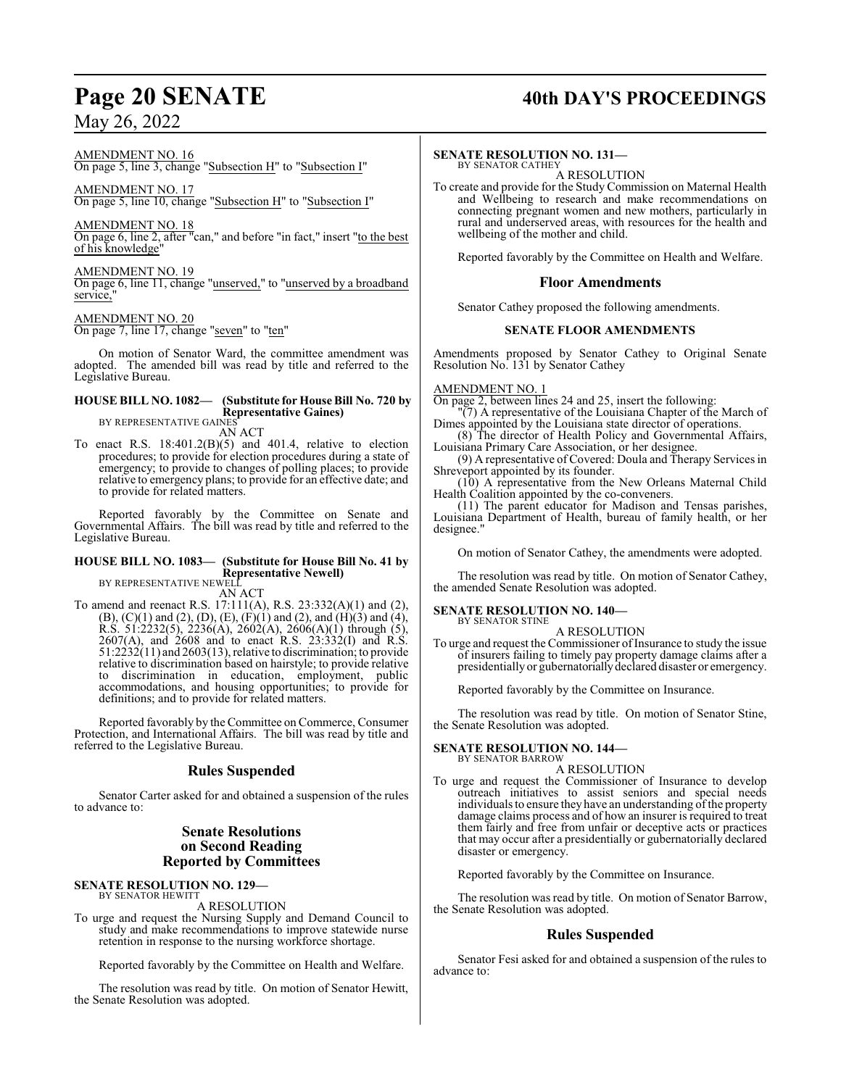## **Page 20 SENATE 40th DAY'S PROCEEDINGS**

AMENDMENT NO. 16 On page 5, line 3, change "Subsection H" to "Subsection I"

AMENDMENT NO. 17

On page 5, line 10, change "Subsection H" to "Subsection I"

AMENDMENT NO. 18

On page 6, line 2, after "can," and before "in fact," insert "to the best of his knowledge"

AMENDMENT NO. 19

On page 6, line 11, change "unserved," to "unserved by a broadband service,

AMENDMENT NO. 20 On page 7, line 17, change "seven" to "ten"

On motion of Senator Ward, the committee amendment was adopted. The amended bill was read by title and referred to the Legislative Bureau.

#### **HOUSE BILL NO. 1082— (Substitute for House Bill No. 720 by Representative Gaines)** BY REPRESENTATIVE GAINES

AN ACT

To enact R.S.  $18:401.2(B)(5)$  and  $401.4$ , relative to election procedures; to provide for election procedures during a state of emergency; to provide to changes of polling places; to provide relative to emergency plans; to provide for an effective date; and to provide for related matters.

Reported favorably by the Committee on Senate and Governmental Affairs. The bill was read by title and referred to the Legislative Bureau.

## **HOUSE BILL NO. 1083— (Substitute for House Bill No. 41 by Representative Newell)** BY REPRESENTATIVE NEWELL

AN ACT

To amend and reenact R.S. 17:111(A), R.S. 23:332(A)(1) and (2),  $(B)$ ,  $(C)(1)$  and  $(2)$ ,  $(D)$ ,  $(E)$ ,  $(F)(1)$  and  $(2)$ , and  $(H)(3)$  and  $(4)$ , R.S. 51:2232(5), 2236(A), 2602(A), 2606(A)(1) through (5), 2607(A), and 2608 and to enact R.S. 23:332(I) and R.S.  $51:22\overline{32(11)}$  and  $260\overline{3(13)}$ , relative to discrimination; to provide relative to discrimination based on hairstyle; to provide relative to discrimination in education, employment, public accommodations, and housing opportunities; to provide for definitions; and to provide for related matters.

Reported favorably by the Committee on Commerce, Consumer Protection, and International Affairs. The bill was read by title and referred to the Legislative Bureau.

## **Rules Suspended**

Senator Carter asked for and obtained a suspension of the rules to advance to:

## **Senate Resolutions on Second Reading Reported by Committees**

### **SENATE RESOLUTION NO. 129—** BY SENATOR HEWITT

A RESOLUTION

To urge and request the Nursing Supply and Demand Council to study and make recommendations to improve statewide nurse retention in response to the nursing workforce shortage.

Reported favorably by the Committee on Health and Welfare.

The resolution was read by title. On motion of Senator Hewitt, the Senate Resolution was adopted.

# **SENATE RESOLUTION NO. 131—**<br>BY SENATOR CATHEY<br>A RESOLUTION

To create and provide for the Study Commission on Maternal Health and Wellbeing to research and make recommendations on connecting pregnant women and new mothers, particularly in rural and underserved areas, with resources for the health and wellbeing of the mother and child.

Reported favorably by the Committee on Health and Welfare.

## **Floor Amendments**

Senator Cathey proposed the following amendments.

## **SENATE FLOOR AMENDMENTS**

Amendments proposed by Senator Cathey to Original Senate Resolution No. 131 by Senator Cathey

## AMENDMENT NO. 1

On page 2, between lines 24 and 25, insert the following:

"(7) A representative of the Louisiana Chapter of the March of Dimes appointed by the Louisiana state director of operations.

(8) The director of Health Policy and Governmental Affairs, Louisiana Primary Care Association, or her designee.

(9) A representative of Covered: Doula and Therapy Services in Shreveport appointed by its founder.

(10) A representative from the New Orleans Maternal Child Health Coalition appointed by the co-conveners.

(11) The parent educator for Madison and Tensas parishes, Louisiana Department of Health, bureau of family health, or her designee."

On motion of Senator Cathey, the amendments were adopted.

The resolution was read by title. On motion of Senator Cathey, the amended Senate Resolution was adopted.

## **SENATE RESOLUTION NO. 140—**

BY SENATOR STINE A RESOLUTION

To urge and request the Commissioner of Insurance to study the issue of insurers failing to timely pay property damage claims after a presidentially or gubernatoriallydeclared disaster or emergency.

Reported favorably by the Committee on Insurance.

The resolution was read by title. On motion of Senator Stine, the Senate Resolution was adopted.

#### **SENATE RESOLUTION NO. 144—** BY SENATOR BARROW

## A RESOLUTION

To urge and request the Commissioner of Insurance to develop outreach initiatives to assist seniors and special needs individuals to ensure they have an understanding of the property damage claims process and of how an insurer is required to treat them fairly and free from unfair or deceptive acts or practices that may occur after a presidentially or gubernatorially declared disaster or emergency.

Reported favorably by the Committee on Insurance.

The resolution was read by title. On motion of Senator Barrow, the Senate Resolution was adopted.

## **Rules Suspended**

Senator Fesi asked for and obtained a suspension of the rules to advance to: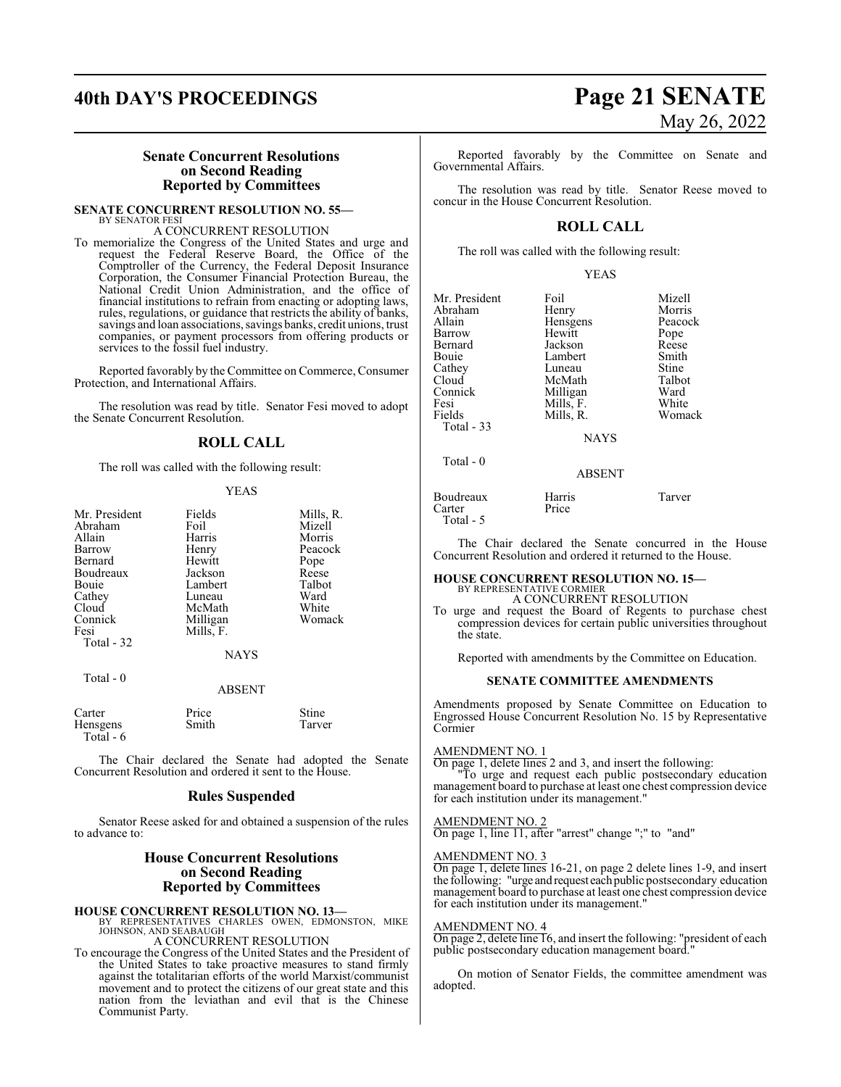## **40th DAY'S PROCEEDINGS Page 21 SENATE**

# May 26, 2022

## **Senate Concurrent Resolutions on Second Reading Reported by Committees**

**SENATE CONCURRENT RESOLUTION NO. 55—** BY SENATOR FESI

## A CONCURRENT RESOLUTION

To memorialize the Congress of the United States and urge and request the Federal Reserve Board, the Office of the Comptroller of the Currency, the Federal Deposit Insurance Corporation, the Consumer Financial Protection Bureau, the National Credit Union Administration, and the office of financial institutions to refrain from enacting or adopting laws, rules, regulations, or guidance that restricts the ability of banks, savings and loan associations, savings banks, credit unions, trust companies, or payment processors from offering products or services to the fossil fuel industry.

Reported favorably by the Committee on Commerce, Consumer Protection, and International Affairs.

The resolution was read by title. Senator Fesi moved to adopt the Senate Concurrent Resolution.

## **ROLL CALL**

The roll was called with the following result:

### YEAS

| Mr. President | Fields      | Mills, R. |
|---------------|-------------|-----------|
| Abraham       | Foil        | Mizell    |
| Allain        | Harris      | Morris    |
| Barrow        | Henry       | Peacock   |
| Bernard       | Hewitt      | Pope      |
| Boudreaux     | Jackson     | Reese     |
| Bouie         | Lambert     | Talbot    |
| Cathey        | Luneau      | Ward      |
| Cloud         | McMath      | White     |
| Connick       | Milligan    | Womack    |
| Fesi          | Mills, F.   |           |
| Total - 32    |             |           |
|               | <b>NAYS</b> |           |
|               |             |           |

| Total - 0 |  |  |
|-----------|--|--|
|           |  |  |

## ABSENT

| Carter    | Price | <b>Stine</b> |
|-----------|-------|--------------|
| Hensgens  | Smith | Tarver       |
| Total - 6 |       |              |

The Chair declared the Senate had adopted the Senate Concurrent Resolution and ordered it sent to the House.

## **Rules Suspended**

Senator Reese asked for and obtained a suspension of the rules to advance to:

## **House Concurrent Resolutions on Second Reading Reported by Committees**

**HOUSE CONCURRENT RESOLUTION NO. 13—**<br>BY REPRESENTATIVES CHARLES OWEN, EDMONSTON, MIKE<br>JOHNSON, AND SEABAUGH

A CONCURRENT RESOLUTION

To encourage the Congress of the United States and the President of the United States to take proactive measures to stand firmly against the totalitarian efforts of the world Marxist/communist movement and to protect the citizens of our great state and this nation from the leviathan and evil that is the Chinese Communist Party.

Reported favorably by the Committee on Senate and Governmental Affairs.

The resolution was read by title. Senator Reese moved to concur in the House Concurrent Resolution.

## **ROLL CALL**

The roll was called with the following result:

| Mr. President | Foil        | Mizell  |
|---------------|-------------|---------|
| Abraham       | Henry       | Morris  |
| Allain        | Hensgens    | Peacock |
| Barrow        | Hewitt      | Pope    |
| Bernard       | Jackson     | Reese   |
| Bouie         | Lambert     | Smith   |
| Cathey        | Luneau      | Stine   |
| Cloud         | McMath      | Talbot  |
| Connick       | Milligan    | Ward    |
| Fesi          | Mills, F.   | White   |
| Fields        | Mills, R.   | Womack  |
| Total - 33    |             |         |
|               | <b>NAYS</b> |         |
| Total - 0     |             |         |

## ABSENT

| Boudreaux | Harris | Tarver |
|-----------|--------|--------|
| Carter    | Price  |        |
| Total - 5 |        |        |

The Chair declared the Senate concurred in the House Concurrent Resolution and ordered it returned to the House.

#### **HOUSE CONCURRENT RESOLUTION NO. 15—** BY REPRESENTATIVE CORMIER

A CONCURRENT RESOLUTION

To urge and request the Board of Regents to purchase chest compression devices for certain public universities throughout the state.

Reported with amendments by the Committee on Education.

## **SENATE COMMITTEE AMENDMENTS**

Amendments proposed by Senate Committee on Education to Engrossed House Concurrent Resolution No. 15 by Representative Cormier

## AMENDMENT NO. 1

On page 1, delete lines 2 and 3, and insert the following:

"To urge and request each public postsecondary education management board to purchase at least one chest compression device for each institution under its management."

## AMENDMENT NO. 2

On page 1, line 11, after "arrest" change ";" to "and"

## AMENDMENT NO. 3

On page 1, delete lines 16-21, on page 2 delete lines 1-9, and insert the following: "urge and request each public postsecondary education management board to purchase at least one chest compression device for each institution under its management."

## AMENDMENT NO. 4

On page 2, delete line 16, and insert the following: "president of each public postsecondary education management board."

On motion of Senator Fields, the committee amendment was adopted.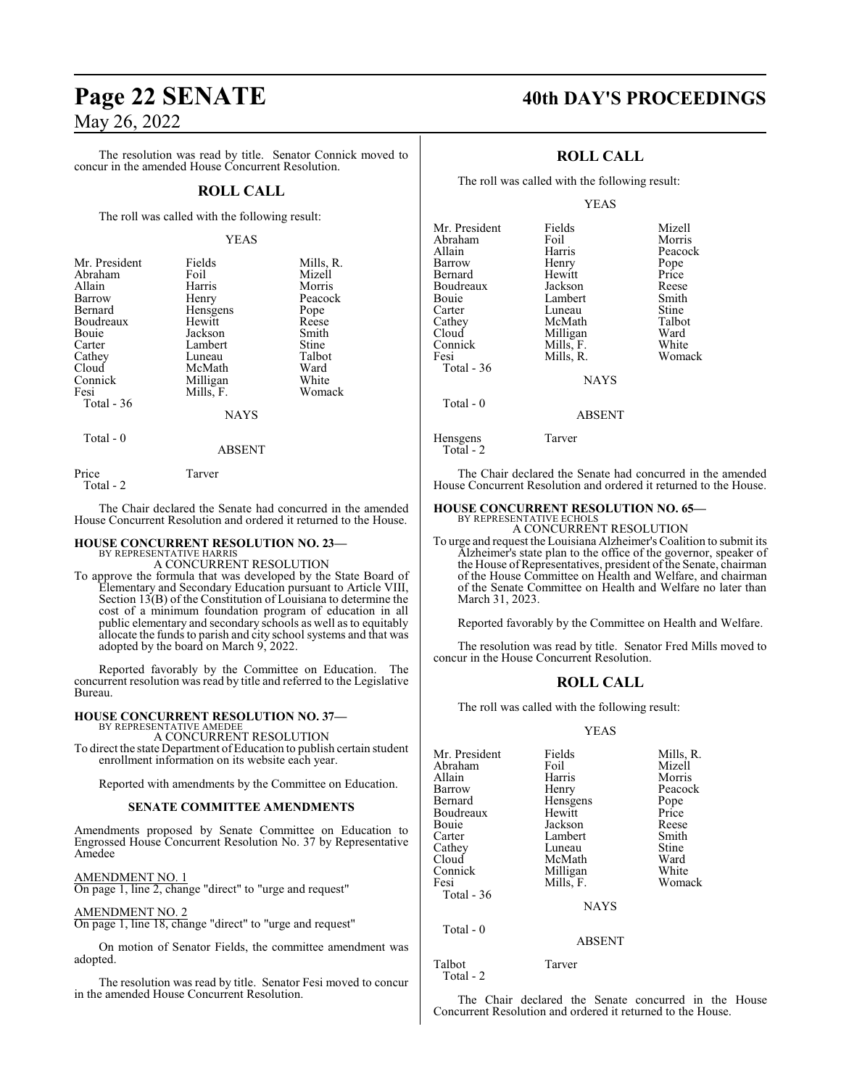The resolution was read by title. Senator Connick moved to concur in the amended House Concurrent Resolution.

## **ROLL CALL**

The roll was called with the following result:

### YEAS

| Mr. President     | Fields      | Mills, R. |
|-------------------|-------------|-----------|
| Abraham           | Foil        | Mizell    |
| Allain            | Harris      | Morris    |
| Barrow            | Henry       | Peacock   |
| Bernard           | Hensgens    | Pope      |
| Boudreaux         | Hewitt      | Reese     |
| Bouie             | Jackson     | Smith     |
| Carter            | Lambert     | Stine     |
| Cathey            | Luneau      | Talbot    |
| Cloud             | McMath      | Ward      |
| Connick           | Milligan    | White     |
| Fesi              | Mills, F.   | Womack    |
| Total - 36        |             |           |
|                   | <b>NAYS</b> |           |
| $T - 1 - \Lambda$ |             |           |

Total - 0

Price Tarver

Total - 2

The Chair declared the Senate had concurred in the amended House Concurrent Resolution and ordered it returned to the House.

ABSENT

## **HOUSE CONCURRENT RESOLUTION NO. 23—**

BY REPRESENTATIVE HARRIS A CONCURRENT RESOLUTION

To approve the formula that was developed by the State Board of Elementary and Secondary Education pursuant to Article VIII, Section 13(B) of the Constitution of Louisiana to determine the cost of a minimum foundation program of education in all public elementary and secondary schools as well as to equitably allocate the funds to parish and city school systems and that was adopted by the board on March 9, 2022.

Reported favorably by the Committee on Education. The concurrent resolution was read by title and referred to the Legislative Bureau.

## **HOUSE CONCURRENT RESOLUTION NO. 37—**

BY REPRESENTATIVE AMEDEE A CONCURRENT RESOLUTION

To direct the state Department of Education to publish certain student enrollment information on its website each year.

Reported with amendments by the Committee on Education.

## **SENATE COMMITTEE AMENDMENTS**

Amendments proposed by Senate Committee on Education to Engrossed House Concurrent Resolution No. 37 by Representative Amedee

AMENDMENT NO. 1

On page 1, line 2, change "direct" to "urge and request"

AMENDMENT NO. 2

On page 1, line 18, change "direct" to "urge and request"

On motion of Senator Fields, the committee amendment was adopted.

The resolution was read by title. Senator Fesi moved to concur in the amended House Concurrent Resolution.

## **Page 22 SENATE 40th DAY'S PROCEEDINGS**

## **ROLL CALL**

The roll was called with the following result:

## YEAS

| Mr. President<br>Abraham<br>Allain<br>Barrow<br>Bernard<br>Boudreaux<br>Bouie<br>Carter<br>Cathey<br>Cloud<br>Connick<br>Fesi<br>Total - 36 | Fields<br>Foil<br>Harris<br>Henry<br>Hewitt<br>Jackson<br>Lambert<br>Luneau<br>McMath<br>Milligan<br>Mills, F.<br>Mills, R.<br><b>NAYS</b> | Mizell<br>Morris<br>Peacock<br>Pope<br>Price<br>Reese<br>Smith<br>Stine<br>Talbot<br>Ward<br>White<br>Womack |
|---------------------------------------------------------------------------------------------------------------------------------------------|--------------------------------------------------------------------------------------------------------------------------------------------|--------------------------------------------------------------------------------------------------------------|
|                                                                                                                                             |                                                                                                                                            |                                                                                                              |
| Total $-0$                                                                                                                                  | <b>ABSENT</b>                                                                                                                              |                                                                                                              |
|                                                                                                                                             |                                                                                                                                            |                                                                                                              |

Hensgens Tarver Total - 2

The Chair declared the Senate had concurred in the amended House Concurrent Resolution and ordered it returned to the House.

## **HOUSE CONCURRENT RESOLUTION NO. 65—** BY REPRESENTATIVE ECHOLS

A CONCURRENT RESOLUTION

To urge and request the Louisiana Alzheimer's Coalition to submit its Alzheimer's state plan to the office of the governor, speaker of the House of Representatives, president of the Senate, chairman of the House Committee on Health and Welfare, and chairman of the Senate Committee on Health and Welfare no later than March 31, 2023.

Reported favorably by the Committee on Health and Welfare.

The resolution was read by title. Senator Fred Mills moved to concur in the House Concurrent Resolution.

## **ROLL CALL**

The roll was called with the following result:

### YEAS

| Mr. President<br>Abraham<br>Allain<br>Barrow<br>Bernard<br>Boudreaux<br>Bouie<br>Carter<br>Cathey<br>Cloud<br>Connick<br>Fesi<br>Total $-36$ | Fields<br>Foil<br>Harris<br>Henry<br>Hensgens<br>Hewitt<br>Jackson<br>Lambert<br>Luneau<br>McMath<br>Milligan<br>Mills, F. | Mills, R.<br>Mizell<br>Morris<br>Peacock<br>Pope<br>Price<br>Reese<br>Smith<br>Stine<br>Ward<br>White<br>Womack |
|----------------------------------------------------------------------------------------------------------------------------------------------|----------------------------------------------------------------------------------------------------------------------------|-----------------------------------------------------------------------------------------------------------------|
|                                                                                                                                              | <b>NAYS</b>                                                                                                                |                                                                                                                 |
| Total $-0$                                                                                                                                   | <b>ABSENT</b>                                                                                                              |                                                                                                                 |
|                                                                                                                                              |                                                                                                                            |                                                                                                                 |

Talbot Tarver Total - 2

The Chair declared the Senate concurred in the House Concurrent Resolution and ordered it returned to the House.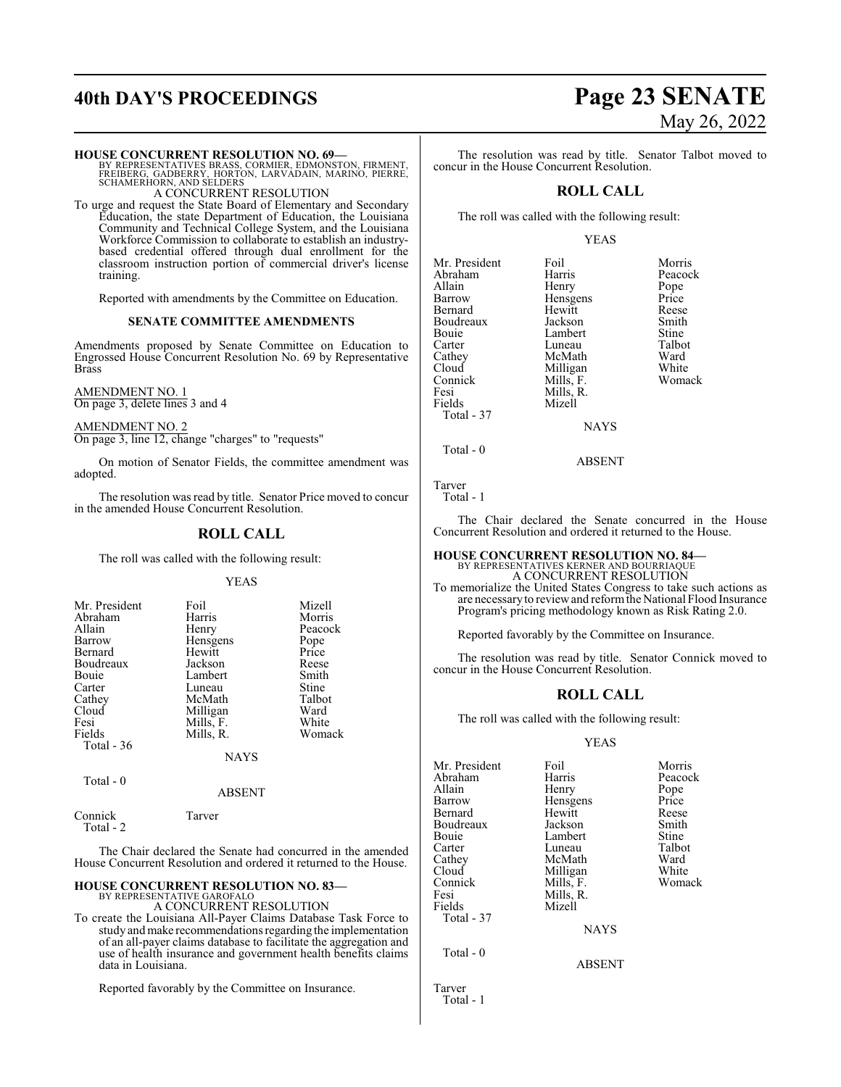## **40th DAY'S PROCEEDINGS Page 23 SENATE**

## **HOUSE CONCURRENT RESOLUTION NO. 69—**

BY REPRESENTATIVES BRASS, CORMIER, EDMONSTON, FIRMENT,<br>FREIBERG, GADBERRY, HORTON, LARVADAIN, MARINO, PIERRE,<br>SCHAMERHORN, AND SELDERS

A CONCURRENT RESOLUTION

To urge and request the State Board of Elementary and Secondary Education, the state Department of Education, the Louisiana Community and Technical College System, and the Louisiana Workforce Commission to collaborate to establish an industrybased credential offered through dual enrollment for the classroom instruction portion of commercial driver's license training.

Reported with amendments by the Committee on Education.

## **SENATE COMMITTEE AMENDMENTS**

Amendments proposed by Senate Committee on Education to Engrossed House Concurrent Resolution No. 69 by Representative Brass

AMENDMENT NO. 1 On page 3, delete lines 3 and 4

AMENDMENT NO. 2 On page 3, line 12, change "charges" to "requests"

On motion of Senator Fields, the committee amendment was adopted.

The resolution was read by title. Senator Price moved to concur in the amended House Concurrent Resolution.

## **ROLL CALL**

The roll was called with the following result:

## YEAS

| Mr. President | Foil      | Mizell  |
|---------------|-----------|---------|
| Abraham       | Harris    | Morris  |
| Allain        | Henry     | Peacock |
| Barrow        | Hensgens  | Pope    |
| Bernard       | Hewitt    | Price   |
| Boudreaux     | Jackson   | Reese   |
| <b>Bouje</b>  | Lambert   | Smith   |
| Carter        | Luneau    | Stine   |
| Cathey        | McMath    | Talbot  |
| Cloud         | Milligan  | Ward    |
| Fesi          | Mills, F. | White   |
| Fields        | Mills, R. | Womack  |
| Total $-36$   |           |         |
|               | NAYS      |         |

Total - 0

Total - 2

Connick Tarver

### ABSENT

The Chair declared the Senate had concurred in the amended House Concurrent Resolution and ordered it returned to the House.

## **HOUSE CONCURRENT RESOLUTION NO. 83—** BY REPRESENTATIVE GAROFALO

A CONCURRENT RESOLUTION

To create the Louisiana All-Payer Claims Database Task Force to study and make recommendations regarding the implementation of an all-payer claims database to facilitate the aggregation and use of health insurance and government health benefits claims data in Louisiana.

Reported favorably by the Committee on Insurance.

# May 26, 2022

The resolution was read by title. Senator Talbot moved to concur in the House Concurrent Resolution.

## **ROLL CALL**

The roll was called with the following result:

## YEAS

| Mr. President                                              | Foil                                                                  | Morris                  |
|------------------------------------------------------------|-----------------------------------------------------------------------|-------------------------|
| Abraham                                                    | Harris                                                                | Peacock                 |
| Allain                                                     | Henry                                                                 | Pope                    |
| Barrow                                                     | Hensgens                                                              | Price                   |
| Bernard                                                    | Hewitt                                                                | Reese                   |
| Boudreaux                                                  | Jackson                                                               | Smith                   |
| Bouie                                                      | Lambert                                                               | Stine                   |
| Cathey<br>Cloud<br>Connick<br>Fesi<br>Fields<br>Total - 37 | McMath<br>Milligan<br>Mills, F.<br>Mills, R.<br>Mizell<br><b>NAYS</b> | Ward<br>White<br>Womack |

Reese<br>Smith Womack

ABSENT

Tarver Total - 1

Total - 0

The Chair declared the Senate concurred in the House Concurrent Resolution and ordered it returned to the House.

## **HOUSE CONCURRENT RESOLUTION NO. 84—** BY REPRESENTATIVES KERNER AND BOURRIAQUE

A CONCURRENT RESOLUTION

To memorialize the United States Congress to take such actions as are necessaryto reviewand reformthe National Flood Insurance Program's pricing methodology known as Risk Rating 2.0.

Reported favorably by the Committee on Insurance.

The resolution was read by title. Senator Connick moved to concur in the House Concurrent Resolution.

## **ROLL CALL**

The roll was called with the following result:

## YEAS

| Mr. President<br>Abraham<br>Allain<br>Barrow<br>Bernard<br>Boudreaux<br>Bouie<br>Carter<br>Cathey<br>Cloud<br>Connick<br>Fesi | Foil<br>Harris<br>Henry<br>Hensgens<br>Hewitt<br>Jackson<br>Lambert<br>Luneau<br>McMath<br>Milligan<br>Mills, F.<br>Mills, R. | Morris<br>Peacock<br>Pope<br>Price<br>Reese<br>Smith<br>Stine<br>Talbot<br>Ward<br>White<br>Womack |
|-------------------------------------------------------------------------------------------------------------------------------|-------------------------------------------------------------------------------------------------------------------------------|----------------------------------------------------------------------------------------------------|
| Fields<br>Total - 37<br>Total - 0                                                                                             | Mizell<br><b>NAYS</b><br><b>ABSENT</b>                                                                                        |                                                                                                    |

Tarver Total - 1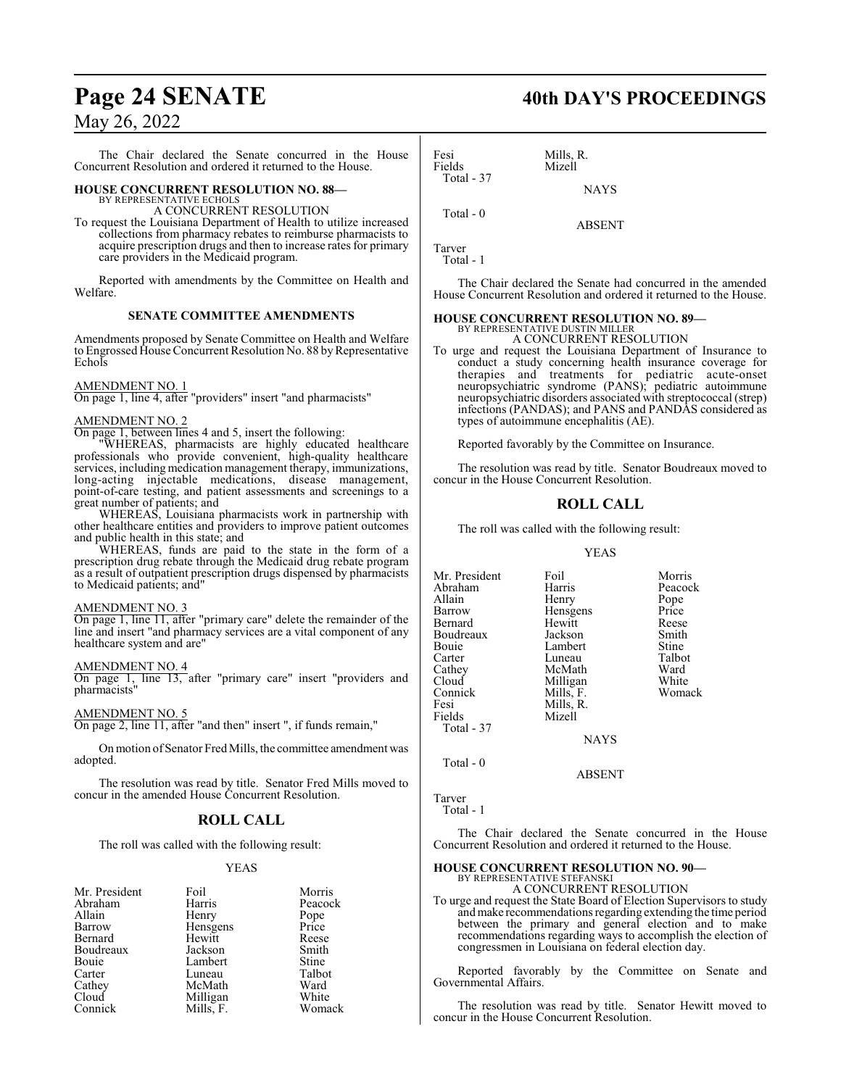The Chair declared the Senate concurred in the House Concurrent Resolution and ordered it returned to the House.

## **HOUSE CONCURRENT RESOLUTION NO. 88—**

BY REPRESENTATIVE ECHOLS A CONCURRENT RESOLUTION

To request the Louisiana Department of Health to utilize increased collections from pharmacy rebates to reimburse pharmacists to acquire prescription drugs and then to increase rates for primary care providers in the Medicaid program.

Reported with amendments by the Committee on Health and Welfare.

## **SENATE COMMITTEE AMENDMENTS**

Amendments proposed by Senate Committee on Health and Welfare to Engrossed House Concurrent Resolution No. 88 by Representative Echols

## AMENDMENT NO. 1

On page 1, line 4, after "providers" insert "and pharmacists"

## AMENDMENT NO. 2

On page 1, between lines 4 and 5, insert the following:

"WHEREAS, pharmacists are highly educated healthcare professionals who provide convenient, high-quality healthcare services, including medication management therapy, immunizations, long-acting injectable medications, disease management, point-of-care testing, and patient assessments and screenings to a great number of patients; and

WHEREAS, Louisiana pharmacists work in partnership with other healthcare entities and providers to improve patient outcomes and public health in this state; and

WHEREAS, funds are paid to the state in the form of a prescription drug rebate through the Medicaid drug rebate program as a result of outpatient prescription drugs dispensed by pharmacists to Medicaid patients; and"

### AMENDMENT NO. 3

On page 1, line 11, after "primary care" delete the remainder of the line and insert "and pharmacy services are a vital component of any healthcare system and are"

### AMENDMENT NO. 4

On page 1, line 13, after "primary care" insert "providers and pharmacists"

### AMENDMENT NO. 5

On page 2, line 11, after "and then" insert ", if funds remain,"

On motion of Senator Fred Mills, the committee amendment was adopted.

The resolution was read by title. Senator Fred Mills moved to concur in the amended House Concurrent Resolution.

## **ROLL CALL**

The roll was called with the following result:

## YEAS

| Mr. President | Foil      | Morris        |
|---------------|-----------|---------------|
| Abraham       | Harris    | Peacock       |
| Allain        | Henry     |               |
| Barrow        | Hensgens  | Pope<br>Price |
| Bernard       | Hewitt    | Reese         |
| Boudreaux     | Jackson   | Smith         |
| Bouie         | Lambert   | <b>Stine</b>  |
| Carter        | Luneau    | Talbot        |
| Cathey        | McMath    | Ward          |
| Cloud         | Milligan  | White         |
| Connick       | Mills, F. | Womack        |

## Fesi Mills, R.<br>Fields Mizell Mizell Total - 37 **NAYS**

Total - 0

Tarver Total - 1

The Chair declared the Senate had concurred in the amended House Concurrent Resolution and ordered it returned to the House.

ABSENT

## **HOUSE CONCURRENT RESOLUTION NO. 89—**

## BY REPRESENTATIVE DUSTIN MILLER A CONCURRENT RESOLUTION

To urge and request the Louisiana Department of Insurance to conduct a study concerning health insurance coverage for therapies and treatments for pediatric acute-onset neuropsychiatric syndrome (PANS); pediatric autoimmune neuropsychiatric disorders associated with streptococcal (strep) infections (PANDAS); and PANS and PANDAS considered as types of autoimmune encephalitis (AE).

Reported favorably by the Committee on Insurance.

The resolution was read by title. Senator Boudreaux moved to concur in the House Concurrent Resolution.

## **ROLL CALL**

The roll was called with the following result:

### YEAS

| Mr. President | Foil        | Morris  |
|---------------|-------------|---------|
| Abraham       | Harris      | Peacock |
| Allain        | Henry       | Pope    |
| Barrow        | Hensgens    | Price   |
| Bernard       | Hewitt      | Reese   |
| Boudreaux     | Jackson     | Smith   |
| Bouie         | Lambert     | Stine   |
| Carter        | Luneau      | Talbot  |
| Cathey        | McMath      | Ward    |
| Cloud         | Milligan    | White   |
| Connick       | Mills, F.   | Womack  |
| Fesi          | Mills, R.   |         |
| Fields        | Mizell      |         |
| Total - 37    |             |         |
|               | <b>NAYS</b> |         |
|               |             |         |

Total - 0

ABSENT

```
Tarver
  Total - 1
```
The Chair declared the Senate concurred in the House Concurrent Resolution and ordered it returned to the House.

## **HOUSE CONCURRENT RESOLUTION NO. 90—**

BY REPRESENTATIVE STEFANSKI A CONCURRENT RESOLUTION

To urge and request the State Board of Election Supervisors to study andmake recommendations regarding extending the time period between the primary and general election and to make recommendations regarding ways to accomplish the election of congressmen in Louisiana on federal election day.

Reported favorably by the Committee on Senate and Governmental Affairs.

The resolution was read by title. Senator Hewitt moved to concur in the House Concurrent Resolution.

## Page 24 SENATE 40th DAY'S PROCEEDINGS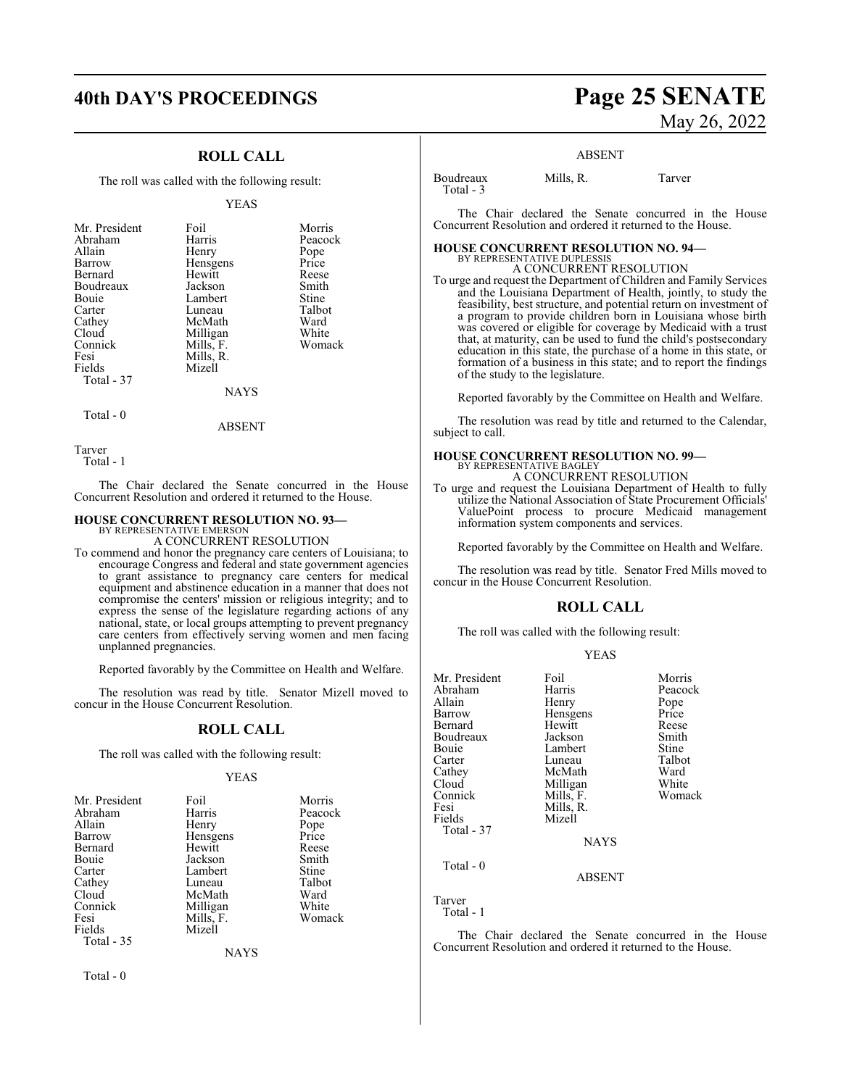## **ROLL CALL**

The roll was called with the following result:

#### YEAS

| Mr. President | Foil      | Morris  |
|---------------|-----------|---------|
| Abraham       | Harris    | Peacock |
| Allain        | Henry     | Pope    |
| Barrow        | Hensgens  | Price   |
| Bernard       | Hewitt    | Reese   |
| Boudreaux     | Jackson   | Smith   |
| Bouie         | Lambert   | Stine   |
| Carter        | Luneau    | Talbot  |
| Cathey        | McMath    | Ward    |
| Cloud         | Milligan  | White   |
| Connick       | Mills, F. | Womack  |
| Fesi          | Mills, R. |         |
| Fields        | Mizell    |         |
| Total - 37    |           |         |
|               | NAYS      |         |

 $Total - 0$ 

ABSENT

Tarver

Total - 1

The Chair declared the Senate concurred in the House Concurrent Resolution and ordered it returned to the House.

## **HOUSE CONCURRENT RESOLUTION NO. 93—**

BY REPRESENTATIVE EMERSON A CONCURRENT RESOLUTION

To commend and honor the pregnancy care centers of Louisiana; to encourage Congress and federal and state government agencies to grant assistance to pregnancy care centers for medical equipment and abstinence education in a manner that does not compromise the centers' mission or religious integrity; and to express the sense of the legislature regarding actions of any national, state, or local groups attempting to prevent pregnancy care centers from effectively serving women and men facing unplanned pregnancies.

Reported favorably by the Committee on Health and Welfare.

The resolution was read by title. Senator Mizell moved to concur in the House Concurrent Resolution.

## **ROLL CALL**

The roll was called with the following result:

### YEAS

| Mr. President | Foil        | Morris  |
|---------------|-------------|---------|
| Abraham       | Harris      | Peacock |
| Allain        | Henry       | Pope    |
| Barrow        | Hensgens    | Price   |
| Bernard       | Hewitt      | Reese   |
| Bouie         | Jackson     | Smith   |
| Carter        | Lambert     | Stine   |
| Cathey        | Luneau      | Talbot  |
| Cloud         | McMath      | Ward    |
| Connick       | Milligan    | White   |
| Fesi          | Mills, F.   | Womack  |
| Fields        | Mizell      |         |
| Total - 35    |             |         |
|               | <b>NAYS</b> |         |

Total - 0

## **40th DAY'S PROCEEDINGS Page 25 SENATE** May 26, 2022

### ABSENT

Boudreaux Mills, R. Tarver Total - 3

The Chair declared the Senate concurred in the House Concurrent Resolution and ordered it returned to the House.

## **HOUSE CONCURRENT RESOLUTION NO. 94—** BY REPRESENTATIVE DUPLESSIS A CONCURRENT RESOLUTION

To urge and request the Department of Children and Family Services and the Louisiana Department of Health, jointly, to study the feasibility, best structure, and potential return on investment of a program to provide children born in Louisiana whose birth was covered or eligible for coverage by Medicaid with a trust that, at maturity, can be used to fund the child's postsecondary education in this state, the purchase of a home in this state, or formation of a business in this state; and to report the findings of the study to the legislature.

Reported favorably by the Committee on Health and Welfare.

The resolution was read by title and returned to the Calendar, subject to call.

## **HOUSE CONCURRENT RESOLUTION NO. 99—**

BY REPRESENTATIVE BAGLEY A CONCURRENT RESOLUTION

To urge and request the Louisiana Department of Health to fully utilize the National Association of State Procurement Officials' ValuePoint process to procure Medicaid management information system components and services.

Reported favorably by the Committee on Health and Welfare.

The resolution was read by title. Senator Fred Mills moved to concur in the House Concurrent Resolution.

## **ROLL CALL**

The roll was called with the following result:

YEAS

| Mr. President | Foil          | Morris  |
|---------------|---------------|---------|
| Abraham       | Harris        | Peacock |
| Allain        | Henry         | Pope    |
| Barrow        | Hensgens      | Price   |
| Bernard       | Hewitt        | Reese   |
| Boudreaux     | Jackson       | Smith   |
| Bouie         | Lambert       | Stine   |
| Carter        | Luneau        | Talbot  |
| Cathey        | McMath        | Ward    |
| Cloud         | Milligan      | White   |
| Connick       | Mills, F.     | Womack  |
| Fesi          | Mills, R.     |         |
| Fields        | Mizell        |         |
| Total $-37$   |               |         |
|               |               |         |
|               | <b>NAYS</b>   |         |
|               |               |         |
| Total $-0$    |               |         |
|               | <b>ABSENT</b> |         |
|               |               |         |

Tarver Total - 1

The Chair declared the Senate concurred in the House Concurrent Resolution and ordered it returned to the House.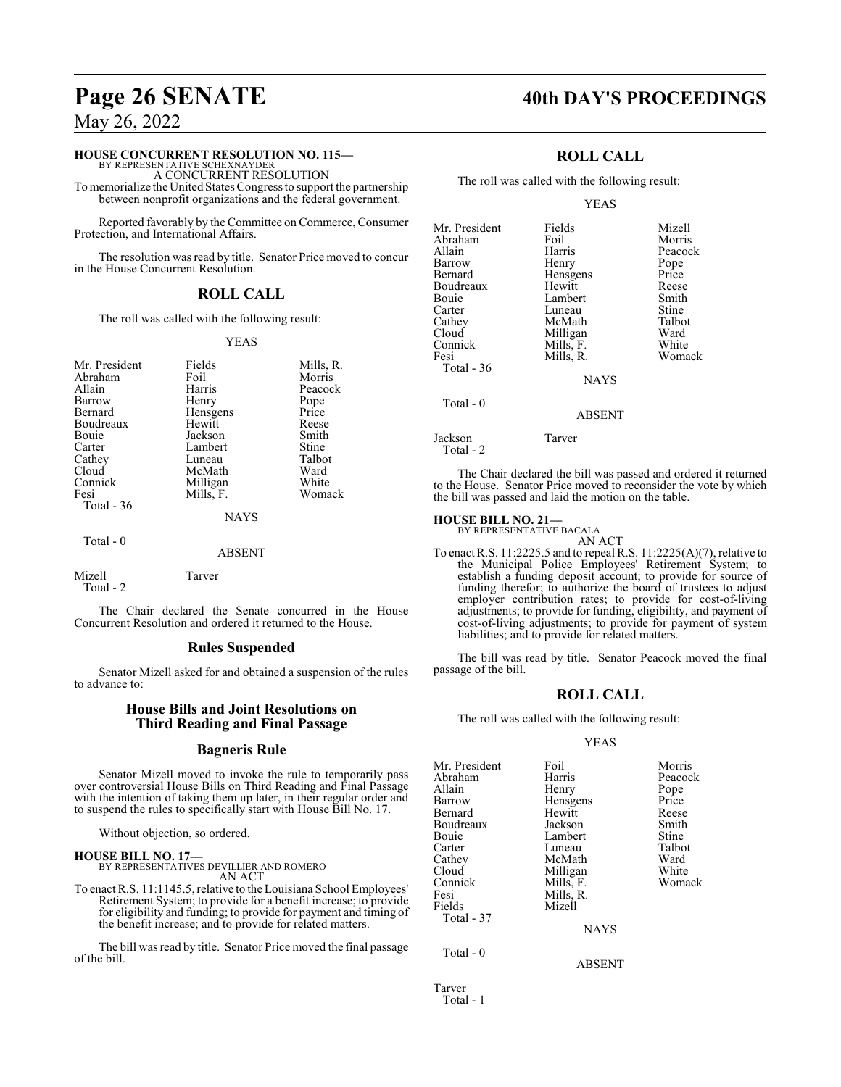## **HOUSE CONCURRENT RESOLUTION NO. 115—**

BY REPRESENTATIVE SCHEXNAYDER A CONCURRENT RESOLUTION

To memorialize the United States Congress to support the partnership between nonprofit organizations and the federal government.

Reported favorably by the Committee on Commerce, Consumer Protection, and International Affairs.

The resolution was read by title. Senator Price moved to concur in the House Concurrent Resolution.

## **ROLL CALL**

The roll was called with the following result:

## YEAS

| Mr. President<br>Abraham<br>Allain<br>Barrow<br>Bernard<br>Boudreaux<br>Bouie<br>Carter<br>Cathey<br>Cloud<br>Connick<br>Fesi | Fields<br>Foil<br>Harris<br>Henry<br>Hensgens<br>Hewitt<br>Jackson<br>Lambert<br>Luneau<br>McMath<br>Milligan<br>Mills, F. | Mills, R.<br>Morris<br>Peacock<br>Pope<br>Price<br>Reese<br>Smith<br>Stine<br>Talbot<br>Ward<br>White<br>Womack |
|-------------------------------------------------------------------------------------------------------------------------------|----------------------------------------------------------------------------------------------------------------------------|-----------------------------------------------------------------------------------------------------------------|
| Total - 36                                                                                                                    | <b>NAYS</b>                                                                                                                |                                                                                                                 |
| Total - 0                                                                                                                     |                                                                                                                            |                                                                                                                 |

### ABSENT

Mizell Tarver Total - 2

The Chair declared the Senate concurred in the House Concurrent Resolution and ordered it returned to the House.

## **Rules Suspended**

Senator Mizell asked for and obtained a suspension of the rules to advance to:

## **House Bills and Joint Resolutions on Third Reading and Final Passage**

## **Bagneris Rule**

Senator Mizell moved to invoke the rule to temporarily pass over controversial House Bills on Third Reading and Final Passage with the intention of taking them up later, in their regular order and to suspend the rules to specifically start with House Bill No. 17.

Without objection, so ordered.

**HOUSE BILL NO. 17—** BY REPRESENTATIVES DEVILLIER AND ROMERO AN ACT

To enact R.S. 11:1145.5, relative to the Louisiana School Employees' Retirement System; to provide for a benefit increase; to provide for eligibility and funding; to provide for payment and timing of the benefit increase; and to provide for related matters.

The bill was read by title. Senator Price moved the final passage of the bill.

## **Page 26 SENATE 40th DAY'S PROCEEDINGS**

## **ROLL CALL**

The roll was called with the following result:

## YEAS

| Mr. President     | Fields        | Mizell  |
|-------------------|---------------|---------|
| Abraham           | Foil          | Morris  |
| Allain            | Harris        | Peacock |
| Barrow            | Henry         | Pope    |
| Bernard           | Hensgens      | Price   |
| Boudreaux         | Hewitt        | Reese   |
| Bouie             | Lambert       | Smith   |
| Carter            | Luneau        | Stine   |
| Cathey            | McMath        | Talbot  |
| Cloud             | Milligan      | Ward    |
| Connick           | Mills, F.     | White   |
| Fesi              | Mills, R.     | Womack  |
| <b>Total - 36</b> |               |         |
|                   | <b>NAYS</b>   |         |
| Total $-0$        |               |         |
|                   | <b>ABSENT</b> |         |
|                   |               |         |

Jackson Tarver

Total - 2

The Chair declared the bill was passed and ordered it returned to the House. Senator Price moved to reconsider the vote by which the bill was passed and laid the motion on the table.

**HOUSE BILL NO. 21—** BY REPRESENTATIVE BACALA AN ACT

To enact R.S. 11:2225.5 and to repeal R.S. 11:2225(A)(7), relative to the Municipal Police Employees' Retirement System; to establish a funding deposit account; to provide for source of funding therefor; to authorize the board of trustees to adjust employer contribution rates; to provide for cost-of-living adjustments; to provide for funding, eligibility, and payment of cost-of-living adjustments; to provide for payment of system liabilities; and to provide for related matters.

The bill was read by title. Senator Peacock moved the final passage of the bill.

## **ROLL CALL**

The roll was called with the following result:

## YEAS

| Mr. President | Foil          | Morris  |
|---------------|---------------|---------|
| Abraham       | Harris        | Peacock |
| Allain        | Henry         | Pope    |
| Barrow        | Hensgens      | Price   |
| Bernard       | Hewitt        | Reese   |
| Boudreaux     | Jackson       | Smith   |
| Bouie         | Lambert       | Stine   |
| Carter        | Luneau        | Talbot  |
| Cathey        | McMath        | Ward    |
| Cloud         | Milligan      | White   |
| Connick       | Mills, F.     | Womack  |
| Fesi          | Mills, R.     |         |
| Fields        | Mizell        |         |
| Total - 37    |               |         |
|               | <b>NAYS</b>   |         |
| Total - 0     |               |         |
|               | <b>ABSENT</b> |         |
| Tarver        |               |         |
| Total - 1     |               |         |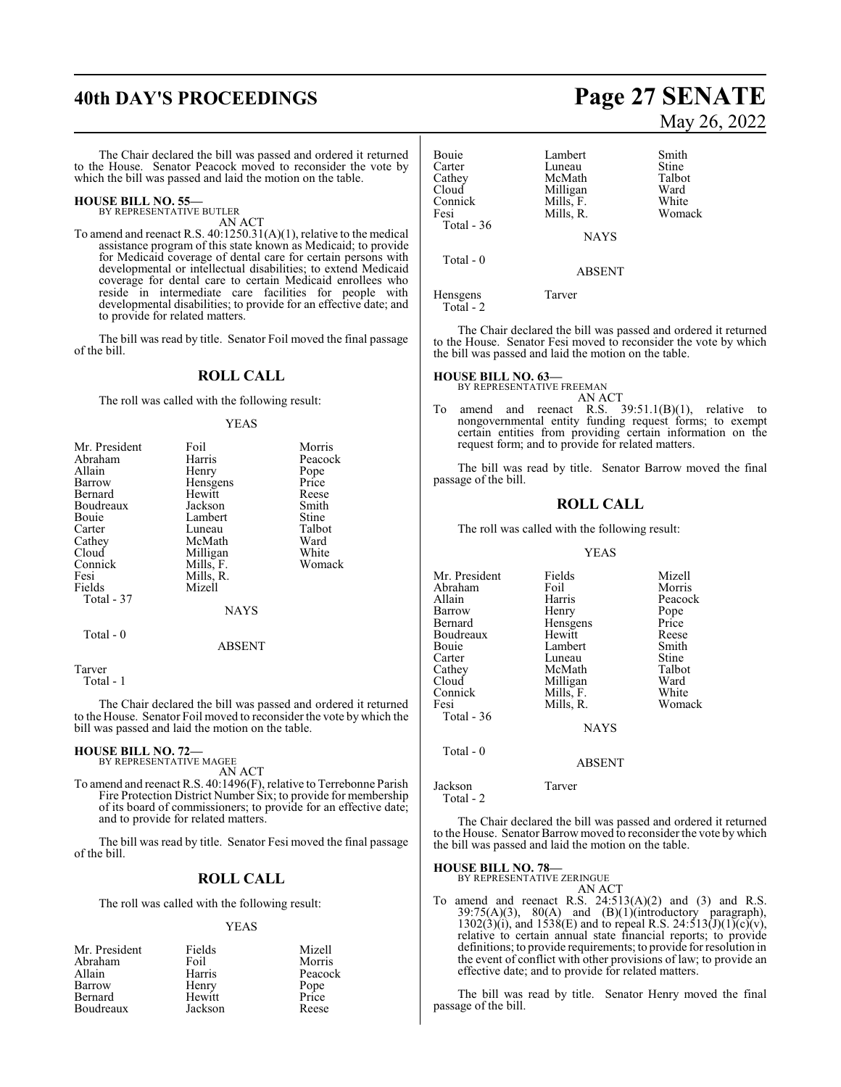## **40th DAY'S PROCEEDINGS Page 27 SENATE**

The Chair declared the bill was passed and ordered it returned to the House. Senator Peacock moved to reconsider the vote by which the bill was passed and laid the motion on the table.

### **HOUSE BILL NO. 55—** BY REPRESENTATIVE BUTLER

AN ACT

To amend and reenact R.S. 40:1250.31(A)(1), relative to the medical assistance program of this state known as Medicaid; to provide for Medicaid coverage of dental care for certain persons with developmental or intellectual disabilities; to extend Medicaid coverage for dental care to certain Medicaid enrollees who reside in intermediate care facilities for people with developmental disabilities; to provide for an effective date; and to provide for related matters.

The bill was read by title. Senator Foil moved the final passage of the bill.

## **ROLL CALL**

The roll was called with the following result:

## YEAS

| Mr. President | Foil        | Morris  |
|---------------|-------------|---------|
| Abraham       | Harris      | Peacock |
| Allain        | Henry       | Pope    |
| Barrow        | Hensgens    | Price   |
| Bernard       | Hewitt      | Reese   |
| Boudreaux     | Jackson     | Smith   |
| Bouie         | Lambert     | Stine   |
| Carter        | Luneau      | Talbot  |
| Cathey        | McMath      | Ward    |
| Cloud         | Milligan    | White   |
| Connick       | Mills, F.   | Womack  |
| Fesi          | Mills, R.   |         |
| Fields        | Mizell      |         |
| Total - 37    |             |         |
|               | <b>NAYS</b> |         |
| Total - 0     |             |         |
|               | ABSENT      |         |

Tarver

Total - 1

The Chair declared the bill was passed and ordered it returned to the House. Senator Foil moved to reconsider the vote by which the bill was passed and laid the motion on the table.

#### **HOUSE BILL NO. 72—** BY REPRESENTATIVE MAGEE

AN ACT

To amend and reenact R.S. 40:1496(F), relative to Terrebonne Parish Fire Protection District Number Six; to provide for membership of its board of commissioners; to provide for an effective date; and to provide for related matters.

The bill was read by title. Senator Fesi moved the final passage of the bill.

## **ROLL CALL**

The roll was called with the following result:

### YEAS

| Mr. President | Fields  | Mizell        |
|---------------|---------|---------------|
| Abraham       | Foil    | Morris        |
| Allain        | Harris  | Peacock       |
| Barrow        | Henry   | Pope<br>Price |
| Bernard       | Hewitt  |               |
| Boudreaux     | Jackson | Reese         |

# May 26, 2022

| Bouie<br>Carter<br>Cathey<br>Cloud<br>Connick<br>Fesi<br>Total - 36 | Lambert<br>Luneau<br>McMath<br>Milligan<br>Mills, F.<br>Mills, R. | Smith<br>Stine<br>Talbot<br>Ward<br>White<br>Womack |
|---------------------------------------------------------------------|-------------------------------------------------------------------|-----------------------------------------------------|
|                                                                     | <b>NAYS</b>                                                       |                                                     |
| Total $-0$                                                          | <b>ABSENT</b>                                                     |                                                     |
| Hensgens<br>Total - 2                                               | Tarver                                                            |                                                     |

The Chair declared the bill was passed and ordered it returned to the House. Senator Fesi moved to reconsider the vote by which the bill was passed and laid the motion on the table.

## **HOUSE BILL NO. 63—**

BY REPRESENTATIVE FREEMAN AN ACT

To amend and reenact R.S. 39:51.1(B)(1), relative to nongovernmental entity funding request forms; to exempt certain entities from providing certain information on the request form; and to provide for related matters.

The bill was read by title. Senator Barrow moved the final passage of the bill.

## **ROLL CALL**

The roll was called with the following result:

### YEAS

| Mr. President | Fields        | Mizell  |
|---------------|---------------|---------|
| Abraham       | Foil          | Morris  |
| Allain        | Harris        | Peacock |
| Barrow        | Henry         | Pope    |
| Bernard       | Hensgens      | Price   |
| Boudreaux     | Hewitt        | Reese   |
| Bouie         | Lambert       | Smith   |
| Carter        | Luneau        | Stine   |
| Cathey        | McMath        | Talbot  |
| Cloud         | Milligan      | Ward    |
| Connick       | Mills, F.     | White   |
| Fesi          | Mills, R.     | Womack  |
| Total - 36    |               |         |
|               | <b>NAYS</b>   |         |
| Total - 0     |               |         |
|               | <b>ABSENT</b> |         |
|               |               |         |

Jackson Tarver Total - 2

The Chair declared the bill was passed and ordered it returned to the House. Senator Barrow moved to reconsider the vote by which the bill was passed and laid the motion on the table.

**HOUSE BILL NO. 78—**

BY REPRESENTATIVE ZERINGUE

AN ACT To amend and reenact R.S.  $24:513(A)(2)$  and  $(3)$  and R.S.  $39:75(A)(3)$ ,  $80(A)$  and  $(B)(1)($ introductory paragraph),  $1302(3)(i)$ , and  $1538(E)$  and to repeal R.S.  $24:513(J)(1)(c)(v)$ , relative to certain annual state financial reports; to provide definitions; to provide requirements; to provide for resolution in the event of conflict with other provisions of law; to provide an effective date; and to provide for related matters.

The bill was read by title. Senator Henry moved the final passage of the bill.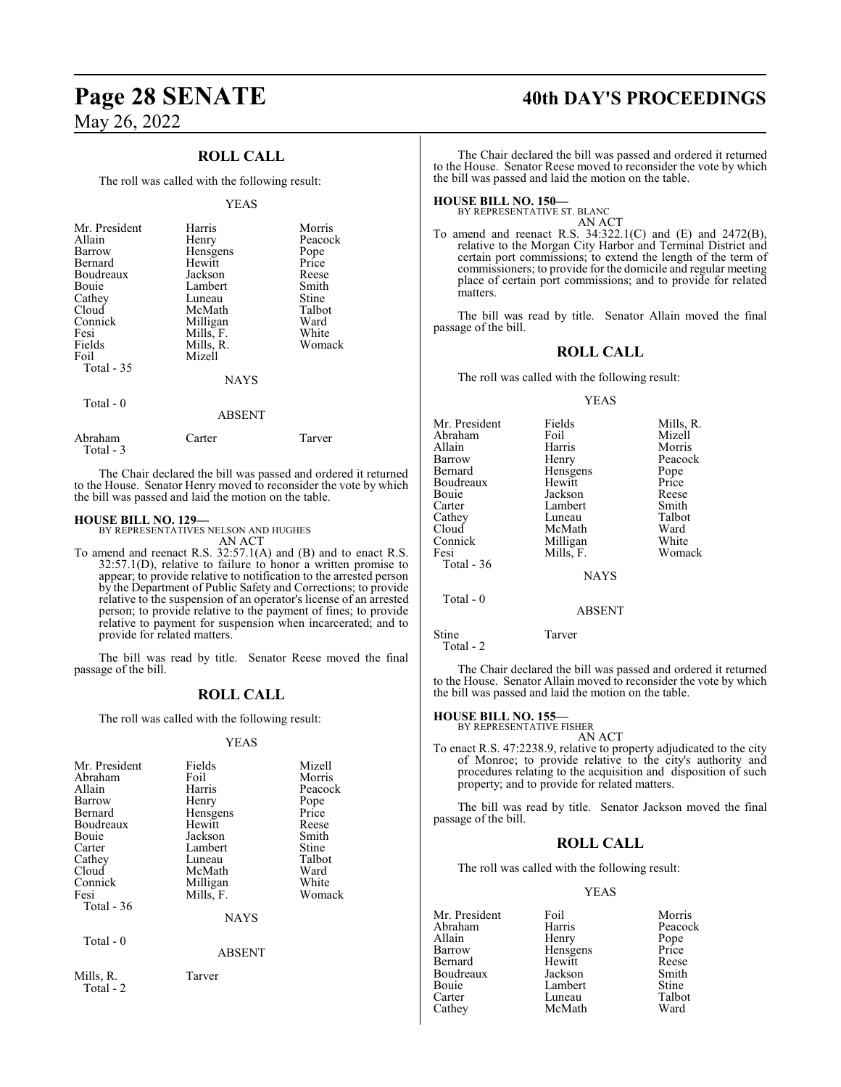## **ROLL CALL**

The roll was called with the following result:

### YEAS

| Mr. President<br>Allain<br>Barrow<br>Bernard<br>Boudreaux<br>Bouie<br>Cathey<br>Cloud<br>Connick<br>Fesi<br>Fields<br>Foil<br>Total $-35$ | Harris<br>Henry<br>Hensgens<br>Hewitt<br>Jackson<br>Lambert<br>Luneau<br>McMath<br>Milligan<br>Mills, F.<br>Mills, R.<br>Mizell | Morris<br>Peacock<br>Pope<br>Price<br>Reese<br>Smith<br>Stine<br>Talbot<br>Ward<br>White<br>Womack |
|-------------------------------------------------------------------------------------------------------------------------------------------|---------------------------------------------------------------------------------------------------------------------------------|----------------------------------------------------------------------------------------------------|
|                                                                                                                                           | <b>NAYS</b>                                                                                                                     |                                                                                                    |
| Total - 0                                                                                                                                 | <b>ARSENT</b>                                                                                                                   |                                                                                                    |

|                      | 1111111 |        |
|----------------------|---------|--------|
| Abraham<br>Total - 3 | Carter  | Tarver |

The Chair declared the bill was passed and ordered it returned to the House. Senator Henry moved to reconsider the vote by which the bill was passed and laid the motion on the table.

## **HOUSE BILL NO. 129—**

BY REPRESENTATIVES NELSON AND HUGHES AN ACT

To amend and reenact R.S. 32:57.1(A) and (B) and to enact R.S.  $32:57.1(D)$ , relative to failure to honor a written promise to appear; to provide relative to notification to the arrested person by the Department of Public Safety and Corrections; to provide relative to the suspension of an operator's license of an arrested person; to provide relative to the payment of fines; to provide relative to payment for suspension when incarcerated; and to provide for related matters.

The bill was read by title. Senator Reese moved the final passage of the bill.

## **ROLL CALL**

The roll was called with the following result:

## YEAS

| Mr. President<br>Abraham | Fields<br>Foil | Mizell<br>Morris |
|--------------------------|----------------|------------------|
| Allain                   | Harris         | Peacock          |
| Barrow                   | Henry          | Pope             |
| Bernard                  | Hensgens       | Price            |
| Boudreaux                | Hewitt         | Reese            |
| Bouie                    | Jackson        | Smith            |
| Carter                   | Lambert        | Stine            |
| Cathey                   | Luneau         | Talbot           |
| Cloud                    | McMath         | Ward             |
| Connick                  | Milligan       | White            |
| Fesi                     | Mills, F.      | Womack           |
| Total $-36$              |                |                  |
|                          | <b>NAYS</b>    |                  |
| Total $-0$               |                |                  |
|                          | <b>ABSENT</b>  |                  |
| Mills, R.<br>Total - 2   | Tarver         |                  |

## **Page 28 SENATE 40th DAY'S PROCEEDINGS**

The Chair declared the bill was passed and ordered it returned to the House. Senator Reese moved to reconsider the vote by which the bill was passed and laid the motion on the table.

**HOUSE BILL NO. 150—** BY REPRESENTATIVE ST. BLANC

AN ACT To amend and reenact R.S. 34:322.1(C) and (E) and 2472(B), relative to the Morgan City Harbor and Terminal District and certain port commissions; to extend the length of the term of commissioners; to provide for the domicile and regular meeting place of certain port commissions; and to provide for related matters.

The bill was read by title. Senator Allain moved the final passage of the bill.

## **ROLL CALL**

The roll was called with the following result:

## YEAS

| Mr. President | Fields        | Mills, R. |
|---------------|---------------|-----------|
| Abraham       | Foil          | Mizell    |
| Allain        | Harris        | Morris    |
| Barrow        | Henry         | Peacock   |
| Bernard       | Hensgens      | Pope      |
| Boudreaux     | Hewitt        | Price     |
| Bouie         | Jackson       | Reese     |
| Carter        | Lambert       | Smith     |
| Cathey        | Luneau        | Talbot    |
| Cloud         | McMath        | Ward      |
| Connick       | Milligan      | White     |
| Fesi          | Mills, F.     | Womack    |
| Total - 36    |               |           |
|               | <b>NAYS</b>   |           |
| Total - 0     |               |           |
|               | <b>ABSENT</b> |           |
|               |               |           |

Stine Tarver Total - 2

The Chair declared the bill was passed and ordered it returned to the House. Senator Allain moved to reconsider the vote by which the bill was passed and laid the motion on the table.

## **HOUSE BILL NO. 155—** BY REPRESENTATIVE FISHER

AN ACT To enact R.S. 47:2238.9, relative to property adjudicated to the city of Monroe; to provide relative to the city's authority and procedures relating to the acquisition and disposition of such property; and to provide for related matters.

The bill was read by title. Senator Jackson moved the final passage of the bill.

## **ROLL CALL**

The roll was called with the following result:

## YEAS

| Mr. President | Foil     | Morris       |
|---------------|----------|--------------|
| Abraham       | Harris   | Peacock      |
| Allain        | Henry    | Pope         |
| Barrow        | Hensgens | Price        |
| Bernard       | Hewitt   | Reese        |
| Boudreaux     | Jackson  | Smith        |
| Bouie         | Lambert  | <b>Stine</b> |
| Carter        | Luneau   | Talbot       |
| Cathey        | McMath   | Ward         |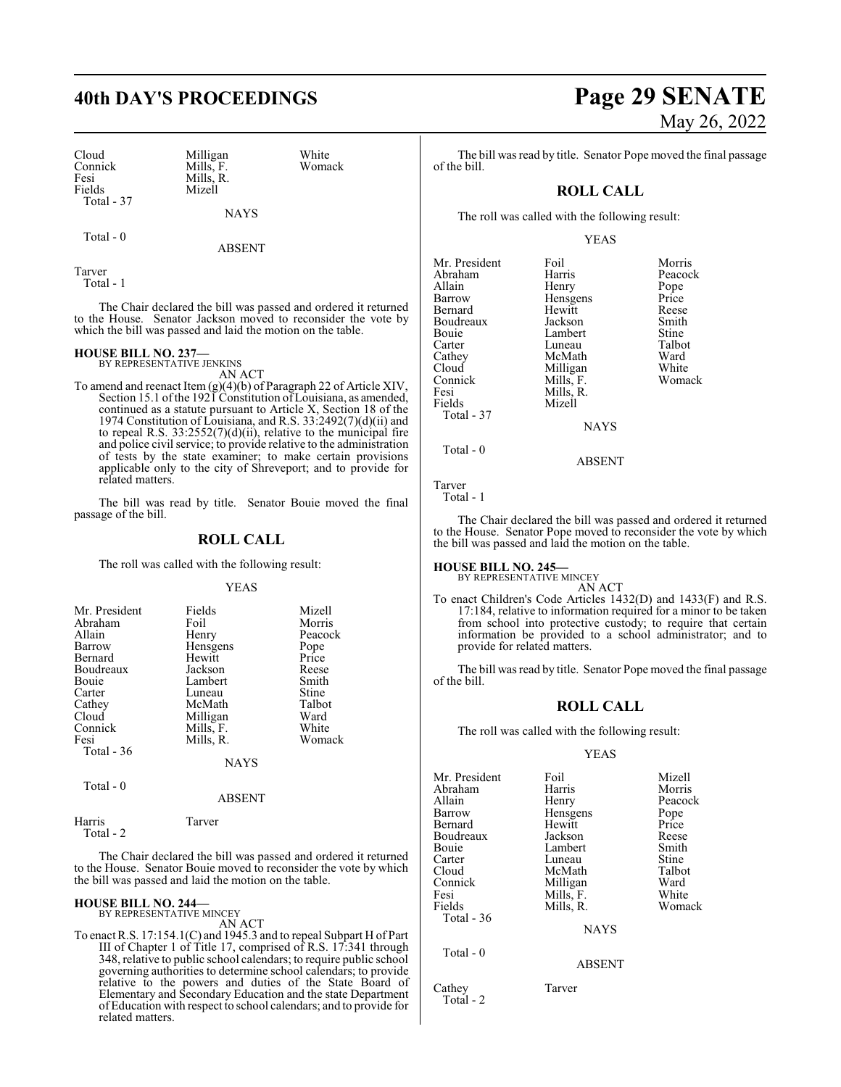Cloud Milligan White<br>
Connick Mills, F. Womack Connick Mills, F.<br>Fesi Mills, R. Fesi Mills, R.<br>Fields Mizell Total - 37

Mizell

NAYS

Total - 0

ABSENT

Tarver Total - 1

The Chair declared the bill was passed and ordered it returned to the House. Senator Jackson moved to reconsider the vote by which the bill was passed and laid the motion on the table.

## **HOUSE BILL NO. 237—** BY REPRESENTATIVE JENKINS

AN ACT

To amend and reenact Item (g)(4)(b) of Paragraph 22 of Article XIV, Section 15.1 ofthe 1921 Constitution ofLouisiana, as amended, continued as a statute pursuant to Article X, Section 18 of the 1974 Constitution of Louisiana, and R.S. 33:2492(7)(d)(ii) and to repeal R.S. 33:2552(7)(d)(ii), relative to the municipal fire and police civil service; to provide relative to the administration of tests by the state examiner; to make certain provisions applicable only to the city of Shreveport; and to provide for related matters.

The bill was read by title. Senator Bouie moved the final passage of the bill.

## **ROLL CALL**

The roll was called with the following result:

YEAS

| Mr. President | Fields    | Mizell  |
|---------------|-----------|---------|
| Abraham       | Foil      | Morris  |
| Allain        | Henry     | Peacock |
| Barrow        | Hensgens  | Pope    |
| Bernard       | Hewitt    | Price   |
| Boudreaux     | Jackson   | Reese   |
| Bouie         | Lambert   | Smith   |
| Carter        | Luneau    | Stine   |
| Cathey        | McMath    | Talbot  |
| Cloud         | Milligan  | Ward    |
| Connick       | Mills, F. | White   |
| Fesi          | Mills, R. | Womack  |
| Total - 36    |           |         |
|               | NAYS      |         |

Total - 0

### ABSENT

| Harris    | Tarver |
|-----------|--------|
| Total - 2 |        |

The Chair declared the bill was passed and ordered it returned to the House. Senator Bouie moved to reconsider the vote by which the bill was passed and laid the motion on the table.

## **HOUSE BILL NO. 244—** BY REPRESENTATIVE MINCEY

AN ACT

To enact R.S. 17:154.1(C) and 1945.3 and to repeal Subpart H of Part III of Chapter 1 of Title 17, comprised of R.S. 17:341 through 348, relative to public school calendars; to require public school governing authorities to determine school calendars; to provide relative to the powers and duties of the State Board of Elementary and Secondary Education and the state Department of Education with respect to school calendars; and to provide for related matters.

## **40th DAY'S PROCEEDINGS Page 29 SENATE** May 26, 2022

White Womack

The bill was read by title. Senator Pope moved the final passage of the bill.

## **ROLL CALL**

The roll was called with the following result:

## YEAS

| Mr. President<br>Abraham<br>Allain<br>Barrow<br>Bernard<br>Boudreaux<br><b>Bouje</b><br>Carter<br>Cathey<br>Cloud<br>Connick<br>Fesi<br>Fields<br>Total - 37 | Foil<br>Harris<br>Henry<br>Hensgens<br>Hewitt<br>Jackson<br>Lambert<br>Luneau<br>McMath<br>Milligan<br>Mills, F.<br>Mills, R.<br>Mizell<br><b>NAYS</b> | Morris<br>Peacock<br>Pope<br>Price<br>Reese<br>Smith<br>Stine<br>Talbot<br>Ward<br>White<br>Womack |
|--------------------------------------------------------------------------------------------------------------------------------------------------------------|--------------------------------------------------------------------------------------------------------------------------------------------------------|----------------------------------------------------------------------------------------------------|
| Total - 0                                                                                                                                                    |                                                                                                                                                        |                                                                                                    |

ABSENT

Tarver

Total - 1

The Chair declared the bill was passed and ordered it returned to the House. Senator Pope moved to reconsider the vote by which the bill was passed and laid the motion on the table.

## **HOUSE BILL NO. 245—** BY REPRESENTATIVE MINCEY

AN ACT

To enact Children's Code Articles 1432(D) and 1433(F) and R.S. 17:184, relative to information required for a minor to be taken from school into protective custody; to require that certain information be provided to a school administrator; and to provide for related matters.

The bill was read by title. Senator Pope moved the final passage of the bill.

## **ROLL CALL**

The roll was called with the following result:

## YEAS

| Mr. President | Foil          | Mizell  |
|---------------|---------------|---------|
| Abraham       | Harris        | Morris  |
|               |               |         |
| Allain        | Henry         | Peacock |
| Barrow        | Hensgens      | Pope    |
| Bernard       | Hewitt        | Price   |
| Boudreaux     | Jackson       | Reese   |
| Bouie         | Lambert       | Smith   |
| Carter        | Luneau        | Stine   |
| Cloud         | McMath        | Talbot  |
| Connick       | Milligan      | Ward    |
| Fesi          | Mills, F.     | White   |
| Fields        | Mills, R.     | Womack  |
| Total $-36$   |               |         |
|               | <b>NAYS</b>   |         |
| Total - 0     |               |         |
|               | <b>ABSENT</b> |         |
|               |               |         |

Cathey Tarver Total - 2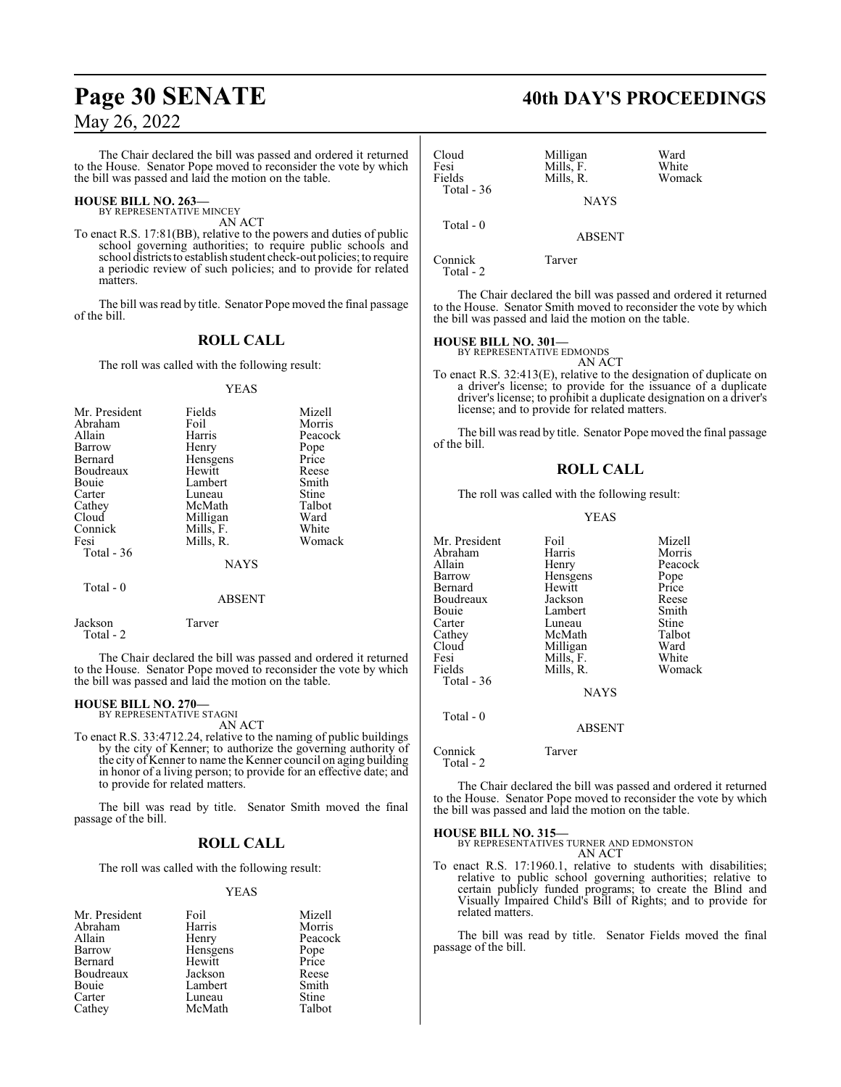The Chair declared the bill was passed and ordered it returned to the House. Senator Pope moved to reconsider the vote by which the bill was passed and laid the motion on the table.

## **HOUSE BILL NO. 263—** BY REPRESENTATIVE MINCEY

AN ACT

To enact R.S. 17:81(BB), relative to the powers and duties of public school governing authorities; to require public schools and school districtsto establish student check-out policies; to require a periodic review of such policies; and to provide for related matters.

The bill was read by title. Senator Pope moved the final passage of the bill.

## **ROLL CALL**

The roll was called with the following result:

## YEAS

| Mr. President | Fields      | Mizell  |
|---------------|-------------|---------|
| Abraham       | Foil        | Morris  |
| Allain        | Harris      | Peacock |
| Barrow        | Henry       | Pope    |
| Bernard       | Hensgens    | Price   |
| Boudreaux     | Hewitt      | Reese   |
| Bouie         | Lambert     | Smith   |
| Carter        | Luneau      | Stine   |
| Cathey        | McMath      | Talbot  |
| Cloud         | Milligan    | Ward    |
| Connick       | Mills, F.   | White   |
| Fesi          | Mills, R.   | Womack  |
| Total $-36$   |             |         |
|               | <b>NAYS</b> |         |
| $Total - 0$   |             |         |

## ABSENT

Jackson Tarver Total - 2

The Chair declared the bill was passed and ordered it returned to the House. Senator Pope moved to reconsider the vote by which the bill was passed and laid the motion on the table.

**HOUSE BILL NO. 270—** BY REPRESENTATIVE STAGNI AN ACT

To enact R.S. 33:4712.24, relative to the naming of public buildings by the city of Kenner; to authorize the governing authority of the city of Kenner to name the Kenner council on aging building in honor of a living person; to provide for an effective date; and to provide for related matters.

The bill was read by title. Senator Smith moved the final passage of the bill.

## **ROLL CALL**

The roll was called with the following result:

## YEAS

| Mr. President | Foil     | Mizell        |
|---------------|----------|---------------|
| Abraham       | Harris   | Morris        |
| Allain        | Henry    | Peacock       |
| Barrow        | Hensgens |               |
| Bernard       | Hewitt   | Pope<br>Price |
| Boudreaux     | Jackson  | Reese         |
| Bouie         | Lambert  | Smith         |
| Carter        | Luneau   | Stine         |
| Cathey        | McMath   | Talbot        |

## **Page 30 SENATE 40th DAY'S PROCEEDINGS**

| Cloud<br>Fesi<br>Fields<br>Total $-36$ | Milligan<br>Mills, F.<br>Mills, R. | Ward<br>White<br>Womack |
|----------------------------------------|------------------------------------|-------------------------|
|                                        | <b>NAYS</b>                        |                         |
| Total $-0$                             | <b>ABSENT</b>                      |                         |
| Connick                                | Tarver                             |                         |

Total - 2

The Chair declared the bill was passed and ordered it returned to the House. Senator Smith moved to reconsider the vote by which the bill was passed and laid the motion on the table.

## **HOUSE BILL NO. 301—** BY REPRESENTATIVE EDMONDS

AN ACT

To enact R.S. 32:413(E), relative to the designation of duplicate on a driver's license; to provide for the issuance of a duplicate driver's license; to prohibit a duplicate designation on a driver's license; and to provide for related matters.

The bill was read by title. Senator Pope moved the final passage of the bill.

## **ROLL CALL**

The roll was called with the following result:

## YEAS

| Mr. President | Foil        | Mizell  |
|---------------|-------------|---------|
| Abraham       | Harris      | Morris  |
| Allain        | Henry       | Peacock |
| Barrow        | Hensgens    | Pope    |
| Bernard       | Hewitt      | Price   |
| Boudreaux     | Jackson     | Reese   |
| Bouie         | Lambert     | Smith   |
| Carter        | Luneau      | Stine   |
| Cathey        | McMath      | Talbot  |
| Cloud         | Milligan    | Ward    |
| Fesi          | Mills, F.   | White   |
| Fields        | Mills, R.   | Womack  |
| Total $-36$   |             |         |
|               | <b>NAYS</b> |         |
| Total - 0     |             |         |
|               | ABSENT      |         |

Connick Tarver

Total - 2

The Chair declared the bill was passed and ordered it returned to the House. Senator Pope moved to reconsider the vote by which the bill was passed and laid the motion on the table.

## **HOUSE BILL NO. 315—**

BY REPRESENTATIVES TURNER AND EDMONSTON AN ACT

To enact R.S. 17:1960.1, relative to students with disabilities; relative to public school governing authorities; relative to certain publicly funded programs; to create the Blind and Visually Impaired Child's Bill of Rights; and to provide for related matters.

The bill was read by title. Senator Fields moved the final passage of the bill.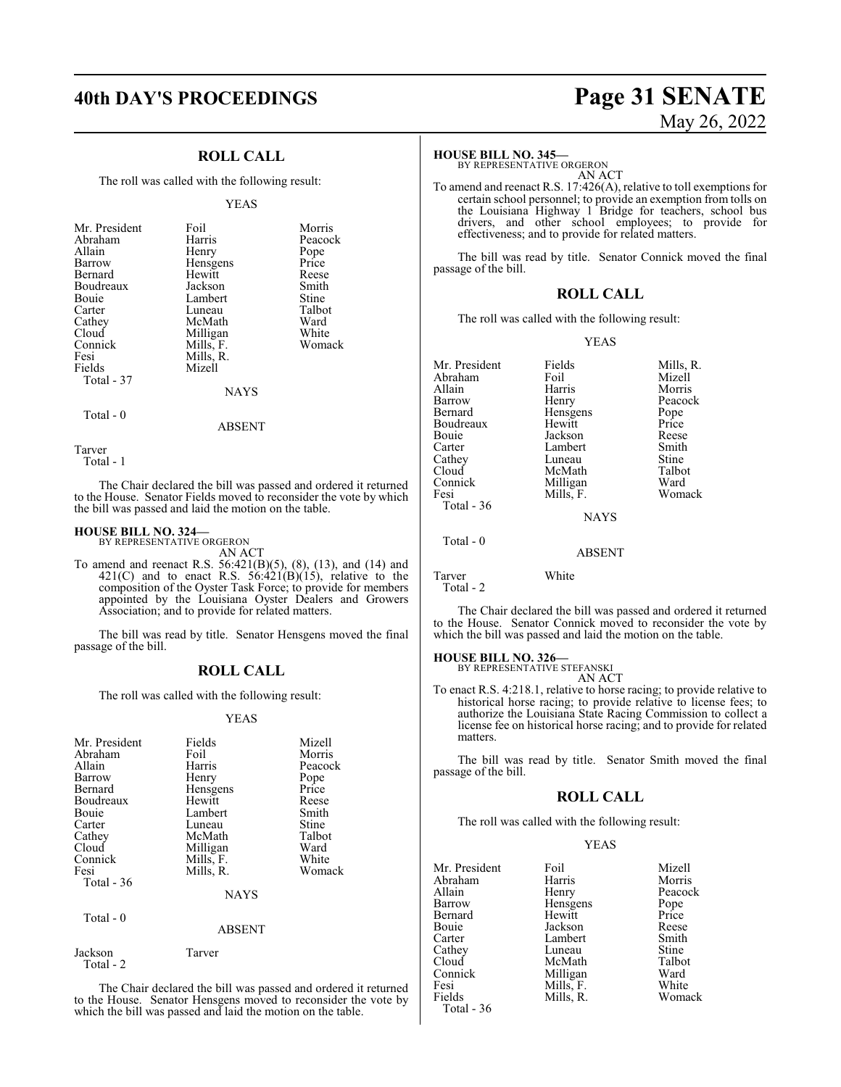## **ROLL CALL**

The roll was called with the following result:

#### YEAS

| Mr. President<br>Abraham<br>Allain<br>Barrow<br>Bernard<br>Boudreaux<br>Bouie<br>Carter<br>Cathey<br>Cloud<br>Connick<br>Fesi<br>Fields<br>Total - 37 | Foil<br>Harris<br>Henry<br>Hensgens<br>Hewitt<br>Jackson<br>Lambert<br>Luneau<br>McMath<br>Milligan<br>Mills, F.<br>Mills, R.<br>Mizell | Morris<br>Peacock<br>Pope<br>Price<br>Reese<br>Smith<br>Stine<br>Talbot<br>Ward<br>White<br>Womack |
|-------------------------------------------------------------------------------------------------------------------------------------------------------|-----------------------------------------------------------------------------------------------------------------------------------------|----------------------------------------------------------------------------------------------------|
|                                                                                                                                                       | NAYS                                                                                                                                    |                                                                                                    |

Total - 0

ABSENT

Tarver

Total - 1

The Chair declared the bill was passed and ordered it returned to the House. Senator Fields moved to reconsider the vote by which the bill was passed and laid the motion on the table.

## **HOUSE BILL NO. 324—** BY REPRESENTATIVE ORGERON

Jackson Tarver

Total - 2

AN ACT

To amend and reenact R.S. 56:421(B)(5), (8), (13), and (14) and 421(C) and to enact R.S.  $56:421(B)(15)$ , relative to the composition of the Oyster Task Force; to provide for members appointed by the Louisiana Oyster Dealers and Growers Association; and to provide for related matters.

The bill was read by title. Senator Hensgens moved the final passage of the bill.

## **ROLL CALL**

The roll was called with the following result:

### YEAS

| Mr. President<br>Abraham<br>Allain<br>Barrow<br><b>Bernard</b><br>Boudreaux | Fields<br>Foil<br>Harris<br>Henry<br>Hensgens<br>Hewitt           | Mizell<br>Morris<br>Peacock<br>Pope<br>Price<br>Reese |
|-----------------------------------------------------------------------------|-------------------------------------------------------------------|-------------------------------------------------------|
| Bouie<br>Carter<br>Cathey<br>Cloud<br>Connick<br>Fesi<br>Total - 36         | Lambert<br>Luneau<br>McMath<br>Milligan<br>Mills, F.<br>Mills, R. | Smith<br>Stine<br>Talbot<br>Ward<br>White<br>Womack   |
| Total - 0                                                                   | <b>NAYS</b>                                                       |                                                       |
|                                                                             | <b>ABSENT</b>                                                     |                                                       |

The Chair declared the bill was passed and ordered it returned to the House. Senator Hensgens moved to reconsider the vote by which the bill was passed and laid the motion on the table.

## **40th DAY'S PROCEEDINGS Page 31 SENATE** May 26, 2022

## **HOUSE BILL NO. 345—**

BY REPRESENTATIVE ORGERON AN ACT

To amend and reenact R.S. 17:426(A), relative to toll exemptions for certain school personnel; to provide an exemption from tolls on the Louisiana Highway 1 Bridge for teachers, school bus drivers, and other school employees; to provide for effectiveness; and to provide for related matters.

The bill was read by title. Senator Connick moved the final passage of the bill.

## **ROLL CALL**

The roll was called with the following result:

## YEAS

| Mr. President | Fields        | Mills, R. |
|---------------|---------------|-----------|
| Abraham       | Foil          | Mizell    |
| Allain        | Harris        | Morris    |
| Barrow        | Henry         | Peacock   |
| Bernard       | Hensgens      | Pope      |
| Boudreaux     | Hewitt        | Price     |
| Bouie         | Jackson       | Reese     |
| Carter        | Lambert       | Smith     |
| Cathey        | Luneau        | Stine     |
| Cloud         | McMath        | Talbot    |
| Connick       | Milligan      | Ward      |
| Fesi          | Mills, F.     | Womack    |
| Total $-36$   |               |           |
|               | <b>NAYS</b>   |           |
| Total - 0     |               |           |
|               | <b>ABSENT</b> |           |
| Tarver        | White         |           |

Total - 2

The Chair declared the bill was passed and ordered it returned to the House. Senator Connick moved to reconsider the vote by which the bill was passed and laid the motion on the table.

## **HOUSE BILL NO. 326—** BY REPRESENTATIVE STEFANSKI

AN ACT

To enact R.S. 4:218.1, relative to horse racing; to provide relative to historical horse racing; to provide relative to license fees; to authorize the Louisiana State Racing Commission to collect a license fee on historical horse racing; and to provide for related matters.

The bill was read by title. Senator Smith moved the final passage of the bill.

## **ROLL CALL**

The roll was called with the following result:

## YEAS

| Mr. President | Foil      | Mizell  |
|---------------|-----------|---------|
| Abraham       | Harris    | Morris  |
| Allain        | Henry     | Peacock |
| Barrow        | Hensgens  | Pope    |
| Bernard       | Hewitt    | Price   |
| Bouie         | Jackson   | Reese   |
| Carter        | Lambert   | Smith   |
| Cathev        | Luneau    | Stine   |
| Cloud         | McMath    | Talbot  |
| Connick       | Milligan  | Ward    |
| Fesi          | Mills, F. | White   |
| Fields        | Mills, R. | Womack  |
| Total - 36    |           |         |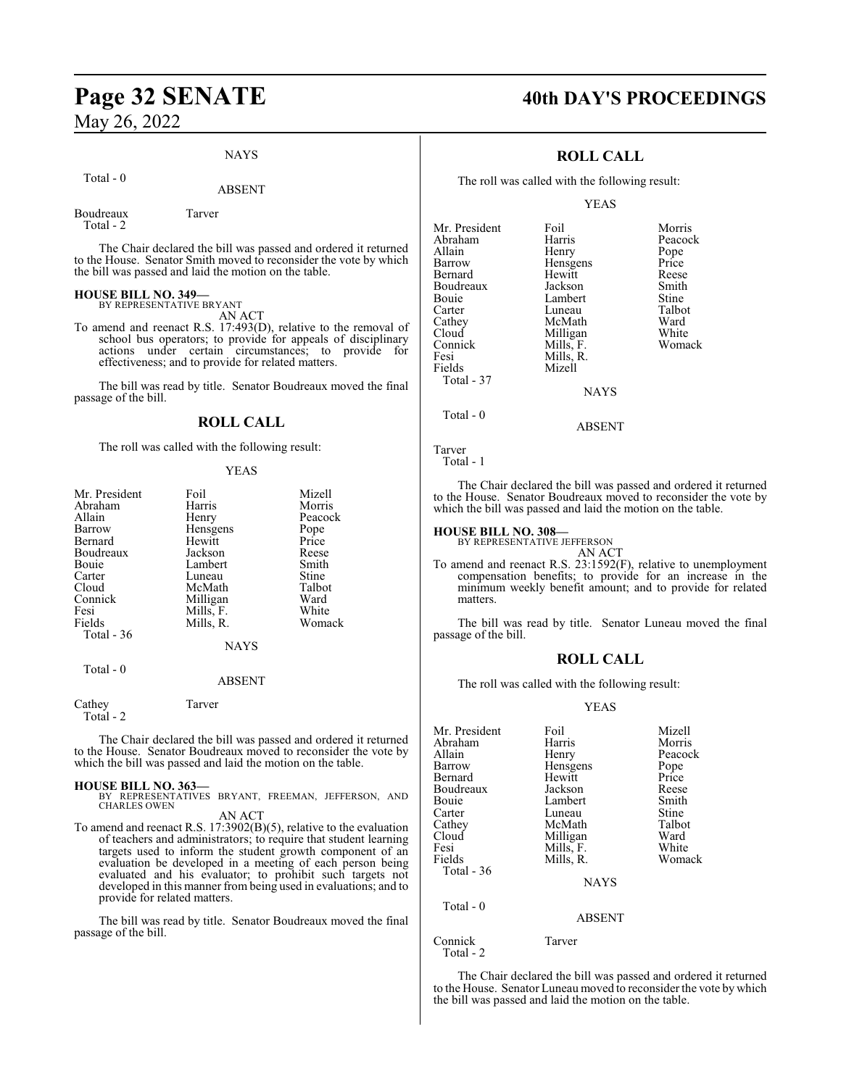## NAYS

## Total - 0

## ABSENT

Boudreaux Tarver Total - 2

The Chair declared the bill was passed and ordered it returned to the House. Senator Smith moved to reconsider the vote by which the bill was passed and laid the motion on the table.

## **HOUSE BILL NO. 349—** BY REPRESENTATIVE BRYANT

AN ACT

To amend and reenact R.S. 17:493(D), relative to the removal of school bus operators; to provide for appeals of disciplinary actions under certain circumstances; to provide for effectiveness; and to provide for related matters.

The bill was read by title. Senator Boudreaux moved the final passage of the bill.

## **ROLL CALL**

The roll was called with the following result:

## YEAS

| Mr. President | Foil        | Mizell  |
|---------------|-------------|---------|
| Abraham       | Harris      | Morris  |
| Allain        | Henry       | Peacock |
| Barrow        | Hensgens    | Pope    |
| Bernard       | Hewitt      | Price   |
| Boudreaux     | Jackson     | Reese   |
| Bouie         | Lambert     | Smith   |
| Carter        | Luneau      | Stine   |
| Cloud         | McMath      | Talbot  |
| Connick       | Milligan    | Ward    |
| Fesi          | Mills, F.   | White   |
| Fields        | Mills, R.   | Womack  |
| Total $-36$   |             |         |
|               | <b>NAYS</b> |         |
| Total - 0     |             |         |
|               | 1.72777     |         |

### ABSENT

Cathey Tarver Total - 2

The Chair declared the bill was passed and ordered it returned to the House. Senator Boudreaux moved to reconsider the vote by which the bill was passed and laid the motion on the table.

**HOUSE BILL NO. 363—** BY REPRESENTATIVES BRYANT, FREEMAN, JEFFERSON, AND CHARLES OWEN

AN ACT

To amend and reenact R.S. 17:3902(B)(5), relative to the evaluation of teachers and administrators; to require that student learning targets used to inform the student growth component of an evaluation be developed in a meeting of each person being evaluated and his evaluator; to prohibit such targets not developed in this manner from being used in evaluations; and to provide for related matters.

The bill was read by title. Senator Boudreaux moved the final passage of the bill.

## **Page 32 SENATE 40th DAY'S PROCEEDINGS**

## **ROLL CALL**

The roll was called with the following result:

YEAS

| Mr. President | Foil        | Morris  |
|---------------|-------------|---------|
| Abraham       | Harris      | Peacock |
| Allain        | Henry       | Pope    |
| Barrow        | Hensgens    | Price   |
| Bernard       | Hewitt      | Reese   |
| Boudreaux     | Jackson     | Smith   |
| Bouie         | Lambert     | Stine   |
| Carter        | Luneau      | Talbot  |
| Cathey        | McMath      | Ward    |
| Cloud         | Milligan    | White   |
| Connick       | Mills, F.   | Womack  |
| Fesi          | Mills, R.   |         |
| Fields        | Mizell      |         |
| Total - 37    |             |         |
|               | <b>NAYS</b> |         |
| Total - 0     |             |         |

Tarver Total - 1

The Chair declared the bill was passed and ordered it returned to the House. Senator Boudreaux moved to reconsider the vote by which the bill was passed and laid the motion on the table.

ABSENT

## **HOUSE BILL NO. 308—**

BY REPRESENTATIVE JEFFERSON

AN ACT

To amend and reenact R.S. 23:1592(F), relative to unemployment compensation benefits; to provide for an increase in the minimum weekly benefit amount; and to provide for related matters.

The bill was read by title. Senator Luneau moved the final passage of the bill.

## **ROLL CALL**

The roll was called with the following result:

## YEAS

| Foil          | Mizell  |
|---------------|---------|
| Harris        | Morris  |
| Henry         | Peacock |
| Hensgens      | Pope    |
| Hewitt        | Price   |
| Jackson       | Reese   |
| Lambert       | Smith   |
| Luneau        | Stine   |
| McMath        | Talbot  |
| Milligan      | Ward    |
| Mills, F.     | White   |
| Mills, R.     | Womack  |
|               |         |
| <b>NAYS</b>   |         |
|               |         |
| <b>ABSENT</b> |         |
| Tarver        |         |
|               |         |

Total - 2

The Chair declared the bill was passed and ordered it returned to the House. Senator Luneau moved to reconsider the vote by which the bill was passed and laid the motion on the table.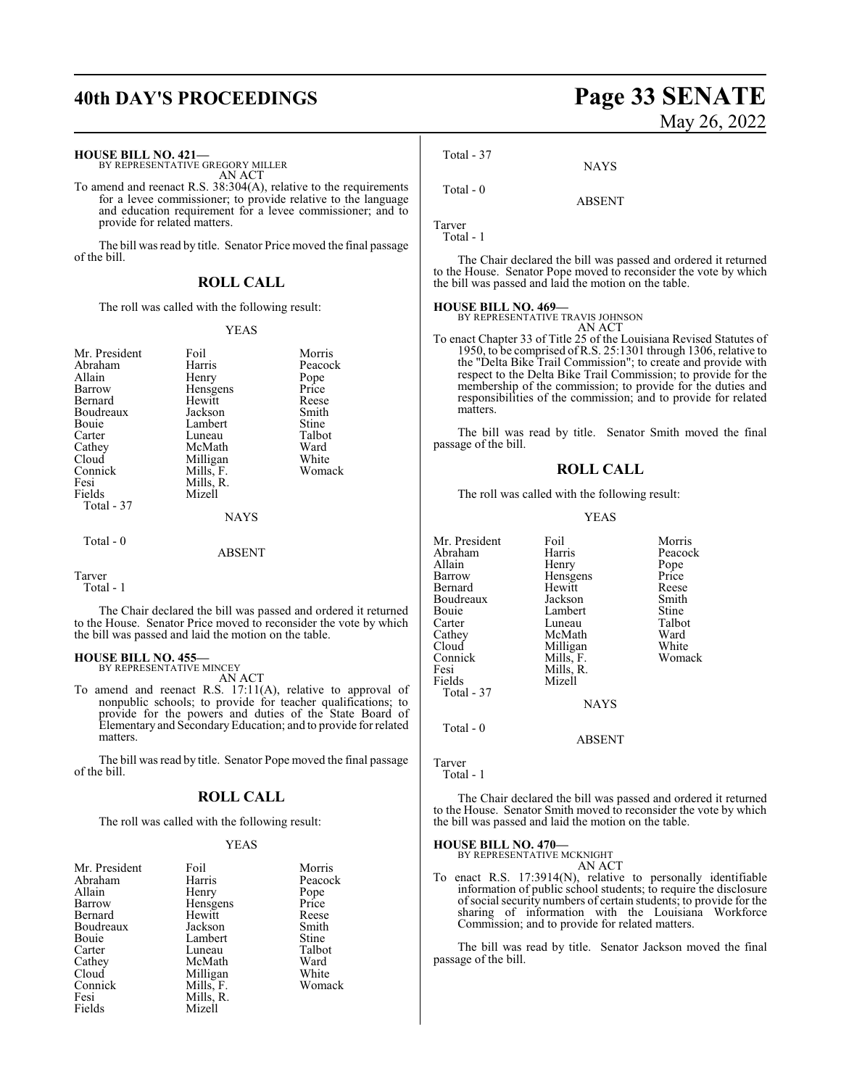## **40th DAY'S PROCEEDINGS Page 33 SENATE**

#### **HOUSE BILL NO. 421—**

BY REPRESENTATIVE GREGORY MILLER AN ACT

To amend and reenact R.S. 38:304(A), relative to the requirements for a levee commissioner; to provide relative to the language and education requirement for a levee commissioner; and to provide for related matters.

The bill was read by title. Senator Price moved the final passage of the bill.

## **ROLL CALL**

The roll was called with the following result:

## YEAS

| Mr. President | Foil          | Morris  |
|---------------|---------------|---------|
| Abraham       | Harris        | Peacock |
| Allain        | Henry         | Pope    |
| Barrow        | Hensgens      | Price   |
| Bernard       | Hewitt        | Reese   |
| Boudreaux     | Jackson       | Smith   |
| Bouie         | Lambert       | Stine   |
| Carter        | Luneau        | Talbot  |
| Cathey        | McMath        | Ward    |
| Cloud         | Milligan      | White   |
| Connick       | Mills, F.     | Womack  |
| Fesi          | Mills, R.     |         |
| Fields        | Mizell        |         |
| Total - 37    |               |         |
|               | <b>NAYS</b>   |         |
| Total $-0$    |               |         |
|               | <b>ABSENT</b> |         |

Tarver

Total - 1

The Chair declared the bill was passed and ordered it returned to the House. Senator Price moved to reconsider the vote by which the bill was passed and laid the motion on the table.

## **HOUSE BILL NO. 455—** BY REPRESENTATIVE MINCEY

AN ACT

To amend and reenact R.S. 17:11(A), relative to approval of nonpublic schools; to provide for teacher qualifications; to provide for the powers and duties of the State Board of Elementary and SecondaryEducation; and to provide for related matters.

The bill was read by title. Senator Pope moved the final passage of the bill.

## **ROLL CALL**

The roll was called with the following result:

## YEAS

| Mr. President | Foil      | Morris  |
|---------------|-----------|---------|
| Abraham       | Harris    | Peacock |
| Allain        | Henry     | Pope    |
| Barrow        | Hensgens  | Price   |
| Bernard       | Hewitt    | Reese   |
| Boudreaux     | Jackson   | Smith   |
| Bouie         | Lambert   | Stine   |
| Carter        | Luneau    | Talbot  |
| Cathey        | McMath    | Ward    |
| Cloud         | Milligan  | White   |
| Connick       | Mills, F. | Womack  |
| Fesi          | Mills, R. |         |
| Fields        | Mizell    |         |

# May 26, 2022

Total - 37

Total - 0

Tarver

Total - 1

The Chair declared the bill was passed and ordered it returned to the House. Senator Pope moved to reconsider the vote by which the bill was passed and laid the motion on the table.

**NAYS** 

ABSENT

## **HOUSE BILL NO. 469—** BY REPRESENTATIVE TRAVIS JOHNSON

AN ACT

To enact Chapter 33 of Title 25 of the Louisiana Revised Statutes of 1950, to be comprised ofR.S. 25:1301 through 1306, relative to the "Delta Bike Trail Commission"; to create and provide with respect to the Delta Bike Trail Commission; to provide for the membership of the commission; to provide for the duties and responsibilities of the commission; and to provide for related matters.

The bill was read by title. Senator Smith moved the final passage of the bill.

## **ROLL CALL**

The roll was called with the following result:

### YEAS

| Mr. President | Foil        | Morris  |
|---------------|-------------|---------|
| Abraham       | Harris      | Peacock |
| Allain        | Henry       | Pope    |
| Barrow        | Hensgens    | Price   |
| Bernard       | Hewitt      | Reese   |
| Boudreaux     | Jackson     | Smith   |
| Bouie         | Lambert     | Stine   |
| Carter        | Luneau      | Talbot  |
| Cathey        | McMath      | Ward    |
| Cloud         | Milligan    | White   |
| Connick       | Mills, F.   | Womack  |
| Fesi          | Mills, R.   |         |
| Fields        | Mizell      |         |
| Total - 37    |             |         |
|               | <b>NAYS</b> |         |
| Total - 0     |             |         |
|               | ABSENT      |         |

Tarver

Total - 1

The Chair declared the bill was passed and ordered it returned to the House. Senator Smith moved to reconsider the vote by which the bill was passed and laid the motion on the table.

## **HOUSE BILL NO. 470—**

BY REPRESENTATIVE MCKNIGHT

AN ACT To enact R.S. 17:3914(N), relative to personally identifiable information of public school students; to require the disclosure ofsocial security numbers of certain students; to provide for the sharing of information with the Louisiana Workforce Commission; and to provide for related matters.

The bill was read by title. Senator Jackson moved the final passage of the bill.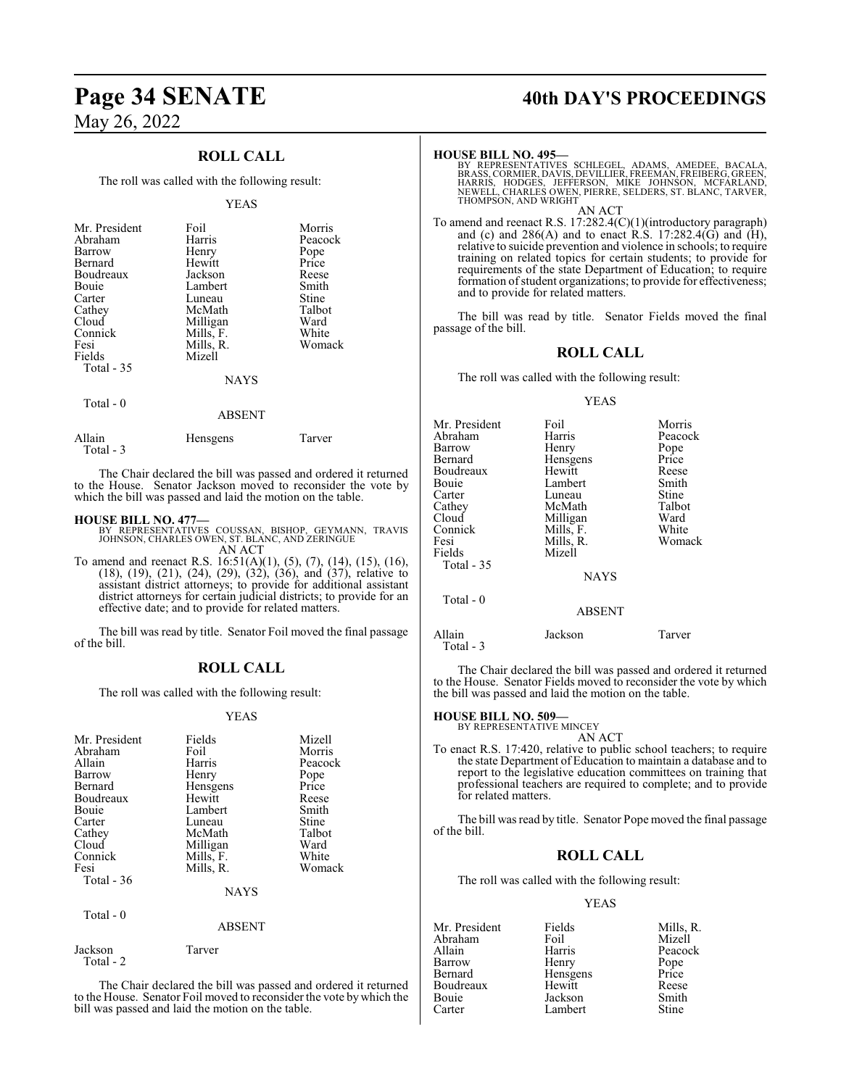## **ROLL CALL**

The roll was called with the following result:

### YEAS

| Mr. President<br>Abraham<br>Barrow | Foil<br>Harris<br>Henry | Morris<br>Peacock<br>Pope |
|------------------------------------|-------------------------|---------------------------|
| Bernard                            | Hewitt                  | Price                     |
| Boudreaux                          | Jackson                 | Reese                     |
| <b>Bouje</b>                       | Lambert                 | Smith                     |
| Carter                             | Luneau                  | Stine                     |
| Cathey                             | McMath                  | Talbot                    |
| Cloud                              | Milligan                | Ward                      |
| Connick                            | Mills, F.               | White                     |
| Fesi                               | Mills, R.               | Womack                    |
| Fields                             | Mizell                  |                           |
| Total - 35                         |                         |                           |
|                                    | <b>NAYS</b>             |                           |

Total - 0

## ABSENT

| Allain    | Hensgens | Tarver |
|-----------|----------|--------|
| Total - 3 |          |        |

The Chair declared the bill was passed and ordered it returned to the House. Senator Jackson moved to reconsider the vote by which the bill was passed and laid the motion on the table.

## **HOUSE BILL NO. 477—**

- BY REPRESENTATIVES COUSSAN, BISHOP, GEYMANN, TRAVIS JOHNSON, CHARLES OWEN, ST. BLANC, AND ZERINGUE AN ACT
- To amend and reenact R.S. 16:51(A)(1), (5), (7), (14), (15), (16), (18), (19), (21), (24), (29), (32), (36), and (37), relative to assistant district attorneys; to provide for additional assistant district attorneys for certain judicial districts; to provide for an effective date; and to provide for related matters.

The bill was read by title. Senator Foil moved the final passage of the bill.

## **ROLL CALL**

The roll was called with the following result:

## YEAS

| Mr. President             | Fields                       | Mizell  |
|---------------------------|------------------------------|---------|
| Abraham                   | Foil                         | Morris  |
| Allain                    | Harris                       | Peacock |
| <b>Barrow</b>             | Henry                        | Pope    |
| Bernard                   | Hensgens                     | Price   |
| Boudreaux                 | Hewitt                       | Reese   |
| <b>Bouje</b>              | Lambert                      | Smith   |
| Carter                    | Luneau                       | Stine   |
| Cathey                    | McMath                       | Talbot  |
| Cloud                     | Milligan                     | Ward    |
| Connick                   | Mills, F.                    | White   |
| Fesi                      | Mills, R.                    | Womack  |
| Total $-36$<br>Total $-0$ | <b>NAYS</b><br><b>ABSENT</b> |         |

Jackson Tarver Total - 2

The Chair declared the bill was passed and ordered it returned to the House. Senator Foil moved to reconsider the vote by which the bill was passed and laid the motion on the table.

## **Page 34 SENATE 40th DAY'S PROCEEDINGS**

### **HOUSE BILL NO. 495—**

BY REPRESENTATIVES SCHLEGEL, ADAMS, AMEDEE, BACALA,<br>BRASS,CORMIER,DAVIS,DEVILLIER,FREEMAN,FREIBERG,GREEN,<br>HARRIS, HODGES, JEFFERSON, MIKE JOHNSON, MCFARLAND,<br>NEWELL, CHARLES OWEN,PIERRE,SELDERS,ST.BLANC,TARVER, THOMPSON, AND WRIGHT AN ACT

To amend and reenact R.S. 17:282.4(C)(1)(introductory paragraph) and (c) and  $286(A)$  and to enact R.S. 17:282.4(G) and (H), relative to suicide prevention and violence in schools; to require training on related topics for certain students; to provide for requirements of the state Department of Education; to require formation of student organizations; to provide for effectiveness; and to provide for related matters.

The bill was read by title. Senator Fields moved the final passage of the bill.

## **ROLL CALL**

The roll was called with the following result:

## YEAS

| Mr. President<br>Abraham<br>Barrow<br>Bernard<br>Boudreaux<br>Bouie<br>Carter | Foil<br>Harris<br>Henry<br>Hensgens<br>Hewitt<br>Lambert<br>Luneau    | Morris<br>Peacock<br>Pope<br>Price<br>Reese<br>Smith<br>Stine |
|-------------------------------------------------------------------------------|-----------------------------------------------------------------------|---------------------------------------------------------------|
| Cathey<br>Cloud<br>Connick<br>Fesi<br>Fields<br>Total - 35                    | McMath<br>Milligan<br>Mills, F.<br>Mills, R.<br>Mizell<br><b>NAYS</b> | Talbot<br>Ward<br>White<br>Womack                             |
| Total - 0                                                                     | <b>ABSENT</b>                                                         |                                                               |
| Allain                                                                        | Jackson                                                               | Tarver                                                        |

Total - 3

The Chair declared the bill was passed and ordered it returned to the House. Senator Fields moved to reconsider the vote by which the bill was passed and laid the motion on the table.

## **HOUSE BILL NO. 509—**

BY REPRESENTATIVE MINCEY

AN ACT To enact R.S. 17:420, relative to public school teachers; to require the state Department of Education to maintain a database and to report to the legislative education committees on training that professional teachers are required to complete; and to provide for related matters.

The bill was read by title. Senator Pope moved the final passage of the bill.

## **ROLL CALL**

The roll was called with the following result:

## YEAS

Mr. President Fields Mills, R.<br>Abraham Foil Mizell Abraham Foil<br>Allain Harris Allain **Harris** Peacock<br>
Barrow Henry Pope Barrow Henry Pope<br>Bernard Hensgens Price Boudreaux Hewitt Reese Bouie Jackson Smith Lambert

Hensgens Price<br>Hewitt Reese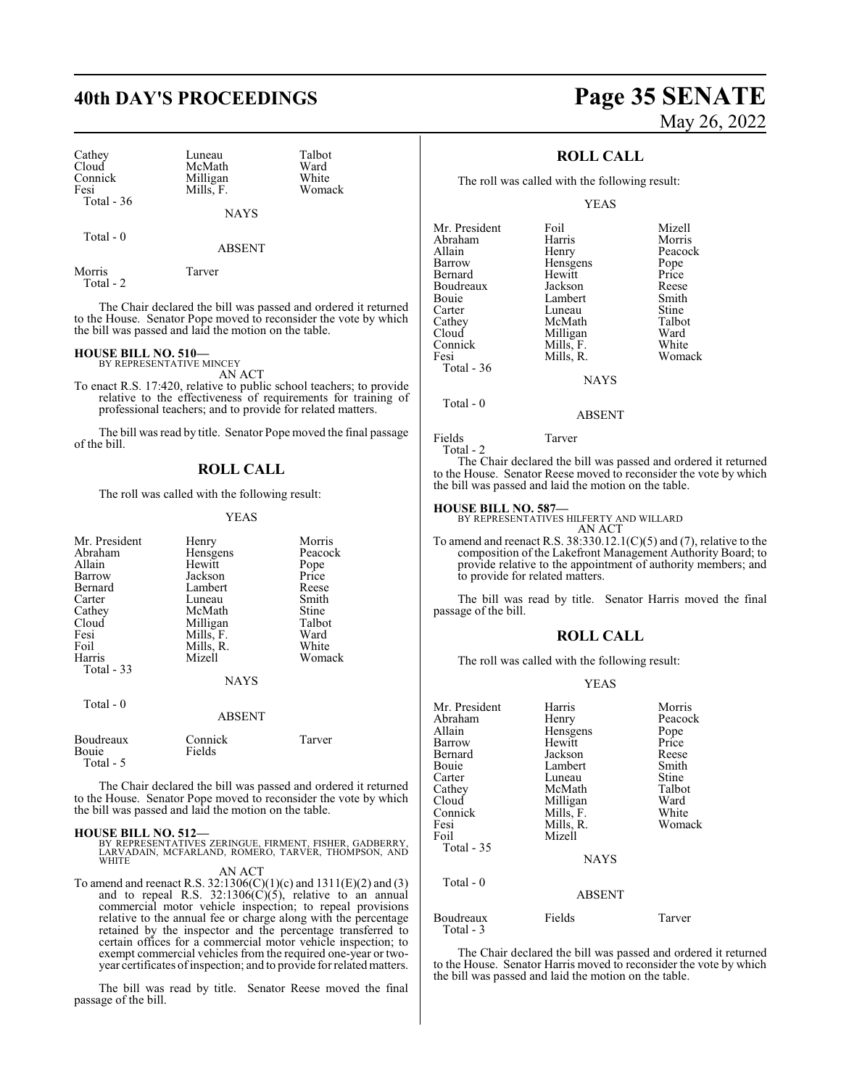| Cathey            |  |
|-------------------|--|
| Cloud             |  |
| Connick           |  |
| Fesi              |  |
| <b>Total - 36</b> |  |

Luneau Talbot<br>McMath Ward McMath Ward<br>
Milligan White Milligan White<br>
Mills F Womack Mills, F.

NAYS

Total - 0

ABSENT

Morris Tarver Total - 2

The Chair declared the bill was passed and ordered it returned to the House. Senator Pope moved to reconsider the vote by which the bill was passed and laid the motion on the table.

## **HOUSE BILL NO. 510—** BY REPRESENTATIVE MINCEY

AN ACT

To enact R.S. 17:420, relative to public school teachers; to provide relative to the effectiveness of requirements for training of professional teachers; and to provide for related matters.

The bill was read by title. Senator Pope moved the final passage of the bill.

## **ROLL CALL**

The roll was called with the following result:

## YEAS

| Mr. President<br>Abraham<br>Allain<br>Barrow<br>Bernard<br>Carter<br>Cathey<br>Cloud<br>Fesi<br>Foil<br>Harris<br><b>Total - 33</b> | Henry<br>Hensgens<br>Hewitt<br>Jackson<br>Lambert<br>Luneau<br>McMath<br>Milligan<br>Mills, F.<br>Mills, R.<br>Mizell<br><b>NAYS</b> | Morris<br>Peacock<br>Pope<br>Price<br>Reese<br>Smith<br>Stine<br>Talbot<br>Ward<br>White<br>Womack |
|-------------------------------------------------------------------------------------------------------------------------------------|--------------------------------------------------------------------------------------------------------------------------------------|----------------------------------------------------------------------------------------------------|
| Total $-0$                                                                                                                          | <b>ABSENT</b>                                                                                                                        |                                                                                                    |
| Boudreaux<br>Bouie<br>Total - 5                                                                                                     | Connick<br>Fields                                                                                                                    | Tarver                                                                                             |

The Chair declared the bill was passed and ordered it returned to the House. Senator Pope moved to reconsider the vote by which the bill was passed and laid the motion on the table.

### **HOUSE BILL NO. 512—**

BY REPRESENTATIVES ZERINGUE, FIRMENT, FISHER, GADBERRY, LARVADAIN, MCFARLAND, ROMERO, TARVER, THOMPSON, AND WHITE

AN ACT

To amend and reenact R.S. 32:1306(C)(1)(c) and 1311(E)(2) and (3) and to repeal R.S.  $32:1306(C)(5)$ , relative to an annual commercial motor vehicle inspection; to repeal provisions relative to the annual fee or charge along with the percentage retained by the inspector and the percentage transferred to certain offices for a commercial motor vehicle inspection; to exempt commercial vehicles from the required one-year or twoyear certificates ofinspection; and to provide forrelated matters.

The bill was read by title. Senator Reese moved the final passage of the bill.

## **40th DAY'S PROCEEDINGS Page 35 SENATE** May 26, 2022

## **ROLL CALL**

The roll was called with the following result:

YEAS

| Mr. President | Foil        | Mizell  |
|---------------|-------------|---------|
| Abraham       | Harris      | Morris  |
|               |             |         |
| Allain        | Henry       | Peacock |
| Barrow        | Hensgens    | Pope    |
| Bernard       | Hewitt      | Price   |
| Boudreaux     | Jackson     | Reese   |
| Bouie         | Lambert     | Smith   |
| Carter        | Luneau      | Stine   |
| Cathey        | McMath      | Talbot  |
| Cloud         | Milligan    | Ward    |
| Connick       | Mills, F.   | White   |
| Fesi          | Mills, R.   | Womack  |
| Total - 36    |             |         |
|               | <b>NAYS</b> |         |
|               |             |         |

Fields Tarver

Total - 2

Total - 0

The Chair declared the bill was passed and ordered it returned to the House. Senator Reese moved to reconsider the vote by which the bill was passed and laid the motion on the table.

ABSENT

**HOUSE BILL NO. 587—** BY REPRESENTATIVES HILFERTY AND WILLARD

AN ACT To amend and reenact R.S.  $38:330.12.1(C)(5)$  and (7), relative to the composition of the Lakefront Management Authority Board; to provide relative to the appointment of authority members; and to provide for related matters.

The bill was read by title. Senator Harris moved the final passage of the bill.

## **ROLL CALL**

The roll was called with the following result:

### YEAS

| Mr. President<br>Abraham<br>Allain<br>Barrow<br>Bernard<br>Bouie<br>Carter<br>Cathey<br>Cloud<br>Connick<br>Fesi<br>Foil<br>Total $-35$<br>Total - 0 | Harris<br>Henry<br>Hensgens<br>Hewitt<br>Jackson<br>Lambert<br>Luneau<br>McMath<br>Milligan<br>Mills, F.<br>Mills, R.<br>Mizell<br><b>NAYS</b> | Morris<br>Peacock<br>Pope<br>Price<br>Reese<br>Smith<br>Stine<br>Talbot<br>Ward<br>White<br>Womack |
|------------------------------------------------------------------------------------------------------------------------------------------------------|------------------------------------------------------------------------------------------------------------------------------------------------|----------------------------------------------------------------------------------------------------|
|                                                                                                                                                      | <b>ABSENT</b>                                                                                                                                  |                                                                                                    |
| Boudreaux<br>Total - 3                                                                                                                               | Fields                                                                                                                                         | Tarver                                                                                             |

The Chair declared the bill was passed and ordered it returned to the House. Senator Harris moved to reconsider the vote by which the bill was passed and laid the motion on the table.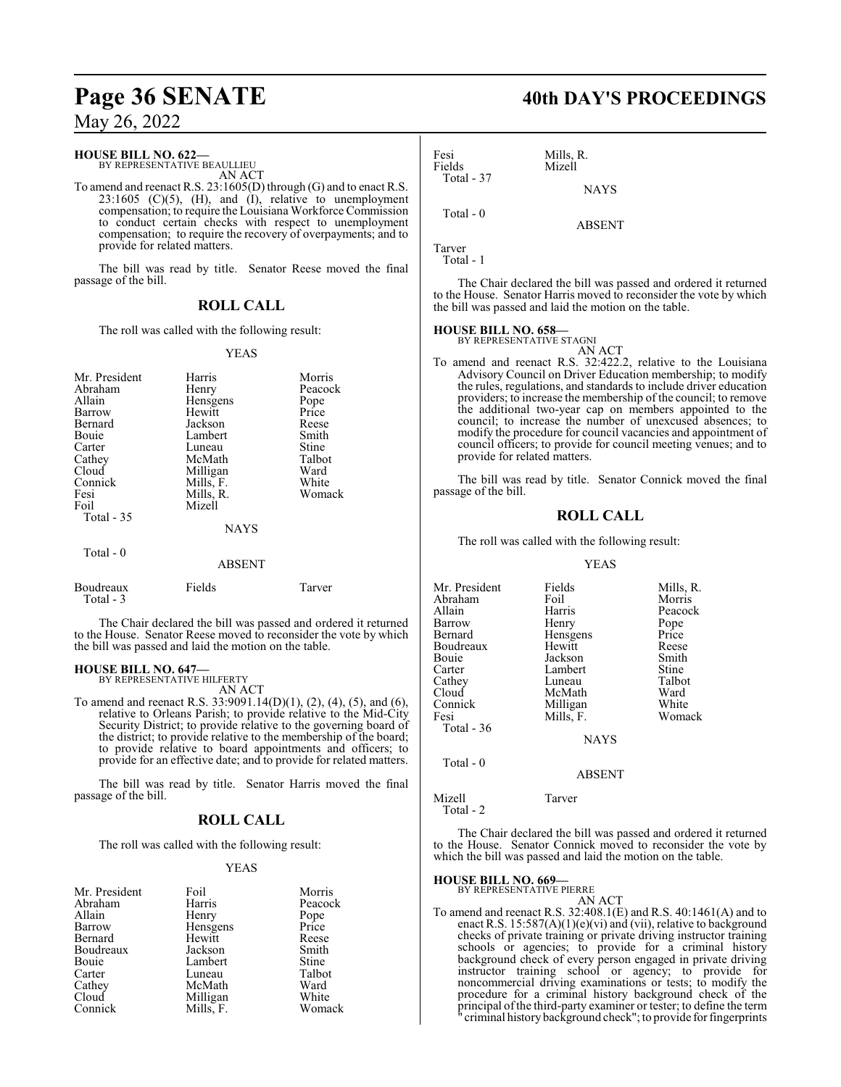## **Page 36 SENATE 40th DAY'S PROCEEDINGS**

## May 26, 2022

## **HOUSE BILL NO. 622—**

BY REPRESENTATIVE BEAULLIEU AN ACT

To amend and reenact R.S. 23:1605(D) through (G) and to enact R.S.  $23:1605$  (C)(5), (H), and (I), relative to unemployment compensation; to require the Louisiana Workforce Commission to conduct certain checks with respect to unemployment compensation; to require the recovery of overpayments; and to provide for related matters.

The bill was read by title. Senator Reese moved the final passage of the bill.

## **ROLL CALL**

The roll was called with the following result:

### YEAS

| Mr. President    | Harris        | Morris  |
|------------------|---------------|---------|
| Abraham          | Henry         | Peacock |
| Allain           | Hensgens      | Pope    |
| Barrow           | Hewitt        | Price   |
| Bernard          | Jackson       | Reese   |
| Bouie            | Lambert       | Smith   |
| Carter           | Luneau        | Stine   |
| Cathey           | McMath        | Talbot  |
| Cloud            | Milligan      | Ward    |
| Connick          | Mills, F.     | White   |
| Fesi             | Mills, R.     | Womack  |
| Foil             | Mizell        |         |
| Total $-35$      |               |         |
|                  | <b>NAYS</b>   |         |
| Total $-0$       |               |         |
|                  | <b>ABSENT</b> |         |
| <b>Boudreaux</b> | Fields        | Tarver  |

 Total - 3 The Chair declared the bill was passed and ordered it returned

to the House. Senator Reese moved to reconsider the vote by which the bill was passed and laid the motion on the table.

## **HOUSE BILL NO. 647—**

BY REPRESENTATIVE HILFERTY AN ACT

To amend and reenact R.S. 33:9091.14(D)(1), (2), (4), (5), and (6), relative to Orleans Parish; to provide relative to the Mid-City Security District; to provide relative to the governing board of the district; to provide relative to the membership of the board; to provide relative to board appointments and officers; to provide for an effective date; and to provide for related matters.

The bill was read by title. Senator Harris moved the final passage of the bill.

## **ROLL CALL**

The roll was called with the following result:

## YEAS

| Mr. President | Foil      | Morris       |
|---------------|-----------|--------------|
| Abraham       | Harris    | Peacock      |
| Allain        | Henry     | Pope         |
| Barrow        | Hensgens  | Price        |
| Bernard       | Hewitt    | Reese        |
| Boudreaux     | Jackson   | Smith        |
| Bouie         | Lambert   | <b>Stine</b> |
| Carter        | Luneau    | Talbot       |
| Cathey        | McMath    | Ward         |
| Cloud         | Milligan  | White        |
| Connick       | Mills, F. | Womack       |

Fesi Mills, R.<br>Fields Mizell Mizell Total - 37 **NAYS** Total - 0

Tarver Total - 1

The Chair declared the bill was passed and ordered it returned to the House. Senator Harris moved to reconsider the vote by which the bill was passed and laid the motion on the table.

ABSENT

## **HOUSE BILL NO. 658—**

BY REPRESENTATIVE STAGNI

AN ACT To amend and reenact R.S. 32:422.2, relative to the Louisiana Advisory Council on Driver Education membership; to modify the rules, regulations, and standards to include driver education providers; to increase the membership of the council; to remove the additional two-year cap on members appointed to the council; to increase the number of unexcused absences; to modify the procedure for council vacancies and appointment of council officers; to provide for council meeting venues; and to provide for related matters.

The bill was read by title. Senator Connick moved the final passage of the bill.

## **ROLL CALL**

The roll was called with the following result:

#### YEAS

| Mr. President | Fields      | Mills, R. |
|---------------|-------------|-----------|
| Abraham       | Foil        | Morris    |
| Allain        | Harris      | Peacock   |
| Barrow        | Henry       | Pope      |
| Bernard       | Hensgens    | Price     |
| Boudreaux     | Hewitt      | Reese     |
| Bouie         | Jackson     | Smith     |
| Carter        | Lambert     | Stine     |
| Cathey        | Luneau      | Talbot    |
| Cloud         | McMath      | Ward      |
| Connick       | Milligan    | White     |
| Fesi          | Mills, F.   | Womack    |
| Total - 36    |             |           |
|               | <b>NAYS</b> |           |
| Total - 0     |             |           |
|               | ABSENT      |           |

Mizell Tarver

Total - 2

The Chair declared the bill was passed and ordered it returned to the House. Senator Connick moved to reconsider the vote by which the bill was passed and laid the motion on the table.

## **HOUSE BILL NO. 669—**

BY REPRESENTATIVE PIERRE AN ACT

To amend and reenact R.S. 32:408.1(E) and R.S. 40:1461(A) and to enact R.S.  $15:587(A)(1)(e)(vi)$  and (vii), relative to background checks of private training or private driving instructor training schools or agencies; to provide for a criminal history background check of every person engaged in private driving instructor training school or agency; to provide for noncommercial driving examinations or tests; to modify the procedure for a criminal history background check of the principal of the third-party examiner or tester; to define the term criminal history background check"; to provide for fingerprints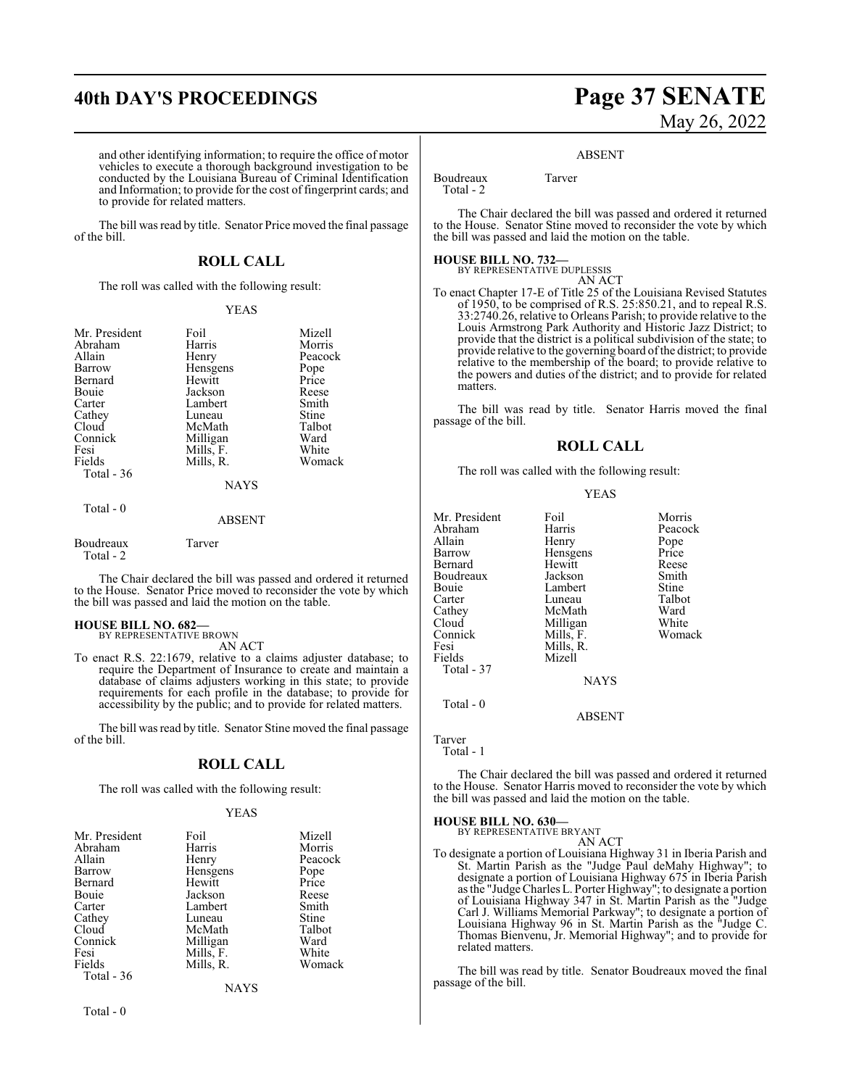## **40th DAY'S PROCEEDINGS Page 37 SENATE**

and other identifying information; to require the office of motor vehicles to execute a thorough background investigation to be conducted by the Louisiana Bureau of Criminal Identification and Information; to provide for the cost of fingerprint cards; and to provide for related matters.

The bill was read by title. Senator Price moved the final passage of the bill.

## **ROLL CALL**

The roll was called with the following result:

### YEAS

| Mr. President          | Foil          | Mizell  |
|------------------------|---------------|---------|
| Abraham                | Harris        | Morris  |
| Allain                 | Henry         | Peacock |
| Barrow                 | Hensgens      | Pope    |
| Bernard                | Hewitt        | Price   |
| Bouie                  | Jackson       | Reese   |
| Carter                 | Lambert       | Smith   |
| Cathey                 | Luneau        | Stine   |
| Cloud                  | McMath        | Talbot  |
| Connick                | Milligan      | Ward    |
| Fesi                   | Mills, F.     | White   |
| Fields                 | Mills, R.     | Womack  |
| Total $-36$            |               |         |
|                        | <b>NAYS</b>   |         |
| Total - 0              |               |         |
|                        | <b>ABSENT</b> |         |
| Boudreaux<br>Total - 2 | Tarver        |         |

The Chair declared the bill was passed and ordered it returned to the House. Senator Price moved to reconsider the vote by which the bill was passed and laid the motion on the table.

## **HOUSE BILL NO. 682—**

BY REPRESENTATIVE BROWN AN ACT

To enact R.S. 22:1679, relative to a claims adjuster database; to require the Department of Insurance to create and maintain a database of claims adjusters working in this state; to provide requirements for each profile in the database; to provide for accessibility by the public; and to provide for related matters.

The bill was read by title. Senator Stine moved the final passage of the bill.

## **ROLL CALL**

The roll was called with the following result:

## YEAS

| Mr. President | Foil      | Mizell  |
|---------------|-----------|---------|
| Abraham       | Harris    | Morris  |
| Allain        | Henry     | Peacock |
| Barrow        | Hensgens  | Pope    |
| Bernard       | Hewitt    | Price   |
| Bouie         | Jackson   | Reese   |
| Carter        | Lambert   | Smith   |
| Cathey        | Luneau    | Stine   |
| Cloud         | McMath    | Talbot  |
| Connick       | Milligan  | Ward    |
| Fesi          | Mills, F. | White   |
| Fields        | Mills, R. | Womack  |
| Total - 36    |           |         |
|               | NAYS      |         |

# May 26, 2022

## ABSENT

Boudreaux Tarver Total - 2

The Chair declared the bill was passed and ordered it returned to the House. Senator Stine moved to reconsider the vote by which the bill was passed and laid the motion on the table.

## **HOUSE BILL NO. 732—**

```
BY REPRESENTATIVE DUPLESSIS
                    AN ACT
```
To enact Chapter 17-E of Title 25 of the Louisiana Revised Statutes of 1950, to be comprised of R.S. 25:850.21, and to repeal R.S. 33:2740.26, relative to Orleans Parish; to provide relative to the Louis Armstrong Park Authority and Historic Jazz District; to provide that the district is a political subdivision of the state; to provide relative to the governing board ofthe district; to provide relative to the membership of the board; to provide relative to the powers and duties of the district; and to provide for related matters.

The bill was read by title. Senator Harris moved the final passage of the bill.

## **ROLL CALL**

The roll was called with the following result:

YEAS

| Mr. President<br>Abraham<br>Allain<br>Barrow<br>Bernard<br>Boudreaux<br>Bouie<br>Carter<br>Cathey<br>Cloud<br>Connick<br>Fesi<br>Fields | Foil<br>Harris<br>Henry<br>Hensgens<br>Hewitt<br>Jackson<br>Lambert<br>Luneau<br>McMath<br>Milligan<br>Mills, F.<br>Mills, R.<br>Mizell | Morris<br>Peacock<br>Pope<br>Price<br>Reese<br>Smith<br>Stine<br>Talbot<br>Ward<br>White<br>Womack |
|-----------------------------------------------------------------------------------------------------------------------------------------|-----------------------------------------------------------------------------------------------------------------------------------------|----------------------------------------------------------------------------------------------------|
| Total - 37                                                                                                                              | NAYS                                                                                                                                    |                                                                                                    |
|                                                                                                                                         |                                                                                                                                         |                                                                                                    |

ABSENT

Tarver Total - 1

Total - 0

The Chair declared the bill was passed and ordered it returned to the House. Senator Harris moved to reconsider the vote by which

the bill was passed and laid the motion on the table.

**HOUSE BILL NO. 630—** BY REPRESENTATIVE BRYANT

AN ACT

To designate a portion of Louisiana Highway 31 in Iberia Parish and St. Martin Parish as the "Judge Paul deMahy Highway"; to designate a portion of Louisiana Highway 675 in Iberia Parish as the "Judge Charles L. Porter Highway"; to designate a portion of Louisiana Highway 347 in St. Martin Parish as the "Judge Carl J. Williams Memorial Parkway"; to designate a portion of Louisiana Highway 96 in St. Martin Parish as the "Judge C. Thomas Bienvenu, Jr. Memorial Highway"; and to provide for related matters.

The bill was read by title. Senator Boudreaux moved the final passage of the bill.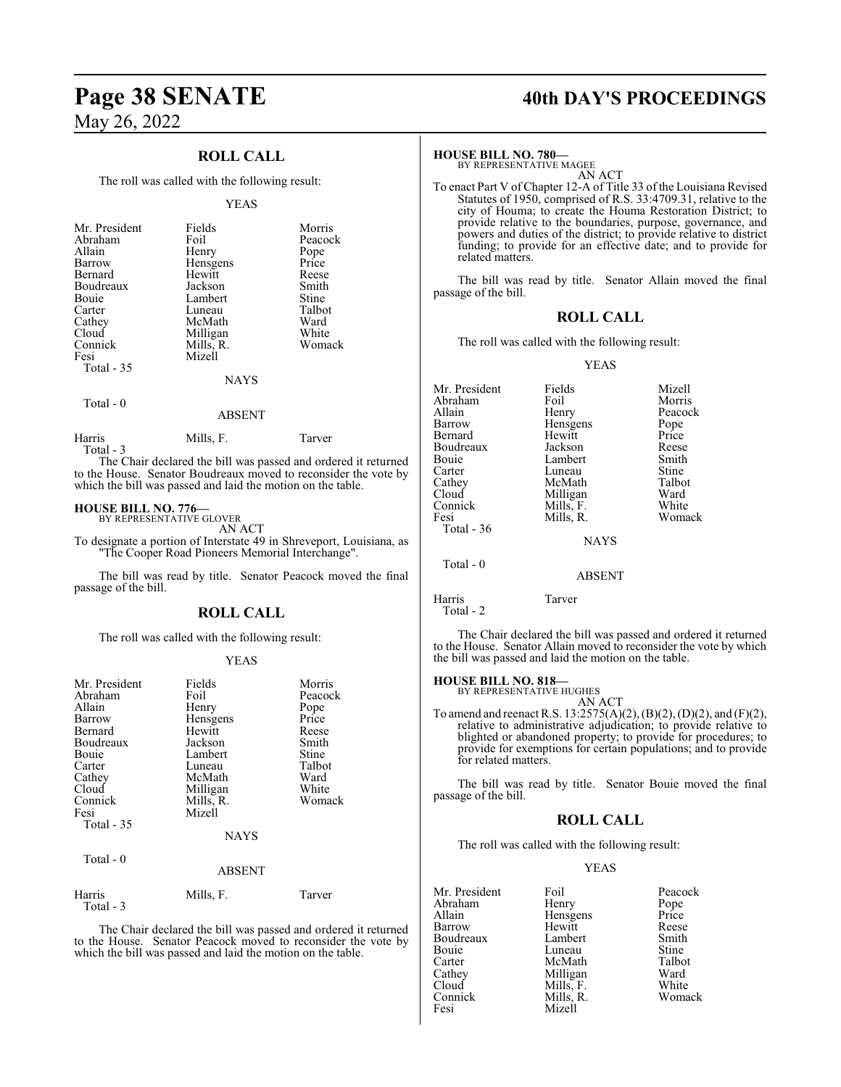## **ROLL CALL**

The roll was called with the following result:

### YEAS

| Mr. President<br>Abraham<br>Allain<br>Barrow<br>Bernard<br>Boudreaux<br><b>Bouje</b><br>Carter<br>Cathey<br>Cloud<br>Connick<br>Fesi | Fields<br>Foil<br>Henry<br>Hensgens<br>Hewitt<br>Jackson<br>Lambert<br>Luneau<br>McMath<br>Milligan<br>Mills, R.<br>Mizell | Morris<br>Peacock<br>Pope<br>Price<br>Reese<br>Smith<br>Stine<br>Talbot<br>Ward<br>White<br>Womack |
|--------------------------------------------------------------------------------------------------------------------------------------|----------------------------------------------------------------------------------------------------------------------------|----------------------------------------------------------------------------------------------------|
| Total - 35                                                                                                                           | NAYS                                                                                                                       |                                                                                                    |

Total - 0

## ABSENT

## Harris Mills, F. Tarver

Total - 3

The Chair declared the bill was passed and ordered it returned to the House. Senator Boudreaux moved to reconsider the vote by which the bill was passed and laid the motion on the table.

## **HOUSE BILL NO. 776—** BY REPRESENTATIVE GLOVER

AN ACT

To designate a portion of Interstate 49 in Shreveport, Louisiana, as "The Cooper Road Pioneers Memorial Interchange".

The bill was read by title. Senator Peacock moved the final passage of the bill.

## **ROLL CALL**

The roll was called with the following result:

### YEAS

| Mr. President<br>Abraham<br>Allain<br>Barrow<br>Bernard<br>Boudreaux<br>Bouie<br>Carter<br>Cathey<br>Cloud<br>Connick<br>Fesi<br>Total $-35$<br>Total - 0 | Fields<br>Foil<br>Henry<br>Hensgens<br>Hewitt<br>Jackson<br>Lambert<br>Luneau<br>McMath<br>Milligan<br>Mills, R.<br>Mizell<br><b>NAYS</b> | Morris<br>Peacock<br>Pope<br>Price<br>Reese<br>Smith<br>Stine<br>Talbot<br>Ward<br>White<br>Womack |
|-----------------------------------------------------------------------------------------------------------------------------------------------------------|-------------------------------------------------------------------------------------------------------------------------------------------|----------------------------------------------------------------------------------------------------|
|                                                                                                                                                           | <b>ABSENT</b>                                                                                                                             |                                                                                                    |
| Harris<br>Total - 3                                                                                                                                       | Mills, F.                                                                                                                                 | Tarver                                                                                             |

The Chair declared the bill was passed and ordered it returned to the House. Senator Peacock moved to reconsider the vote by which the bill was passed and laid the motion on the table.

## **Page 38 SENATE 40th DAY'S PROCEEDINGS**

## **HOUSE BILL NO. 780—**

BY REPRESENTATIVE MAGEE AN ACT

To enact Part V of Chapter 12-A of Title 33 of the Louisiana Revised Statutes of 1950, comprised of R.S. 33:4709.31, relative to the city of Houma; to create the Houma Restoration District; to provide relative to the boundaries, purpose, governance, and powers and duties of the district; to provide relative to district funding; to provide for an effective date; and to provide for related matters.

The bill was read by title. Senator Allain moved the final passage of the bill.

## **ROLL CALL**

The roll was called with the following result:

## YEAS

| Mr. President | Fields        | Mizell  |
|---------------|---------------|---------|
| Abraham       | Foil          | Morris  |
| Allain        | Henry         | Peacock |
| Barrow        | Hensgens      | Pope    |
| Bernard       | Hewitt        | Price   |
| Boudreaux     | Jackson       | Reese   |
| Bouie         | Lambert       | Smith   |
| Carter        | Luneau        | Stine   |
| Cathey        | McMath        | Talbot  |
| Cloud         | Milligan      | Ward    |
| Connick       | Mills, F.     | White   |
| Fesi          | Mills, R.     | Womack  |
| Total - 36    |               |         |
|               | <b>NAYS</b>   |         |
| Total $-0$    |               |         |
|               | <b>ABSENT</b> |         |
| Harris        | Tarver        |         |

Total - 2

The Chair declared the bill was passed and ordered it returned to the House. Senator Allain moved to reconsider the vote by which the bill was passed and laid the motion on the table.

## **HOUSE BILL NO. 818—**

BY REPRESENTATIVE HUGHES AN ACT

To amend and reenact R.S. 13:2575(A)(2), (B)(2), (D)(2), and (F)(2), relative to administrative adjudication; to provide relative to blighted or abandoned property; to provide for procedures; to provide for exemptions for certain populations; and to provide for related matters.

The bill was read by title. Senator Bouie moved the final passage of the bill.

## **ROLL CALL**

The roll was called with the following result:

## YEAS

| Mr. President | Foil      | Peacock |
|---------------|-----------|---------|
|               |           |         |
| Abraham       | Henry     | Pope    |
| Allain        | Hensgens  | Price   |
| Barrow        | Hewitt    | Reese   |
| Boudreaux     | Lambert   | Smith   |
| Bouie         | Luneau    | Stine   |
| Carter        | McMath    | Talbot  |
| Cathey        | Milligan  | Ward    |
| Cloud         | Mills, F. | White   |
| Connick       | Mills, R. | Womack  |
| Fesi          | Mizell    |         |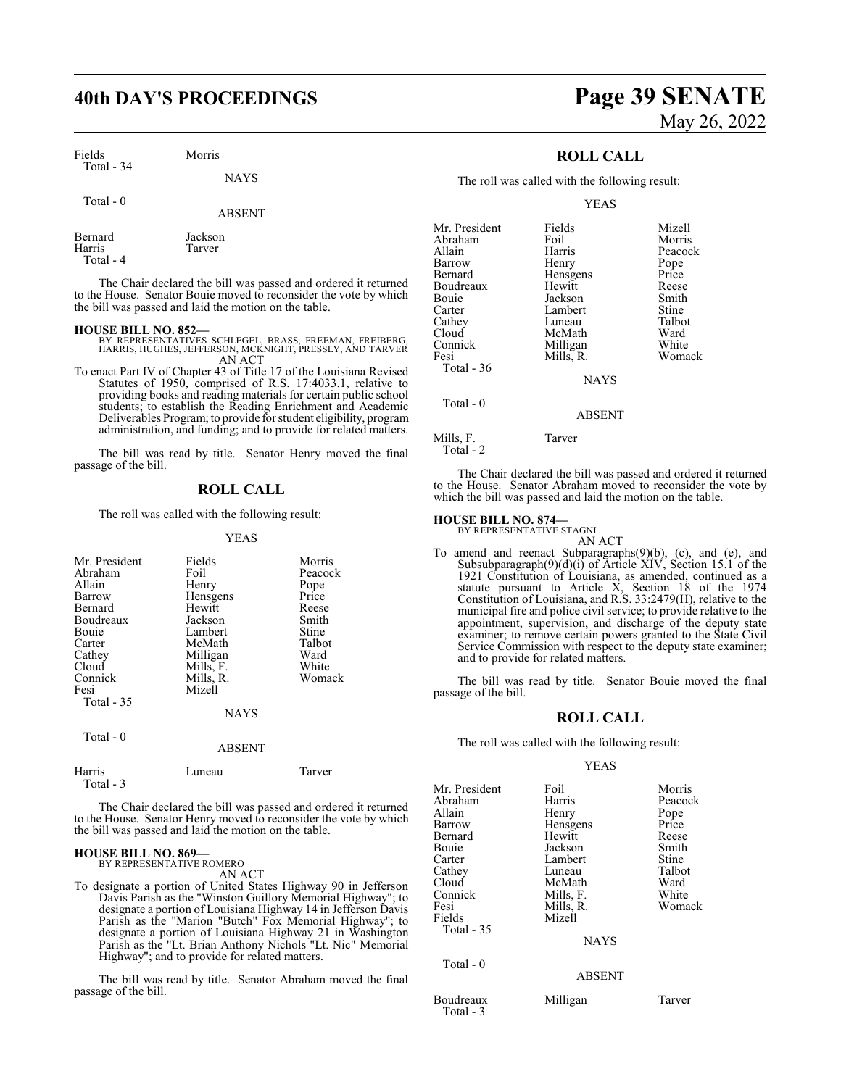## **40th DAY'S PROCEEDINGS Page 39 SENATE**

Fields Morris Total - 34

NAYS

| Total - 0 |               |
|-----------|---------------|
|           | <b>ABSENT</b> |

Bernard Jackson<br>Harris Tarver Tarver Total - 4

The Chair declared the bill was passed and ordered it returned to the House. Senator Bouie moved to reconsider the vote by which the bill was passed and laid the motion on the table.

- **HOUSE BILL NO. 852—** BY REPRESENTATIVES SCHLEGEL, BRASS, FREEMAN, FREIBERG, HARRIS, HUGHES, JEFFERSON, MCKNIGHT, PRESSLY, AND TARVER AN ACT
- To enact Part IV of Chapter 43 of Title 17 of the Louisiana Revised Statutes of 1950, comprised of R.S. 17:4033.1, relative to providing books and reading materials for certain public school students; to establish the Reading Enrichment and Academic Deliverables Program; to provide for student eligibility, program administration, and funding; and to provide for related matters.

The bill was read by title. Senator Henry moved the final passage of the bill.

## **ROLL CALL**

The roll was called with the following result:

### YEAS

| Mr. President<br>Abraham<br>Allain<br>Barrow<br>Bernard<br>Boudreaux<br>Bouie<br>Carter<br>Cathey<br>Cloud<br>Connick<br>Fesi<br>Total $-35$ | Fields<br>Foil<br>Henry<br>Hensgens<br>Hewitt<br>Jackson<br>Lambert<br>McMath<br>Milligan<br>Mills, F.<br>Mills, R.<br>Mizell<br><b>NAYS</b> | Morris<br>Peacock<br>Pope<br>Price<br>Reese<br>Smith<br>Stine<br>Talbot<br>Ward<br>White<br>Womack |
|----------------------------------------------------------------------------------------------------------------------------------------------|----------------------------------------------------------------------------------------------------------------------------------------------|----------------------------------------------------------------------------------------------------|
| Total $-0$                                                                                                                                   | <b>ABSENT</b>                                                                                                                                |                                                                                                    |
| Harris                                                                                                                                       | Luneau                                                                                                                                       | Tarver                                                                                             |

The Chair declared the bill was passed and ordered it returned to the House. Senator Henry moved to reconsider the vote by which the bill was passed and laid the motion on the table.

## **HOUSE BILL NO. 869—**

Total - 3

BY REPRESENTATIVE ROMERO AN ACT

To designate a portion of United States Highway 90 in Jefferson Davis Parish as the "Winston Guillory Memorial Highway"; to designate a portion of Louisiana Highway 14 in Jefferson Davis Parish as the "Marion "Butch" Fox Memorial Highway"; to designate a portion of Louisiana Highway 21 in Washington Parish as the "Lt. Brian Anthony Nichols "Lt. Nic" Memorial Highway"; and to provide for related matters.

The bill was read by title. Senator Abraham moved the final passage of the bill.

# May 26, 2022

## **ROLL CALL**

The roll was called with the following result:

YEAS

| Mr. President     | Fields      | Mizell  |
|-------------------|-------------|---------|
| Abraham           | Foil        | Morris  |
| Allain            | Harris      | Peacock |
| Barrow            | Henry       | Pope    |
| Bernard           | Hensgens    | Price   |
| Boudreaux         | Hewitt      | Reese   |
| Bouie             | Jackson     | Smith   |
| Carter            | Lambert     | Stine   |
| Cathev            | Luneau      | Talbot  |
| Cloud             | McMath      | Ward    |
| Connick           | Milligan    | White   |
| Fesi              | Mills, R.   | Womack  |
| <b>Total - 36</b> |             |         |
|                   | <b>NAYS</b> |         |
| Total - 0         |             |         |
|                   | ABSENT      |         |

Mills, F. Tarver

Total - 2

The Chair declared the bill was passed and ordered it returned to the House. Senator Abraham moved to reconsider the vote by which the bill was passed and laid the motion on the table.

## **HOUSE BILL NO. 874—**

BY REPRESENTATIVE STAGNI AN ACT

To amend and reenact Subparagraphs(9)(b), (c), and (e), and Subsubparagraph(9)(d)(i) of Article XIV, Section 15.1 of the 1921 Constitution of Louisiana, as amended, continued as a statute pursuant to Article X, Section 18 of the 1974 Constitution of Louisiana, and R.S. 33:2479(H), relative to the municipal fire and police civil service; to provide relative to the appointment, supervision, and discharge of the deputy state examiner; to remove certain powers granted to the State Civil Service Commission with respect to the deputy state examiner; and to provide for related matters.

The bill was read by title. Senator Bouie moved the final passage of the bill.

## **ROLL CALL**

The roll was called with the following result:

### YEAS

| Mr. President          | Foil          | Morris  |
|------------------------|---------------|---------|
| Abraham                | Harris        | Peacock |
| Allain                 | Henry         | Pope    |
| Barrow                 | Hensgens      | Price   |
| Bernard                | Hewitt        | Reese   |
| Bouie                  | Jackson       | Smith   |
| Carter                 | Lambert       | Stine   |
| Cathey                 | Luneau        | Talbot  |
| Cloud                  | McMath        | Ward    |
| Connick                | Mills, F.     | White   |
| Fesi                   | Mills, R.     | Womack  |
| Fields                 | Mizell        |         |
| Total - 35             |               |         |
|                        | <b>NAYS</b>   |         |
| Total $-0$             |               |         |
|                        | <b>ABSENT</b> |         |
| Boudreaux<br>Total - 3 | Milligan      | Tarver  |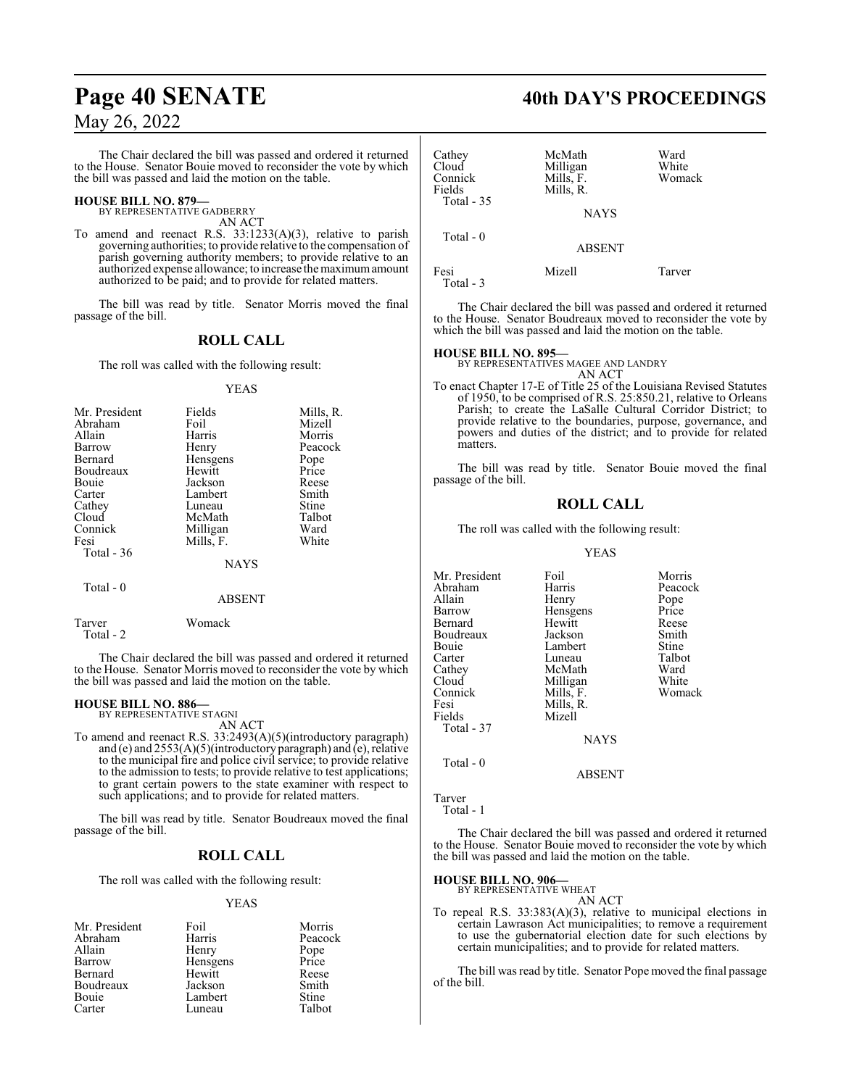The Chair declared the bill was passed and ordered it returned to the House. Senator Bouie moved to reconsider the vote by which the bill was passed and laid the motion on the table.

#### **HOUSE BILL NO. 879—** BY REPRESENTATIVE GADBERRY

AN ACT

To amend and reenact R.S. 33:1233(A)(3), relative to parish governing authorities; to provide relative to the compensation of parish governing authority members; to provide relative to an authorized expense allowance; to increase the maximumamount authorized to be paid; and to provide for related matters.

The bill was read by title. Senator Morris moved the final passage of the bill.

## **ROLL CALL**

The roll was called with the following result:

### YEAS

| Mr. President | Fields      | Mills, R. |
|---------------|-------------|-----------|
| Abraham       | Foil        | Mizell    |
| Allain        | Harris      | Morris    |
| Barrow        | Henry       | Peacock   |
| Bernard       | Hensgens    | Pope      |
| Boudreaux     | Hewitt      | Price     |
| Bouie         | Jackson     | Reese     |
| Carter        | Lambert     | Smith     |
| Cathey        | Luneau      | Stine     |
| Cloud         | McMath      | Talbot    |
| Connick       | Milligan    | Ward      |
| Fesi          | Mills, F.   | White     |
| Total $-36$   |             |           |
|               | <b>NAYS</b> |           |
| Total - 0     |             |           |

#### ABSENT

Tarver Womack Total - 2

The Chair declared the bill was passed and ordered it returned to the House. Senator Morris moved to reconsider the vote by which the bill was passed and laid the motion on the table.

**HOUSE BILL NO. 886—** BY REPRESENTATIVE STAGNI AN ACT

To amend and reenact R.S. 33:2493(A)(5)(introductory paragraph) and (e) and 2553(A)(5)(introductory paragraph) and (e), relative to the municipal fire and police civil service; to provide relative to the admission to tests; to provide relative to test applications; to grant certain powers to the state examiner with respect to such applications; and to provide for related matters.

The bill was read by title. Senator Boudreaux moved the final passage of the bill.

## **ROLL CALL**

The roll was called with the following result:

### YEAS

| Mr. President<br>Abraham | Foil<br>Harris | Morris<br>Peacock |
|--------------------------|----------------|-------------------|
| Allain                   | Henry          | Pope<br>Price     |
| Barrow                   | Hensgens       |                   |
| Bernard                  | Hewitt         | Reese             |
| Boudreaux                | Jackson        | Smith             |
| Bouie                    | Lambert        | Stine             |
| Carter                   | Luneau         | Talbot            |

## **Page 40 SENATE** 40th DAY'S PROCEEDINGS

| Cathey<br>Cloud<br>Connick<br>Fields<br>Total - 35 | McMath<br>Milligan<br>Mills, F.<br>Mills, R.<br><b>NAYS</b> | Ward<br>White<br>Womack |
|----------------------------------------------------|-------------------------------------------------------------|-------------------------|
| Total - 0                                          | <b>ABSENT</b>                                               |                         |
| Fesi<br>$Total - 3$                                | Mizell                                                      | Tarver                  |

The Chair declared the bill was passed and ordered it returned to the House. Senator Boudreaux moved to reconsider the vote by which the bill was passed and laid the motion on the table.

**HOUSE BILL NO. 895—** BY REPRESENTATIVES MAGEE AND LANDRY AN ACT

To enact Chapter 17-E of Title 25 of the Louisiana Revised Statutes of 1950, to be comprised of R.S. 25:850.21, relative to Orleans Parish; to create the LaSalle Cultural Corridor District; to provide relative to the boundaries, purpose, governance, and powers and duties of the district; and to provide for related matters.

The bill was read by title. Senator Bouie moved the final passage of the bill.

## **ROLL CALL**

The roll was called with the following result:

### YEAS

| Mr. President | Foil        | Morris  |
|---------------|-------------|---------|
| Abraham       | Harris      | Peacock |
| Allain        | Henry       | Pope    |
| Barrow        | Hensgens    | Price   |
| Bernard       | Hewitt      | Reese   |
| Boudreaux     | Jackson     | Smith   |
| Bouie         | Lambert     | Stine   |
| Carter        | Luneau      | Talbot  |
| Cathey        | McMath      | Ward    |
| Cloud         | Milligan    | White   |
| Connick       | Mills, F.   | Womack  |
| Fesi          | Mills, R.   |         |
| Fields        | Mizell      |         |
| Total - 37    |             |         |
|               | <b>NAYS</b> |         |
| $Total - 0$   |             |         |

```
Tarver
  Total - 1
```
The Chair declared the bill was passed and ordered it returned to the House. Senator Bouie moved to reconsider the vote by which the bill was passed and laid the motion on the table.

ABSENT

## **HOUSE BILL NO. 906—**

BY REPRESENTATIVE WHEAT AN ACT

To repeal R.S. 33:383(A)(3), relative to municipal elections in certain Lawrason Act municipalities; to remove a requirement to use the gubernatorial election date for such elections by certain municipalities; and to provide for related matters.

The bill was read by title. Senator Pope moved the final passage of the bill.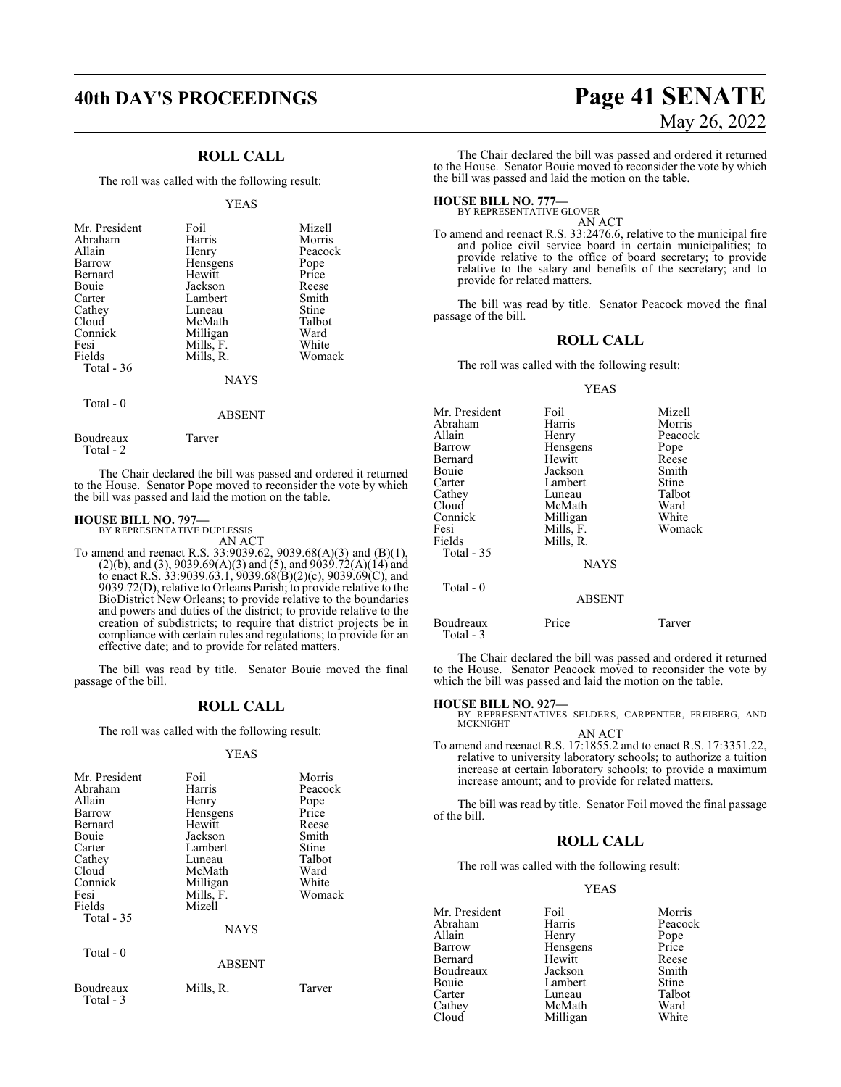## **ROLL CALL**

The roll was called with the following result:

#### YEAS

| Mr. President<br>Abraham<br>Allain | Foil<br>Harris<br>Henry | Mizell<br>Morris<br>Peacock |
|------------------------------------|-------------------------|-----------------------------|
| <b>Barrow</b>                      | Hensgens                | Pope                        |
| Bernard                            | Hewitt                  | Price                       |
| Bouie                              | Jackson                 | Reese                       |
| Carter                             | Lambert                 | Smith                       |
| Cathey                             | Luneau                  | Stine                       |
| Cloud                              | McMath                  | Talbot                      |
| Connick                            | Milligan                | Ward                        |
| Fesi                               | Mills, F.               | White                       |
| Fields                             | Mills, R.               | Womack                      |
| Total - 36                         |                         |                             |
|                                    | <b>NAYS</b>             |                             |
|                                    |                         |                             |

## Total - 0

## ABSENT

Boudreaux Tarver Total - 2

The Chair declared the bill was passed and ordered it returned to the House. Senator Pope moved to reconsider the vote by which the bill was passed and laid the motion on the table.

## **HOUSE BILL NO. 797—**

BY REPRESENTATIVE DUPLESSIS AN ACT

To amend and reenact R.S. 33:9039.62, 9039.68(A)(3) and (B)(1), (2)(b), and (3), 9039.69(A)(3) and (5), and 9039.72(A)(14) and to enact R.S.  $33:9039.63.1$ ,  $9039.68(B)(2)(c)$ ,  $9039.69(C)$ , and 9039.72(D), relative to Orleans Parish; to provide relative to the BioDistrict New Orleans; to provide relative to the boundaries and powers and duties of the district; to provide relative to the creation of subdistricts; to require that district projects be in compliance with certain rules and regulations; to provide for an effective date; and to provide for related matters.

The bill was read by title. Senator Bouie moved the final passage of the bill.

## **ROLL CALL**

The roll was called with the following result:

## YEAS

| Mr. President<br>Abraham<br>Allain<br>Barrow<br>Bernard<br>Bouie<br>Carter<br>Cathey<br>Cloud<br>Connick<br>Fesi<br>Fields<br>Total $-35$ | Foil<br>Harris<br>Henry<br>Hensgens<br>Hewitt<br>Jackson<br>Lambert<br>Luneau<br>McMath<br>Milligan<br>Mills, F.<br>Mizell | Morris<br>Peacock<br>Pope<br>Price<br>Reese<br>Smith<br>Stine<br>Talbot<br>Ward<br>White<br>Womack |
|-------------------------------------------------------------------------------------------------------------------------------------------|----------------------------------------------------------------------------------------------------------------------------|----------------------------------------------------------------------------------------------------|
|                                                                                                                                           | <b>NAYS</b>                                                                                                                |                                                                                                    |
| Total - 0                                                                                                                                 | <b>ABSENT</b>                                                                                                              |                                                                                                    |
| Boudreaux<br>Total - 3                                                                                                                    | Mills, R.                                                                                                                  | Tarver                                                                                             |

## **40th DAY'S PROCEEDINGS Page 41 SENATE** May 26, 2022

The Chair declared the bill was passed and ordered it returned to the House. Senator Bouie moved to reconsider the vote by which the bill was passed and laid the motion on the table.

## **HOUSE BILL NO. 777—** BY REPRESENTATIVE GLOVER

AN ACT

To amend and reenact R.S. 33:2476.6, relative to the municipal fire and police civil service board in certain municipalities; to provide relative to the office of board secretary; to provide relative to the salary and benefits of the secretary; and to provide for related matters.

The bill was read by title. Senator Peacock moved the final passage of the bill.

## **ROLL CALL**

The roll was called with the following result:

#### YEAS

| Mr. President | Foil          | Mizell  |
|---------------|---------------|---------|
| Abraham       | Harris        | Morris  |
| Allain        | Henry         | Peacock |
| Barrow        | Hensgens      | Pope    |
| Bernard       | Hewitt        | Reese   |
| Bouie         | Jackson       | Smith   |
| Carter        | Lambert       | Stine   |
| Cathey        | Luneau        | Talbot  |
| Cloud         | McMath        | Ward    |
| Connick       | Milligan      | White   |
| Fesi          | Mills, F.     | Womack  |
| Fields        | Mills, R.     |         |
| Total $-35$   |               |         |
|               | <b>NAYS</b>   |         |
| Total $-0$    |               |         |
|               | <b>ABSENT</b> |         |
| Boudreaux     | Price         | Tarver  |

The Chair declared the bill was passed and ordered it returned to the House. Senator Peacock moved to reconsider the vote by which the bill was passed and laid the motion on the table.

Total - 3

**HOUSE BILL NO. 927—** BY REPRESENTATIVES SELDERS, CARPENTER, FREIBERG, AND MCKNIGHT AN ACT

To amend and reenact R.S. 17:1855.2 and to enact R.S. 17:3351.22, relative to university laboratory schools; to authorize a tuition increase at certain laboratory schools; to provide a maximum increase amount; and to provide for related matters.

The bill was read by title. Senator Foil moved the final passage of the bill.

## **ROLL CALL**

The roll was called with the following result:

## YEAS

| Mr. President | Foil     | Morris  |
|---------------|----------|---------|
| Abraham       | Harris   | Peacock |
| Allain        | Henry    | Pope    |
| Barrow        | Hensgens | Price   |
| Bernard       | Hewitt   | Reese   |
| Boudreaux     | Jackson  | Smith   |
| Bouie         | Lambert  | Stine   |
| Carter        | Luneau   | Talbot  |
| Cathey        | McMath   | Ward    |
| Cloud         | Milligan | White   |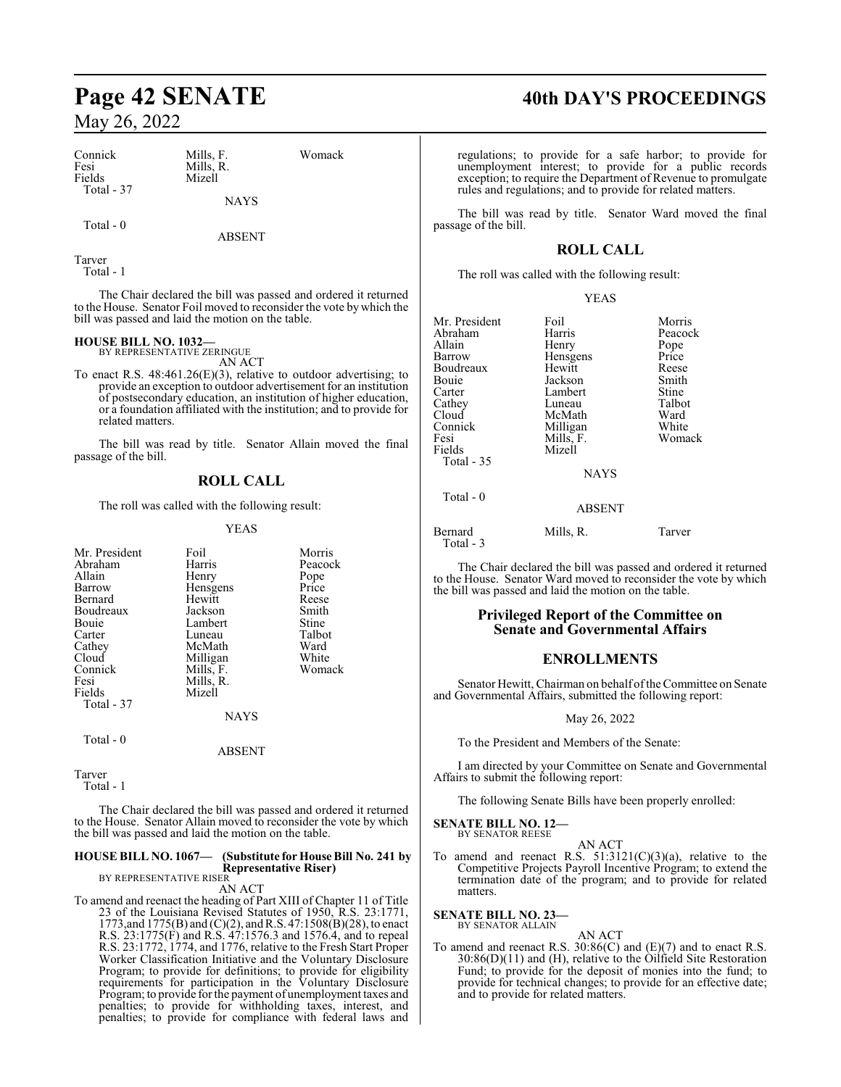| Connick    |  |
|------------|--|
| Fesi       |  |
| Fields     |  |
| Total - 37 |  |
|            |  |
|            |  |

Mills, R.

Mizell

NAYS

Total - 0

ABSENT

Mills, F. Womack

Tarver Total - 1

The Chair declared the bill was passed and ordered it returned to the House. Senator Foil moved to reconsider the vote by which the bill was passed and laid the motion on the table.

**HOUSE BILL NO. 1032—** BY REPRESENTATIVE ZERINGUE

AN ACT

To enact R.S. 48:461.26(E)(3), relative to outdoor advertising; to provide an exception to outdoor advertisement for an institution of postsecondary education, an institution of higher education, or a foundation affiliated with the institution; and to provide for related matters.

The bill was read by title. Senator Allain moved the final passage of the bill.

## **ROLL CALL**

The roll was called with the following result:

## YEAS

| Mr. President | Foil        | Morris  |
|---------------|-------------|---------|
| Abraham       | Harris      | Peacock |
| Allain        | Henry       | Pope    |
| Barrow        | Hensgens    | Price   |
| Bernard       | Hewitt      | Reese   |
| Boudreaux     | Jackson     | Smith   |
| Bouie         | Lambert     | Stine   |
| Carter        | Luneau      | Talbot  |
| Cathey        | McMath      | Ward    |
| Cloud         | Milligan    | White   |
| Connick       | Mills, F.   | Womack  |
| Fesi          | Mills, R.   |         |
| Fields        | Mizell      |         |
| Total - 37    |             |         |
|               | <b>NAYS</b> |         |
| Total - 0     |             |         |

ABSENT

Tarver Total - 1

The Chair declared the bill was passed and ordered it returned to the House. Senator Allain moved to reconsider the vote by which the bill was passed and laid the motion on the table.

#### **HOUSE BILL NO. 1067— (Substitute for House Bill No. 241 by Representative Riser)** BY REPRESENTATIVE RISER

## AN ACT

To amend and reenact the heading of Part XIII of Chapter 11 of Title 23 of the Louisiana Revised Statutes of 1950, R.S. 23:1771, 1773, and 1775(B) and (C)(2), and R.S. 47:1508(B)(28), to enact R.S. 23:1775(F) and R.S. 47:1576.3 and 1576.4, and to repeal R.S. 23:1772, 1774, and 1776, relative to the Fresh Start Proper Worker Classification Initiative and the Voluntary Disclosure Program; to provide for definitions; to provide for eligibility requirements for participation in the Voluntary Disclosure Program; to provide forthe payment of unemployment taxes and penalties; to provide for withholding taxes, interest, and penalties; to provide for compliance with federal laws and

## **Page 42 SENATE 40th DAY'S PROCEEDINGS**

regulations; to provide for a safe harbor; to provide for unemployment interest; to provide for a public records exception; to require the Department of Revenue to promulgate rules and regulations; and to provide for related matters.

The bill was read by title. Senator Ward moved the final passage of the bill.

## **ROLL CALL**

YEAS

The roll was called with the following result:

| Mr. President<br>Abraham | Foil<br>Harris | Morris<br>Peacock |
|--------------------------|----------------|-------------------|
|                          |                |                   |
| Allain                   | Henry          | Pope              |
| Barrow                   | Hensgens       | Price             |
| Boudreaux                | Hewitt         | Reese             |
| Bouie                    | Jackson        | Smith             |
| Carter                   | Lambert        | Stine             |
| Cathey                   | Luneau         | Talbot            |
| Cloud                    | McMath         | Ward              |
| Connick                  | Milligan       | White             |
| Fesi                     | Mills, F.      | Womack            |
| Fields                   | Mizell         |                   |
| Total - 35               |                |                   |
|                          | <b>NAYS</b>    |                   |
| Total - 0                |                |                   |
|                          | <b>ABSENT</b>  |                   |
| Bernard                  | Mills. R.      | Tarver            |

The Chair declared the bill was passed and ordered it returned to the House. Senator Ward moved to reconsider the vote by which the bill was passed and laid the motion on the table.

## **Privileged Report of the Committee on Senate and Governmental Affairs**

## **ENROLLMENTS**

Senator Hewitt, Chairman on behalf of the Committee on Senate and Governmental Affairs, submitted the following report:

## May 26, 2022

To the President and Members of the Senate:

I am directed by your Committee on Senate and Governmental Affairs to submit the following report:

The following Senate Bills have been properly enrolled:

#### **SENATE BILL NO. 12—** BY SENATOR REESE

Total - 3

AN ACT To amend and reenact R.S.  $51:3121(C)(3)(a)$ , relative to the Competitive Projects Payroll Incentive Program; to extend the termination date of the program; and to provide for related matters.

**SENATE BILL NO. 23—** BY SENATOR ALLAIN

AN ACT To amend and reenact R.S. 30:86(C) and (E)(7) and to enact R.S. 30:86(D)(11) and (H), relative to the Oilfield Site Restoration Fund; to provide for the deposit of monies into the fund; to provide for technical changes; to provide for an effective date; and to provide for related matters.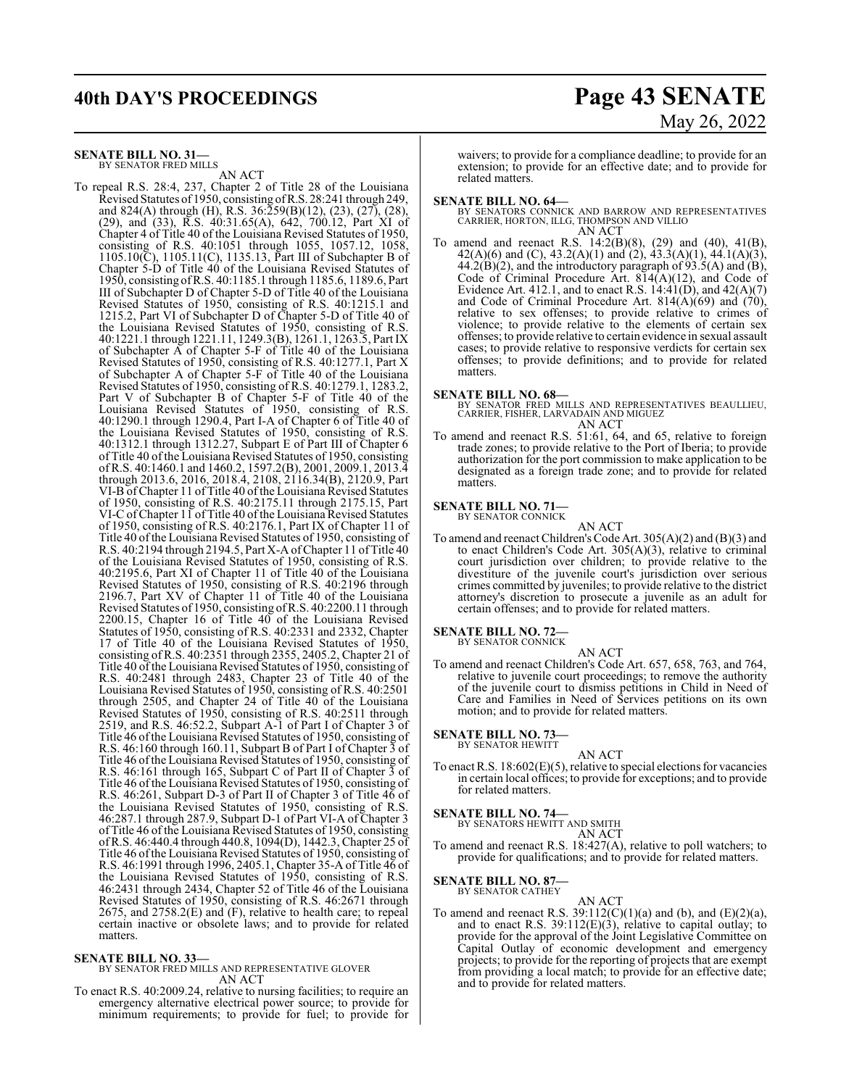## **40th DAY'S PROCEEDINGS Page 43 SENATE**

## **SENATE BILL NO. 31—**

BY SENATOR FRED MILLS AN ACT

To repeal R.S. 28:4, 237, Chapter 2 of Title 28 of the Louisiana Revised Statutes of 1950, consisting ofR.S. 28:241 through 249, and 824(A) through (H), R.S. 36:259(B)(12), (23), (27), (28), (29), and (33), R.S. 40:31.65(A), 642, 700.12, Part XI of Chapter 4 of Title 40 of the Louisiana Revised Statutes of 1950, consisting of R.S. 40:1051 through 1055, 1057.12, 1058, 1105.10(C), 1105.11(C), 1135.13, Part III of Subchapter B of Chapter 5-D of Title 40 of the Louisiana Revised Statutes of 1950, consisting ofR.S. 40:1185.1 through 1185.6, 1189.6, Part III of Subchapter D of Chapter 5-D of Title 40 of the Louisiana Revised Statutes of 1950, consisting of R.S. 40:1215.1 and 1215.2, Part VI of Subchapter D of Chapter 5-D of Title 40 of the Louisiana Revised Statutes of 1950, consisting of R.S. 40:1221.1 through 1221.11, 1249.3(B), 1261.1, 1263.5, Part IX of Subchapter  $\overline{A}$  of Chapter 5-F of Title 40 of the Louisiana Revised Statutes of 1950, consisting of R.S. 40:1277.1, Part X of Subchapter A of Chapter 5-F of Title 40 of the Louisiana Revised Statutes of 1950, consisting of R.S. 40:1279.1, 1283.2, Part V of Subchapter B of Chapter 5-F of Title 40 of the Louisiana Revised Statutes of 1950, consisting of R.S. 40:1290.1 through 1290.4, Part I-A of Chapter 6 of Title 40 of the Louisiana Revised Statutes of 1950, consisting of R.S. 40:1312.1 through 1312.27, Subpart E of Part III of Chapter 6 of Title 40 of the Louisiana Revised Statutes of 1950, consisting of R.S. 40:1460.1 and 1460.2, 1597.2(B), 2001, 2009.1, 2013.4 through 2013.6, 2016, 2018.4, 2108, 2116.34(B), 2120.9, Part VI-B of Chapter 11 of Title 40 of the Louisiana Revised Statutes of 1950, consisting of R.S. 40:2175.11 through 2175.15, Part VI-C of Chapter 11 of Title 40 of the Louisiana Revised Statutes of 1950, consisting of R.S. 40:2176.1, Part IX of Chapter 11 of Title 40 ofthe Louisiana Revised Statutes of 1950, consisting of R.S. 40:2194 through 2194.5, Part X-A of Chapter 11 of Title 40 of the Louisiana Revised Statutes of 1950, consisting of R.S. 40:2195.6, Part XI of Chapter 11 of Title 40 of the Louisiana Revised Statutes of 1950, consisting of R.S. 40:2196 through 2196.7, Part XV of Chapter 11 of Title 40 of the Louisiana Revised Statutes of 1950, consisting ofR.S. 40:2200.11 through 2200.15, Chapter 16 of Title 40 of the Louisiana Revised Statutes of 1950, consisting of R.S. 40:2331 and 2332, Chapter 17 of Title 40 of the Louisiana Revised Statutes of 1950, consisting of R.S. 40:2351 through 2355, 2405.2, Chapter 21 of Title 40 of the Louisiana Revised Statutes of 1950, consisting of R.S. 40:2481 through 2483, Chapter 23 of Title 40 of the Louisiana Revised Statutes of 1950, consisting of R.S. 40:2501 through 2505, and Chapter 24 of Title 40 of the Louisiana Revised Statutes of 1950, consisting of R.S. 40:2511 through 2519, and R.S. 46:52.2, Subpart A-1 of Part I of Chapter 3 of Title 46 ofthe Louisiana Revised Statutes of 1950, consisting of R.S. 46:160 through 160.11, Subpart B of Part I of Chapter 3 of Title 46 ofthe Louisiana Revised Statutes of 1950, consisting of R.S. 46:161 through 165, Subpart C of Part II of Chapter 3 of Title 46 ofthe Louisiana Revised Statutes of 1950, consisting of R.S. 46:261, Subpart D-3 of Part II of Chapter 3 of Title 46 of the Louisiana Revised Statutes of 1950, consisting of R.S. 46:287.1 through 287.9, Subpart D-1 of Part VI-A of Chapter 3 of Title 46 of the Louisiana Revised Statutes of 1950, consisting ofR.S. 46:440.4 through 440.8, 1094(D), 1442.3, Chapter 25 of Title 46 ofthe Louisiana Revised Statutes of 1950, consisting of R.S. 46:1991 through 1996, 2405.1, Chapter 35-A of Title 46 of the Louisiana Revised Statutes of 1950, consisting of R.S. 46:2431 through 2434, Chapter 52 of Title 46 of the Louisiana Revised Statutes of 1950, consisting of R.S. 46:2671 through 2675, and 2758.2(E) and (F), relative to health care; to repeal certain inactive or obsolete laws; and to provide for related matters.

## **SENATE BILL NO. 33—**

BY SENATOR FRED MILLS AND REPRESENTATIVE GLOVER AN ACT

To enact R.S. 40:2009.24, relative to nursing facilities; to require an emergency alternative electrical power source; to provide for minimum requirements; to provide for fuel; to provide for

# May 26, 2022

waivers; to provide for a compliance deadline; to provide for an extension; to provide for an effective date; and to provide for related matters.

- **SENATE BILL NO. 64—**<br>BY SENATORS CONNICK AND BARROW AND REPRESENTATIVES<br>CARRIER, HORTON, ILLG, THOMPSON AND VILLIO AN ACT
- To amend and reenact R.S. 14:2(B)(8), (29) and (40), 41(B), 42(A)(6) and (C), 43.2(A)(1) and (2), 43.3(A)(1), 44.1(A)(3),  $44.2(B)(2)$ , and the introductory paragraph of  $93.5(A)$  and  $(B)$ , Code of Criminal Procedure Art. 814(A)(12), and Code of Evidence Art. 412.1, and to enact R.S.  $14:41(D)$ , and  $42(A)(7)$ and Code of Criminal Procedure Art.  $814(A)(69)$  and  $(70)$ , relative to sex offenses; to provide relative to crimes of violence; to provide relative to the elements of certain sex offenses; to provide relative to certain evidence in sexual assault cases; to provide relative to responsive verdicts for certain sex offenses; to provide definitions; and to provide for related matters.

**SENATE BILL NO. 68—**<br>BY SENATOR FRED MILLS AND REPRESENTATIVES BEAULLIEU,<br>CARRIER, FISHER, LARVADAIN AND MIGUEZ AN ACT

To amend and reenact R.S. 51:61, 64, and 65, relative to foreign trade zones; to provide relative to the Port of Iberia; to provide authorization for the port commission to make application to be designated as a foreign trade zone; and to provide for related matters.

#### **SENATE BILL NO. 71—** BY SENATOR CONNICK

AN ACT

To amend and reenact Children's Code Art. 305(A)(2) and (B)(3) and to enact Children's Code Art. 305(A)(3), relative to criminal court jurisdiction over children; to provide relative to the divestiture of the juvenile court's jurisdiction over serious crimes committed by juveniles; to provide relative to the district attorney's discretion to prosecute a juvenile as an adult for certain offenses; and to provide for related matters.

## **SENATE BILL NO. 72—**<br>BY SENATOR CONNICK

AN ACT

To amend and reenact Children's Code Art. 657, 658, 763, and 764, relative to juvenile court proceedings; to remove the authority of the juvenile court to dismiss petitions in Child in Need of Care and Families in Need of Services petitions on its own motion; and to provide for related matters.

**SENATE BILL NO. 73—** BY SENATOR HEWITT

- AN ACT
- To enact R.S. 18:602(E)(5), relative to special elections for vacancies in certain local offices; to provide for exceptions; and to provide for related matters.

# **SENATE BILL NO. 74—**<br>BY SENATORS HEWITT AND SMITH<br>AN ACT

$$
A \cap A \cup I
$$

To amend and reenact R.S. 18:427(A), relative to poll watchers; to provide for qualifications; and to provide for related matters.

## **SENATE BILL NO. 87—**

BY SENATOR CATHEY AN ACT

To amend and reenact R.S.  $39:112(C)(1)(a)$  and (b), and (E)(2)(a), and to enact R.S.  $39:112(E)(3)$ , relative to capital outlay; to provide for the approval of the Joint Legislative Committee on Capital Outlay of economic development and emergency projects; to provide for the reporting of projects that are exempt from providing a local match; to provide for an effective date; and to provide for related matters.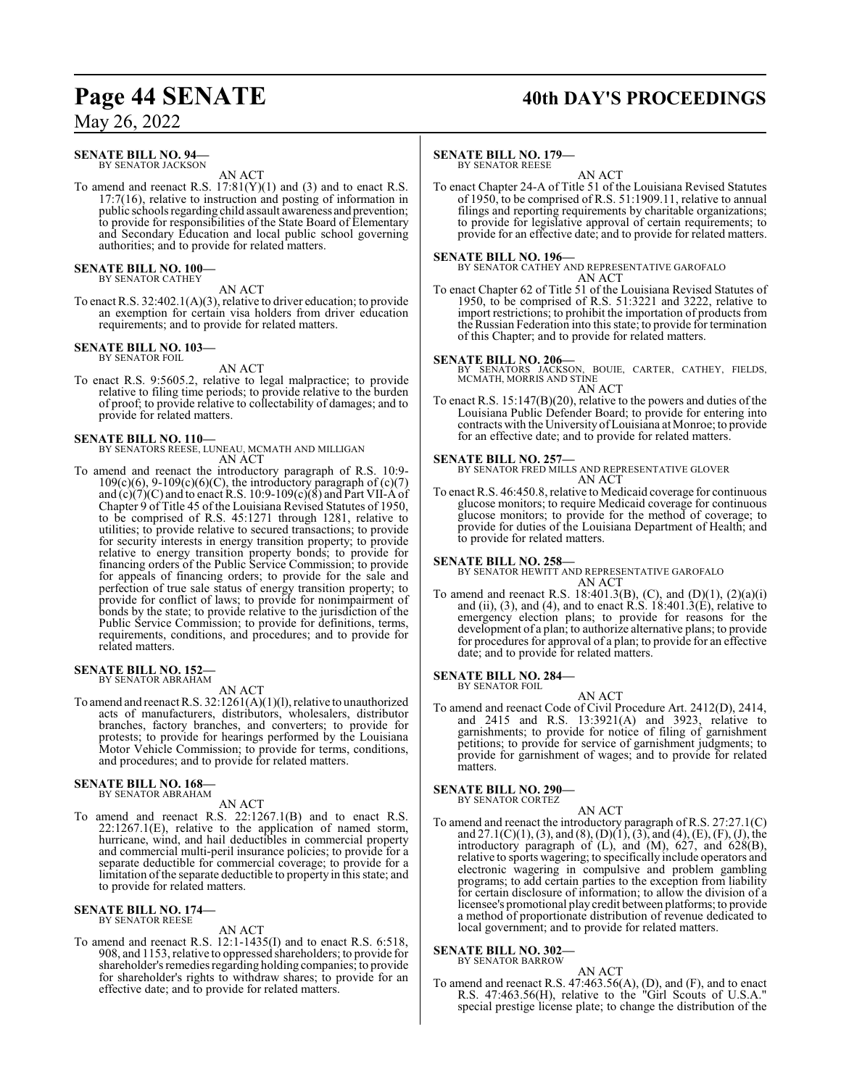#### **SENATE BILL NO. 94—** BY SENATOR JACKSON

AN ACT

To amend and reenact R.S.  $17:81(Y)(1)$  and (3) and to enact R.S. 17:7(16), relative to instruction and posting of information in public schools regarding child assault awareness and prevention; to provide for responsibilities of the State Board of Elementary and Secondary Education and local public school governing authorities; and to provide for related matters.

**SENATE BILL NO. 100—** BY SENATOR CATHEY

AN ACT

To enact R.S. 32:402.1(A)(3), relative to driver education; to provide an exemption for certain visa holders from driver education requirements; and to provide for related matters.

#### **SENATE BILL NO. 103—** BY SENATOR FOIL

AN ACT

To enact R.S. 9:5605.2, relative to legal malpractice; to provide relative to filing time periods; to provide relative to the burden of proof; to provide relative to collectability of damages; and to provide for related matters.

## **SENATE BILL NO. 110—**

BY SENATORS REESE, LUNEAU, MCMATH AND MILLIGAN AN ACT

To amend and reenact the introductory paragraph of R.S. 10:9-  $109(c)(6)$ ,  $9-109(c)(6)(C)$ , the introductory paragraph of  $(c)(7)$ and  $(c)(7)(C)$  and to enact R.S. 10:9-109 $(c)(8)$  and Part VII-A of Chapter 9 of Title 45 of the Louisiana Revised Statutes of 1950, to be comprised of R.S. 45:1271 through 1281, relative to utilities; to provide relative to secured transactions; to provide for security interests in energy transition property; to provide relative to energy transition property bonds; to provide for financing orders of the Public Service Commission; to provide for appeals of financing orders; to provide for the sale and perfection of true sale status of energy transition property; to provide for conflict of laws; to provide for nonimpairment of bonds by the state; to provide relative to the jurisdiction of the Public Service Commission; to provide for definitions, terms, requirements, conditions, and procedures; and to provide for related matters.

#### **SENATE BILL NO. 152—** BY SENATOR ABRAHAM

AN ACT

To amend and reenact R.S. 32:1261(A)(1)(l), relative to unauthorized acts of manufacturers, distributors, wholesalers, distributor branches, factory branches, and converters; to provide for protests; to provide for hearings performed by the Louisiana Motor Vehicle Commission; to provide for terms, conditions, and procedures; and to provide for related matters.

## **SENATE BILL NO. 168—** BY SENATOR ABRAHAM

AN ACT

To amend and reenact R.S. 22:1267.1(B) and to enact R.S. 22:1267.1(E), relative to the application of named storm, hurricane, wind, and hail deductibles in commercial property and commercial multi-peril insurance policies; to provide for a separate deductible for commercial coverage; to provide for a limitation ofthe separate deductible to property in this state; and to provide for related matters.

#### **SENATE BILL NO. 174—** BY SENATOR REESE

AN ACT

To amend and reenact R.S. 12:1-1435(I) and to enact R.S. 6:518, 908, and 1153, relative to oppressed shareholders; to provide for shareholder's remedies regarding holding companies; to provide for shareholder's rights to withdraw shares; to provide for an effective date; and to provide for related matters.

## Page 44 SENATE 40th DAY'S PROCEEDINGS

## **SENATE BILL NO. 179—**

BY SENATOR REESE

AN ACT To enact Chapter 24-A of Title 51 of the Louisiana Revised Statutes of 1950, to be comprised of R.S. 51:1909.11, relative to annual filings and reporting requirements by charitable organizations; to provide for legislative approval of certain requirements; to provide for an effective date; and to provide for related matters.

### **SENATE BILL NO. 196—**

BY SENATOR CATHEY AND REPRESENTATIVE GAROFALO AN ACT

To enact Chapter 62 of Title 51 of the Louisiana Revised Statutes of 1950, to be comprised of R.S. 51:3221 and 3222, relative to import restrictions; to prohibit the importation of products from the Russian Federation into this state; to provide for termination of this Chapter; and to provide for related matters.

## **SENATE BILL NO. 206—**

BY SENATORS JACKSON, BOUIE, CARTER, CATHEY, FIELDS, MCMATH, MORRIS AND STINE AN ACT

To enact R.S. 15:147(B)(20), relative to the powers and duties of the Louisiana Public Defender Board; to provide for entering into contracts with the University ofLouisiana at Monroe; to provide for an effective date; and to provide for related matters.

## **SENATE BILL NO. 257—**

BY SENATOR FRED MILLS AND REPRESENTATIVE GLOVER AN ACT

To enact R.S. 46:450.8, relative to Medicaid coverage for continuous glucose monitors; to require Medicaid coverage for continuous glucose monitors; to provide for the method of coverage; to provide for duties of the Louisiana Department of Health; and to provide for related matters.

## **SENATE BILL NO. 258—**

BY SENATOR HEWITT AND REPRESENTATIVE GAROFALO AN ACT

To amend and reenact R.S. 18:401.3(B), (C), and (D)(1),  $(2)(a)(i)$ and (ii), (3), and (4), and to enact R.S.  $18:401.3(E)$ , relative to emergency election plans; to provide for reasons for the development of a plan; to authorize alternative plans; to provide for procedures for approval of a plan; to provide for an effective date; and to provide for related matters.

#### **SENATE BILL NO. 284—** BY SENATOR FOIL

AN ACT To amend and reenact Code of Civil Procedure Art. 2412(D), 2414, and 2415 and R.S. 13:3921(A) and 3923, relative to garnishments; to provide for notice of filing of garnishment petitions; to provide for service of garnishment judgments; to provide for garnishment of wages; and to provide for related matters.

## **SENATE BILL NO. 290—** BY SENATOR CORTEZ

AN ACT To amend and reenact the introductory paragraph of R.S. 27:27.1(C) and 27.1(C)(1), (3), and (8), (D)(1), (3), and (4), (E), (F), (J), the introductory paragraph of (L), and (M), 627, and 628(B), relative to sports wagering; to specifically include operators and electronic wagering in compulsive and problem gambling programs; to add certain parties to the exception from liability for certain disclosure of information; to allow the division of a licensee's promotional play credit between platforms; to provide a method of proportionate distribution of revenue dedicated to local government; and to provide for related matters.

## **SENATE BILL NO. 302—**

BY SENATOR BARROW

AN ACT To amend and reenact R.S. 47:463.56(A), (D), and (F), and to enact R.S. 47:463.56(H), relative to the "Girl Scouts of U.S.A." special prestige license plate; to change the distribution of the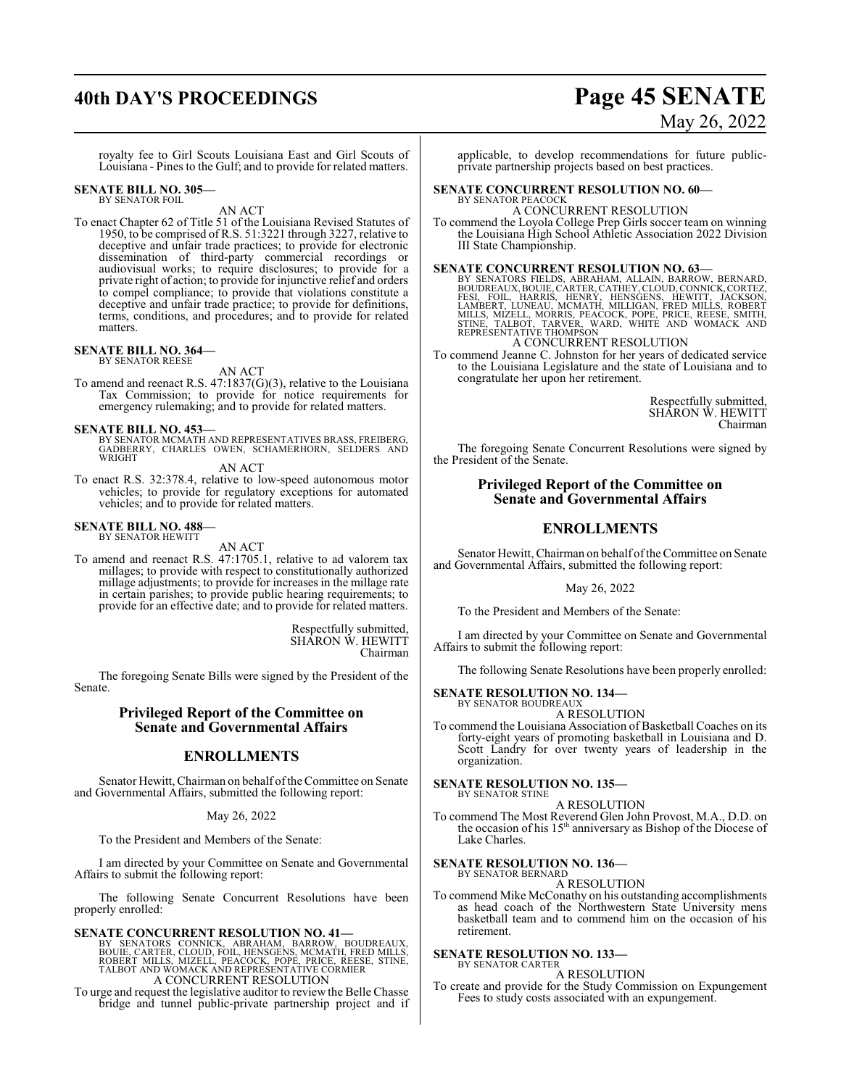## **40th DAY'S PROCEEDINGS Page 45 SENATE** May 26, 2022

royalty fee to Girl Scouts Louisiana East and Girl Scouts of Louisiana - Pines to the Gulf; and to provide for related matters.

#### **SENATE BILL NO. 305—** BY SENATOR FOIL

AN ACT

To enact Chapter 62 of Title 51 of the Louisiana Revised Statutes of 1950, to be comprised of R.S. 51:3221 through 3227, relative to deceptive and unfair trade practices; to provide for electronic dissemination of third-party commercial recordings or audiovisual works; to require disclosures; to provide for a private right of action; to provide for injunctive relief and orders to compel compliance; to provide that violations constitute a deceptive and unfair trade practice; to provide for definitions, terms, conditions, and procedures; and to provide for related matters.

## **SENATE BILL NO. 364—**

BY SENATOR REESE

AN ACT

To amend and reenact R.S.  $47:1837(G)(3)$ , relative to the Louisiana Tax Commission; to provide for notice requirements for emergency rulemaking; and to provide for related matters.

### **SENATE BILL NO. 453—**

BY SENATOR MCMATH AND REPRESENTATIVES BRASS, FREIBERG, GADBERRY, CHARLES OWEN, SCHAMERHORN, SELDERS AND **WRIGHT** 

AN ACT

To enact R.S. 32:378.4, relative to low-speed autonomous motor vehicles; to provide for regulatory exceptions for automated vehicles; and to provide for related matters.

## **SENATE BILL NO. 488—** BY SENATOR HEWITT

AN ACT

To amend and reenact R.S. 47:1705.1, relative to ad valorem tax millages; to provide with respect to constitutionally authorized millage adjustments; to provide for increases in the millage rate in certain parishes; to provide public hearing requirements; to provide for an effective date; and to provide for related matters.

> Respectfully submitted, SHARON W. HEWITT Chairman

The foregoing Senate Bills were signed by the President of the Senate.

## **Privileged Report of the Committee on Senate and Governmental Affairs**

## **ENROLLMENTS**

Senator Hewitt, Chairman on behalf ofthe Committee on Senate and Governmental Affairs, submitted the following report:

May 26, 2022

To the President and Members of the Senate:

I am directed by your Committee on Senate and Governmental Affairs to submit the following report:

The following Senate Concurrent Resolutions have been properly enrolled:

## **SENATE CONCURRENT RESOLUTION NO. 41—**

BY SENATORS CONNICK, ABRAHAM, BARROW, BOUDREAUX,<br>BOUIE,CARTER, CLOUD, FOIL,HENSGENS, MCMATH, FRED MILLS,<br>ROBERT MILLS, MIZELL, PEACOCK, POPE, PRICE, REESE, STINE,<br>TALBOT AND WOMACK AND REPRESENTATIVE CORMIER A CONCURRENT RESOLUTION

To urge and request the legislative auditor to review the Belle Chasse bridge and tunnel public-private partnership project and if

applicable, to develop recommendations for future publicprivate partnership projects based on best practices.

#### **SENATE CONCURRENT RESOLUTION NO. 60—** BY SENATOR PEACOCI

## A CONCURRENT RESOLUTION

To commend the Loyola College Prep Girls soccer team on winning the Louisiana High School Athletic Association 2022 Division III State Championship.

**SENATE CONCURRENT RESOLUTION NO. 63**<br>BY SENATORS FIELDS, ABRAHAM, ALLAIN, BARROW, BERNARD,<br>BOUDREAUX, BOUIE, CARTER, CATHEY, CLOUD, CONNICK, CORTEZ,<br>FESI, FOIL, HARRIS, HENRY, HENSGENS, HEWITT, JACKSON,<br>LAMBERT, LUNEAU, M

## A CONCURRENT RESOLUTION

To commend Jeanne C. Johnston for her years of dedicated service to the Louisiana Legislature and the state of Louisiana and to congratulate her upon her retirement.

> Respectfully submitted, SHARON W. HEWITT Chairman

The foregoing Senate Concurrent Resolutions were signed by the President of the Senate.

## **Privileged Report of the Committee on Senate and Governmental Affairs**

## **ENROLLMENTS**

Senator Hewitt, Chairman on behalf of the Committee on Senate and Governmental Affairs, submitted the following report:

### May 26, 2022

To the President and Members of the Senate:

I am directed by your Committee on Senate and Governmental Affairs to submit the following report:

The following Senate Resolutions have been properly enrolled:

## **SENATE RESOLUTION NO. 134—** BY SENATOR BOUDREAUX

A RESOLUTION

To commend the Louisiana Association of Basketball Coaches on its forty-eight years of promoting basketball in Louisiana and D. Scott Landry for over twenty years of leadership in the organization.

#### **SENATE RESOLUTION NO. 135—** BY SENATOR STINE

A RESOLUTION

To commend The Most Reverend Glen John Provost, M.A., D.D. on the occasion of his 15<sup>th</sup> anniversary as Bishop of the Diocese of Lake Charles.

## **SENATE RESOLUTION NO. 136—**

BY SENATOR BERNARD A RESOLUTION

To commend Mike McConathy on his outstanding accomplishments as head coach of the Northwestern State University mens basketball team and to commend him on the occasion of his retirement.

#### **SENATE RESOLUTION NO. 133—** BY SENATOR CARTER

A RESOLUTION

To create and provide for the Study Commission on Expungement Fees to study costs associated with an expungement.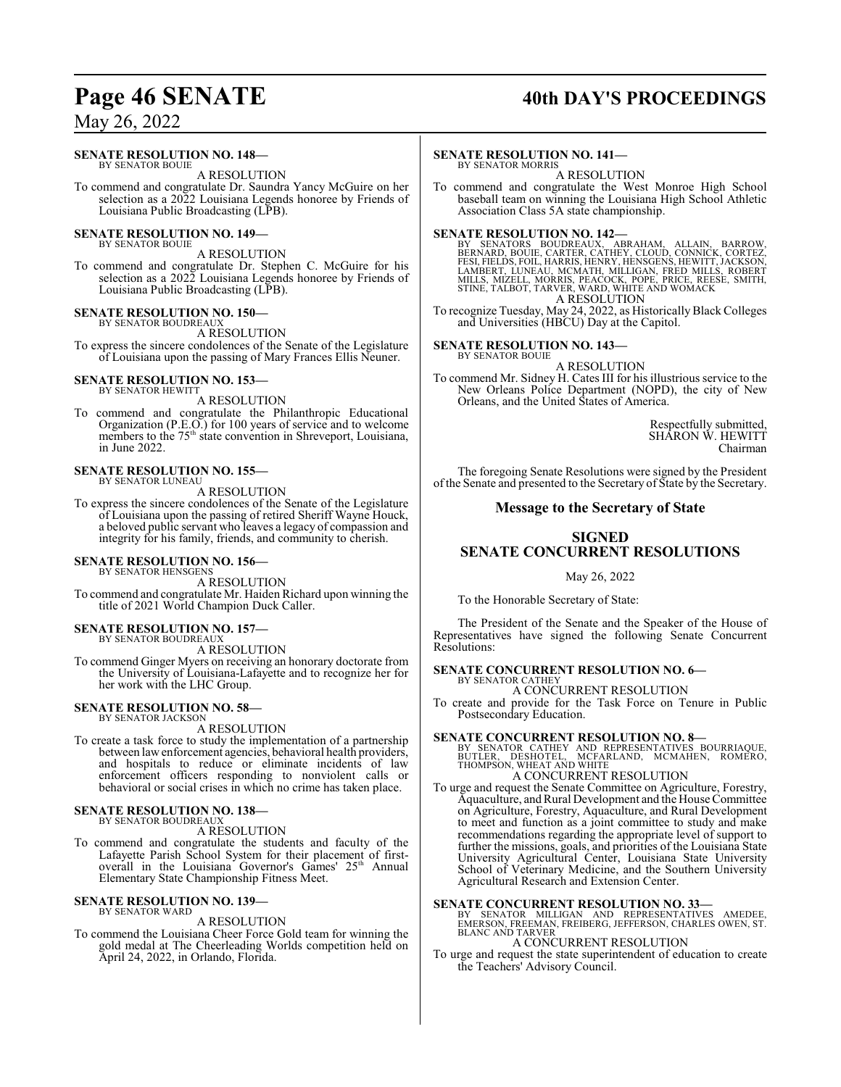## Page 46 SENATE 40th DAY'S PROCEEDINGS

## May 26, 2022

## **SENATE RESOLUTION NO. 148—**

BY SENATOR BOUIE A RESOLUTION

To commend and congratulate Dr. Saundra Yancy McGuire on her selection as a 2022 Louisiana Legends honoree by Friends of Louisiana Public Broadcasting (LPB).

**SENATE RESOLUTION NO. 149—** BY SENATOR BOUIE

A RESOLUTION

To commend and congratulate Dr. Stephen C. McGuire for his selection as a 2022 Louisiana Legends honoree by Friends of Louisiana Public Broadcasting (LPB).

## **SENATE RESOLUTION NO. 150—** BY SENATOR BOUDREAUX

A RESOLUTION

To express the sincere condolences of the Senate of the Legislature of Louisiana upon the passing of Mary Frances Ellis Neuner.

### **SENATE RESOLUTION NO. 153—** BY SENATOR HEWITT

A RESOLUTION

To commend and congratulate the Philanthropic Educational Organization (P.E.O.) for 100 years of service and to welcome members to the 75<sup>th</sup> state convention in Shreveport, Louisiana, in June 2022.

#### **SENATE RESOLUTION NO. 155—** BY SENATOR LUNEAU

A RESOLUTION

To express the sincere condolences of the Senate of the Legislature of Louisiana upon the passing of retired Sheriff Wayne Houck, a beloved public servant who leaves a legacy of compassion and integrity for his family, friends, and community to cherish.

#### **SENATE RESOLUTION NO. 156—** BY SENATOR HENSGENS

A RESOLUTION

To commend and congratulate Mr. Haiden Richard upon winning the title of 2021 World Champion Duck Caller.

## **SENATE RESOLUTION NO. 157—** BY SENATOR BOUDREAUX

A RESOLUTION

To commend Ginger Myers on receiving an honorary doctorate from the University of Louisiana-Lafayette and to recognize her for her work with the LHC Group.

#### **SENATE RESOLUTION NO. 58—** BY SENATOR JACKSON

A RESOLUTION

To create a task force to study the implementation of a partnership between lawenforcement agencies, behavioral health providers, and hospitals to reduce or eliminate incidents of law enforcement officers responding to nonviolent calls or behavioral or social crises in which no crime has taken place.

#### **SENATE RESOLUTION NO. 138—** BY SENATOR BOUDREAUX

A RESOLUTION

To commend and congratulate the students and faculty of the Lafayette Parish School System for their placement of firstoverall in the Louisiana Governor's Games' 25<sup>th</sup> Annual Elementary State Championship Fitness Meet.

#### **SENATE RESOLUTION NO. 139—** BY SENATOR WARD

A RESOLUTION

To commend the Louisiana Cheer Force Gold team for winning the gold medal at The Cheerleading Worlds competition held on April 24, 2022, in Orlando, Florida.

## **SENATE RESOLUTION NO. 141—**

BY SENATOR MORRIS A RESOLUTION

To commend and congratulate the West Monroe High School baseball team on winning the Louisiana High School Athletic Association Class 5A state championship.

**SENATE RESOLUTION NO. 142—**<br>BY SENATORS BOUDREAUX, ABRAHAM, ALLAIN, BARROW,<br>BERNARD, BOUE, CARTER, CATHEY, CLOUD, CONNICK, CORTEZ,<br>FESI, FIELDS, FOIL, HARRIS, HENRY, HENSGENS, HEWITT, JACKSON,<br>LAMBERT, LUNEAU, MCMATH, MIL A RESOLUTION

To recognize Tuesday, May 24, 2022, as Historically Black Colleges and Universities (HBCU) Day at the Capitol.

#### **SENATE RESOLUTION NO. 143—** BY SENATOR BOUIE

A RESOLUTION

To commend Mr. Sidney H. Cates III for his illustrious service to the New Orleans Police Department (NOPD), the city of New Orleans, and the United States of America.

> Respectfully submitted, SHARON W. HEWITT Chairman

The foregoing Senate Resolutions were signed by the President ofthe Senate and presented to the Secretary of State by the Secretary.

## **Message to the Secretary of State**

## **SIGNED**

## **SENATE CONCURRENT RESOLUTIONS**

May 26, 2022

To the Honorable Secretary of State:

The President of the Senate and the Speaker of the House of Representatives have signed the following Senate Concurrent Resolutions:

## **SENATE CONCURRENT RESOLUTION NO. 6—** BY SENATOR CATHEY

A CONCURRENT RESOLUTION

To create and provide for the Task Force on Tenure in Public Postsecondary Education.

## **SENATE CONCURRENT RESOLUTION NO. 8—**

BY SENATOR CATHEY AND REPRESENTATIVES BOURRIAQUE,<br>BUTLER, DESHOTEL, MCFARLAND, MCMAHEN, ROMERO,<br>THOMPSON,WHEATANDWHITE A CONCURRENT RESOLUTION

To urge and request the Senate Committee on Agriculture, Forestry, Aquaculture, and Rural Development and the House Committee on Agriculture, Forestry, Aquaculture, and Rural Development to meet and function as a joint committee to study and make recommendations regarding the appropriate level of support to further the missions, goals, and priorities of the Louisiana State University Agricultural Center, Louisiana State University School of Veterinary Medicine, and the Southern University Agricultural Research and Extension Center.

**SENATE CONCURRENT RESOLUTION NO. 33—**<br>BY SENATOR MILLIGAN AND REPRESENTATIVES AMEDEE,<br>EMERSON, FREEMAN, FREIBERG, JEFFERSON, CHARLES OWEN, ST.<br>BLANC AND TARVER

## A CONCURRENT RESOLUTION

To urge and request the state superintendent of education to create the Teachers' Advisory Council.